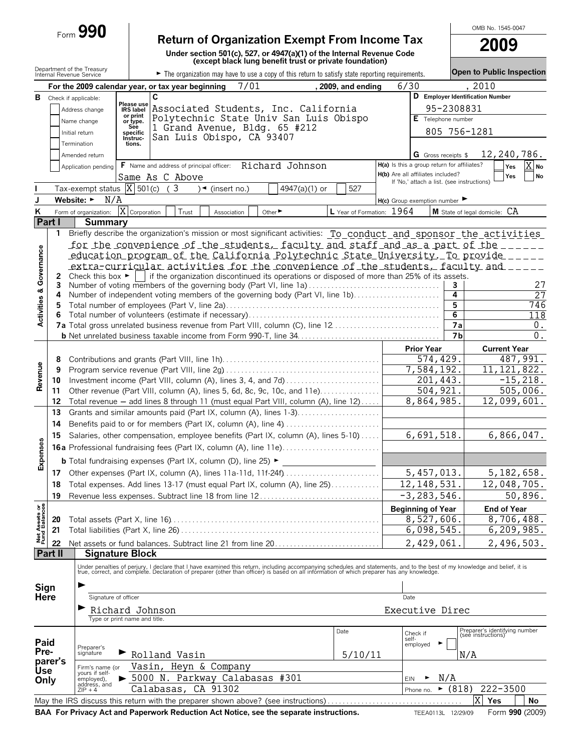|                                                                                                                                                                                          |          | Form 990                                               |                                                                          |                                                                                          |                               |                                                          |                                                                                                                                                                                                                                   |            |                                             |                | OMB No. 1545-0047                                   |              |
|------------------------------------------------------------------------------------------------------------------------------------------------------------------------------------------|----------|--------------------------------------------------------|--------------------------------------------------------------------------|------------------------------------------------------------------------------------------|-------------------------------|----------------------------------------------------------|-----------------------------------------------------------------------------------------------------------------------------------------------------------------------------------------------------------------------------------|------------|---------------------------------------------|----------------|-----------------------------------------------------|--------------|
| <b>Return of Organization Exempt From Income Tax</b><br>Under section 501(c), 527, or 4947(a)(1) of the Internal Revenue Code<br>(except black lung benefit trust or private foundation) |          |                                                        |                                                                          |                                                                                          |                               |                                                          |                                                                                                                                                                                                                                   | 2009       |                                             |                |                                                     |              |
|                                                                                                                                                                                          |          | Department of the Treasury<br>Internal Revenue Service |                                                                          |                                                                                          |                               |                                                          |                                                                                                                                                                                                                                   |            |                                             |                | <b>Open to Public Inspection</b>                    |              |
|                                                                                                                                                                                          |          |                                                        |                                                                          |                                                                                          | 7/01                          |                                                          | The organization may have to use a copy of this return to satisfy state reporting requirements.<br>. 2009. and ending                                                                                                             |            | 6/30                                        |                | 2010                                                |              |
| в                                                                                                                                                                                        |          | Check if applicable:                                   |                                                                          | For the 2009 calendar year, or tax year beginning<br>C                                   |                               |                                                          |                                                                                                                                                                                                                                   |            |                                             |                | D Employer Identification Number                    |              |
|                                                                                                                                                                                          |          | Address change                                         | Please use<br><b>IRS</b> label                                           |                                                                                          |                               | Associated Students, Inc. California                     |                                                                                                                                                                                                                                   |            |                                             | 95-2308831     |                                                     |              |
|                                                                                                                                                                                          |          | Name change                                            | or print<br>or type.                                                     |                                                                                          |                               | Polytechnic State Univ San Luis Obispo                   |                                                                                                                                                                                                                                   |            | E Telephone number                          |                |                                                     |              |
|                                                                                                                                                                                          |          | Initial return                                         | See<br>specific                                                          |                                                                                          |                               | 1 Grand Avenue, Bldg. 65 #212                            |                                                                                                                                                                                                                                   |            |                                             |                | 805 756-1281                                        |              |
|                                                                                                                                                                                          |          | Termination                                            | Instruc-<br>tions.                                                       | San Luis Obispo, CA 93407                                                                |                               |                                                          |                                                                                                                                                                                                                                   |            |                                             |                |                                                     |              |
|                                                                                                                                                                                          |          | Amended return                                         |                                                                          |                                                                                          |                               |                                                          |                                                                                                                                                                                                                                   |            | <b>G</b> Gross receipts \$                  |                |                                                     | 12,240,786.  |
|                                                                                                                                                                                          |          | Application pending                                    |                                                                          |                                                                                          |                               | F Name and address of principal officer: Richard Johnson |                                                                                                                                                                                                                                   |            | H(a) Is this a group return for affiliates? |                |                                                     | X No<br>Yes  |
|                                                                                                                                                                                          |          |                                                        |                                                                          | Same As C Above                                                                          |                               |                                                          |                                                                                                                                                                                                                                   |            | H(b) Are all affiliates included?           |                |                                                     | No<br>Yes    |
|                                                                                                                                                                                          |          | Tax-exempt status $ X $ 501(c)                         |                                                                          | (3)                                                                                      | $\sqrt{\bullet}$ (insert no.) | 4947(a) $(1)$ or                                         | 527                                                                                                                                                                                                                               |            | If 'No,' attach a list. (see instructions)  |                |                                                     |              |
| J                                                                                                                                                                                        |          | Website: $\blacktriangleright$<br>N/A                  |                                                                          |                                                                                          |                               |                                                          |                                                                                                                                                                                                                                   |            | $H(c)$ Group exemption number               |                |                                                     |              |
| Κ                                                                                                                                                                                        |          | Form of organization:                                  | $\overline{X}$ Corporation                                               | Trust                                                                                    | Association                   | Other ▶                                                  | L Year of Formation: 1964                                                                                                                                                                                                         |            |                                             |                | M State of legal domicile: CA                       |              |
|                                                                                                                                                                                          | Part I   | <b>Summary</b>                                         |                                                                          |                                                                                          |                               |                                                          |                                                                                                                                                                                                                                   |            |                                             |                |                                                     |              |
|                                                                                                                                                                                          | 1        |                                                        |                                                                          |                                                                                          |                               |                                                          | Briefly describe the organization's mission or most significant activities: To conduct and sponsor the activities                                                                                                                 |            |                                             |                |                                                     |              |
|                                                                                                                                                                                          |          |                                                        |                                                                          |                                                                                          |                               |                                                          | <u>for the convenience of the students, faculty and staff and as a part of the sensor</u>                                                                                                                                         |            |                                             |                |                                                     |              |
|                                                                                                                                                                                          |          |                                                        |                                                                          |                                                                                          |                               |                                                          | education program of the California Polytechnic State University. To provide _____                                                                                                                                                |            |                                             |                |                                                     |              |
|                                                                                                                                                                                          |          |                                                        |                                                                          |                                                                                          |                               |                                                          | extra-curricular activities for the convenience of the students, faculty and _____                                                                                                                                                |            |                                             |                |                                                     |              |
|                                                                                                                                                                                          | 2        |                                                        |                                                                          |                                                                                          |                               |                                                          | Check this box $\blacktriangleright$   if the organization discontinued its operations or disposed of more than 25% of its assets.<br>Number of voting members of the governing body (Part VI, line 1a)                           |            |                                             |                |                                                     | 27           |
|                                                                                                                                                                                          | 3<br>4   |                                                        |                                                                          |                                                                                          |                               |                                                          | Number of independent voting members of the governing body (Part VI, line 1b)                                                                                                                                                     |            |                                             | 3<br>4         |                                                     | 27           |
|                                                                                                                                                                                          | 5        |                                                        |                                                                          |                                                                                          |                               |                                                          |                                                                                                                                                                                                                                   |            |                                             | 5              |                                                     | 746          |
| Activities & Governance                                                                                                                                                                  | 6        |                                                        |                                                                          |                                                                                          |                               |                                                          |                                                                                                                                                                                                                                   |            |                                             | 6              |                                                     | 118          |
|                                                                                                                                                                                          |          |                                                        |                                                                          |                                                                                          |                               |                                                          | 7a Total gross unrelated business revenue from Part VIII, column (C), line 12                                                                                                                                                     |            |                                             | 7a             |                                                     | 0.           |
|                                                                                                                                                                                          |          |                                                        |                                                                          |                                                                                          |                               |                                                          |                                                                                                                                                                                                                                   |            |                                             | 7 <sub>b</sub> |                                                     | 0.           |
|                                                                                                                                                                                          |          |                                                        |                                                                          |                                                                                          |                               |                                                          |                                                                                                                                                                                                                                   |            | <b>Prior Year</b>                           |                | <b>Current Year</b>                                 |              |
|                                                                                                                                                                                          | 8        |                                                        |                                                                          |                                                                                          |                               |                                                          |                                                                                                                                                                                                                                   |            |                                             | 574,429.       |                                                     | 487,991.     |
| Revenue                                                                                                                                                                                  | 9        |                                                        |                                                                          | 7,584,192.                                                                               |                               | 11, 121, 822.                                            |                                                                                                                                                                                                                                   |            |                                             |                |                                                     |              |
|                                                                                                                                                                                          | 10<br>11 |                                                        | Other revenue (Part VIII, column (A), lines 5, 6d, 8c, 9c, 10c, and 11e) |                                                                                          | 201,443<br>504, 921.          |                                                          | $-15, 218.$<br>505,006.                                                                                                                                                                                                           |            |                                             |                |                                                     |              |
|                                                                                                                                                                                          | 12       |                                                        |                                                                          |                                                                                          |                               |                                                          | Total revenue - add lines 8 through 11 (must equal Part VIII, column (A), line 12)                                                                                                                                                |            | 8,864,985.                                  |                |                                                     | 12,099,601.  |
|                                                                                                                                                                                          | 13       |                                                        |                                                                          |                                                                                          |                               |                                                          | Grants and similar amounts paid (Part IX, column (A), lines 1-3)                                                                                                                                                                  |            |                                             |                |                                                     |              |
|                                                                                                                                                                                          | 14       |                                                        |                                                                          |                                                                                          |                               |                                                          |                                                                                                                                                                                                                                   |            |                                             |                |                                                     |              |
|                                                                                                                                                                                          | 15       |                                                        |                                                                          |                                                                                          |                               |                                                          | Salaries, other compensation, employee benefits (Part IX, column (A), lines 5-10)                                                                                                                                                 | 6,691,518. |                                             |                |                                                     | 6,866,047.   |
| Ø)                                                                                                                                                                                       |          |                                                        |                                                                          |                                                                                          |                               |                                                          |                                                                                                                                                                                                                                   |            |                                             |                |                                                     |              |
| Expense                                                                                                                                                                                  |          |                                                        |                                                                          | <b>b</b> Total fundraising expenses (Part IX, column (D), line 25) $\blacktriangleright$ |                               |                                                          |                                                                                                                                                                                                                                   |            |                                             |                |                                                     |              |
|                                                                                                                                                                                          | 17       |                                                        |                                                                          |                                                                                          |                               |                                                          | Other expenses (Part IX, column (A), lines 11a-11d, 11f-24f)                                                                                                                                                                      |            | 5,457,013.                                  |                |                                                     | 5,182,658.   |
|                                                                                                                                                                                          | 18       |                                                        |                                                                          |                                                                                          |                               |                                                          | Total expenses. Add lines 13-17 (must equal Part IX, column (A), line 25)                                                                                                                                                         |            | 12, 148, 531.                               |                |                                                     | 12,048,705.  |
|                                                                                                                                                                                          | 19       |                                                        |                                                                          |                                                                                          |                               |                                                          | Revenue less expenses. Subtract line 18 from line 12                                                                                                                                                                              |            | $-3, 283, 546.$                             |                |                                                     | 50,896.      |
|                                                                                                                                                                                          |          |                                                        |                                                                          |                                                                                          |                               |                                                          |                                                                                                                                                                                                                                   |            | <b>Beginning of Year</b>                    |                | <b>End of Year</b>                                  |              |
| Net Assets or<br>Fund Balances                                                                                                                                                           | 20       |                                                        |                                                                          |                                                                                          |                               |                                                          |                                                                                                                                                                                                                                   |            | 8,527,606                                   |                |                                                     | 8,706,488.   |
|                                                                                                                                                                                          | 21       |                                                        |                                                                          |                                                                                          |                               |                                                          |                                                                                                                                                                                                                                   |            | 6,098,545.                                  |                |                                                     | 6, 209, 985. |
|                                                                                                                                                                                          | 22       |                                                        |                                                                          |                                                                                          |                               |                                                          | Net assets or fund balances. Subtract line 21 from line 20                                                                                                                                                                        |            | 2,429,061                                   |                |                                                     | 2,496,503.   |
|                                                                                                                                                                                          | Part II  | <b>Signature Block</b>                                 |                                                                          |                                                                                          |                               |                                                          |                                                                                                                                                                                                                                   |            |                                             |                |                                                     |              |
|                                                                                                                                                                                          |          |                                                        |                                                                          |                                                                                          |                               |                                                          | Under penalties of perjury, I declare that I have examined this return, including accompanying schedules and statements, and to the best of my knowledge and belief, it is<br>true, correct, and complete. Declaration of prepare |            |                                             |                |                                                     |              |
|                                                                                                                                                                                          |          |                                                        |                                                                          |                                                                                          |                               |                                                          |                                                                                                                                                                                                                                   |            |                                             |                |                                                     |              |
| Sign                                                                                                                                                                                     |          |                                                        |                                                                          |                                                                                          |                               |                                                          |                                                                                                                                                                                                                                   |            |                                             |                |                                                     |              |
| Here                                                                                                                                                                                     |          | Signature of officer                                   |                                                                          |                                                                                          |                               |                                                          |                                                                                                                                                                                                                                   |            | Date                                        |                |                                                     |              |
|                                                                                                                                                                                          |          | Richard Johnson                                        |                                                                          |                                                                                          |                               |                                                          |                                                                                                                                                                                                                                   |            | Executive Direc                             |                |                                                     |              |
|                                                                                                                                                                                          |          | Type or print name and title.                          |                                                                          |                                                                                          |                               |                                                          |                                                                                                                                                                                                                                   |            |                                             |                |                                                     |              |
| Paid                                                                                                                                                                                     |          |                                                        |                                                                          |                                                                                          |                               |                                                          | Date                                                                                                                                                                                                                              |            | Check if<br>self-                           |                | Preparer's identifying number<br>(see instructions) |              |
| Pre-                                                                                                                                                                                     |          | Preparer's<br>signature                                |                                                                          |                                                                                          |                               |                                                          |                                                                                                                                                                                                                                   |            | employed                                    |                |                                                     |              |
|                                                                                                                                                                                          | parer's  |                                                        |                                                                          | Rolland Vasin                                                                            |                               |                                                          | 5/10/11                                                                                                                                                                                                                           |            |                                             |                | N/A                                                 |              |
| <b>Use</b>                                                                                                                                                                               |          | Firm's name (or<br>yours if self-                      |                                                                          | Vasin, Heyn & Company                                                                    |                               |                                                          |                                                                                                                                                                                                                                   |            |                                             |                |                                                     |              |
| Only                                                                                                                                                                                     |          | employed),<br>address, and                             |                                                                          | 5000 N. Parkway Calabasas #301<br>Calabasas, CA 91302                                    |                               |                                                          |                                                                                                                                                                                                                                   |            | ▶<br><b>EIN</b><br>$\blacktriangleright$    | N/A<br>(818)   | $222 - 3500$                                        |              |
|                                                                                                                                                                                          |          | $ZIP + 4$                                              |                                                                          |                                                                                          |                               |                                                          | May the IRS discuss this return with the preparer shown above? (see instructions)                                                                                                                                                 |            | Phone no.                                   |                | X<br>Yes                                            | No           |
|                                                                                                                                                                                          |          |                                                        |                                                                          |                                                                                          |                               |                                                          |                                                                                                                                                                                                                                   |            |                                             |                |                                                     |              |

**BAA For Privacy Act and Paperwork Reduction Act Notice, see the separate instructions.** TEEA0113L 12/29/09 Form 990 (2009)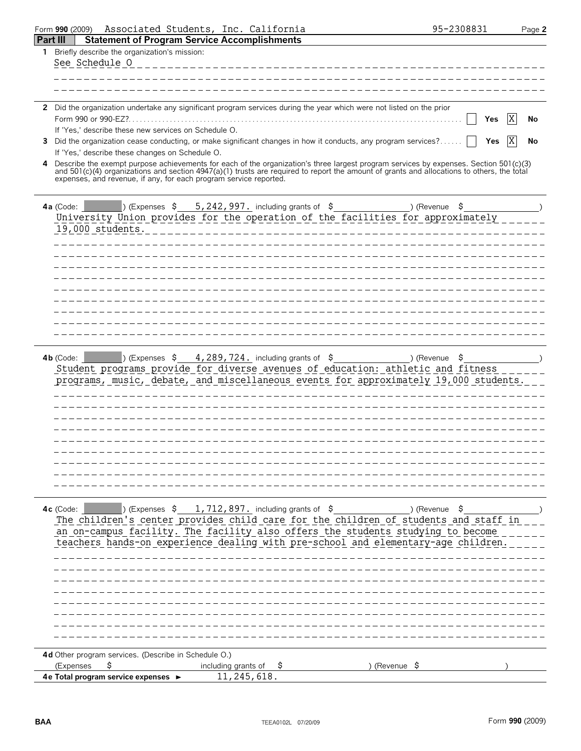| Form 990 (2009)                                                        | Associated Students, Inc. California                                                                                                                                                                                                                                                                                      | 95-2308831            | Page 2 |
|------------------------------------------------------------------------|---------------------------------------------------------------------------------------------------------------------------------------------------------------------------------------------------------------------------------------------------------------------------------------------------------------------------|-----------------------|--------|
| <b>Statement of Program Service Accomplishments</b><br><b>Part III</b> |                                                                                                                                                                                                                                                                                                                           |                       |        |
| 1 Briefly describe the organization's mission:                         |                                                                                                                                                                                                                                                                                                                           |                       |        |
| See Schedule O                                                         |                                                                                                                                                                                                                                                                                                                           |                       |        |
|                                                                        |                                                                                                                                                                                                                                                                                                                           |                       |        |
|                                                                        |                                                                                                                                                                                                                                                                                                                           |                       |        |
|                                                                        | 2 Did the organization undertake any significant program services during the year which were not listed on the prior                                                                                                                                                                                                      |                       |        |
| Form 990 or 990-EZ?                                                    |                                                                                                                                                                                                                                                                                                                           | Χ<br>Yes              | No     |
| If 'Yes,' describe these new services on Schedule O.                   |                                                                                                                                                                                                                                                                                                                           |                       |        |
| 3                                                                      | Did the organization cease conducting, or make significant changes in how it conducts, any program services?                                                                                                                                                                                                              | X<br>Yes              | No     |
| If 'Yes,' describe these changes on Schedule O.                        |                                                                                                                                                                                                                                                                                                                           |                       |        |
| 4<br>expenses, and revenue, if any, for each program service reported. | Describe the exempt purpose achievements for each of the organization's three largest program services by expenses. Section 501(c)(3)<br>and 501(c)(4) organizations and section 4947(a)(1) trusts are required to report the amount of grants and allocations to others, the total                                       |                       |        |
| $4a$ (Code:                                                            | <b>Expenses <math>\frac{242}{997}</math>.</b> including grants of $\frac{242}{997}$ and $\frac{242}{997}$ including grants of $\frac{2}{7}$<br>University Union provides for the operation of the facilities for approximately                                                                                            |                       |        |
| 19,000 students.                                                       |                                                                                                                                                                                                                                                                                                                           |                       |        |
|                                                                        |                                                                                                                                                                                                                                                                                                                           |                       |        |
|                                                                        |                                                                                                                                                                                                                                                                                                                           |                       |        |
|                                                                        |                                                                                                                                                                                                                                                                                                                           |                       |        |
|                                                                        |                                                                                                                                                                                                                                                                                                                           |                       |        |
|                                                                        |                                                                                                                                                                                                                                                                                                                           |                       |        |
|                                                                        |                                                                                                                                                                                                                                                                                                                           |                       |        |
|                                                                        |                                                                                                                                                                                                                                                                                                                           |                       |        |
|                                                                        |                                                                                                                                                                                                                                                                                                                           |                       |        |
| $4b$ (Code:                                                            | ) (Expenses $\frac{1}{5}$ 4, 289, 724. including grants of $\frac{1}{5}$<br>Student programs provide for diverse avenues of education: athletic and fitness<br>programs, music, debate, and miscellaneous events for approximately 19,000 students.                                                                       | ) (Revenue<br>Ş       |        |
|                                                                        |                                                                                                                                                                                                                                                                                                                           |                       |        |
| 4c (Code:                                                              | ) (Expenses $\,$ \$ 1,712,897. including grants of $\,$ \$<br>The children's center provides child care for the children of students and staff in<br>an on-campus facility. The facility also offers the students studying to become<br>teachers hands-on experience dealing with pre-school and elementary-age children. | (Revenue) (<br>- \$   |        |
|                                                                        |                                                                                                                                                                                                                                                                                                                           |                       |        |
|                                                                        |                                                                                                                                                                                                                                                                                                                           |                       |        |
|                                                                        |                                                                                                                                                                                                                                                                                                                           |                       |        |
|                                                                        |                                                                                                                                                                                                                                                                                                                           |                       |        |
|                                                                        |                                                                                                                                                                                                                                                                                                                           |                       |        |
|                                                                        |                                                                                                                                                                                                                                                                                                                           |                       |        |
| 4d Other program services. (Describe in Schedule O.)                   |                                                                                                                                                                                                                                                                                                                           |                       |        |
| \$<br>(Expenses                                                        | including grants of<br>Ş.                                                                                                                                                                                                                                                                                                 | ) (Revenue $\sqrt{5}$ |        |
| 4e Total program service expenses ►                                    | 11,245,618.                                                                                                                                                                                                                                                                                                               |                       |        |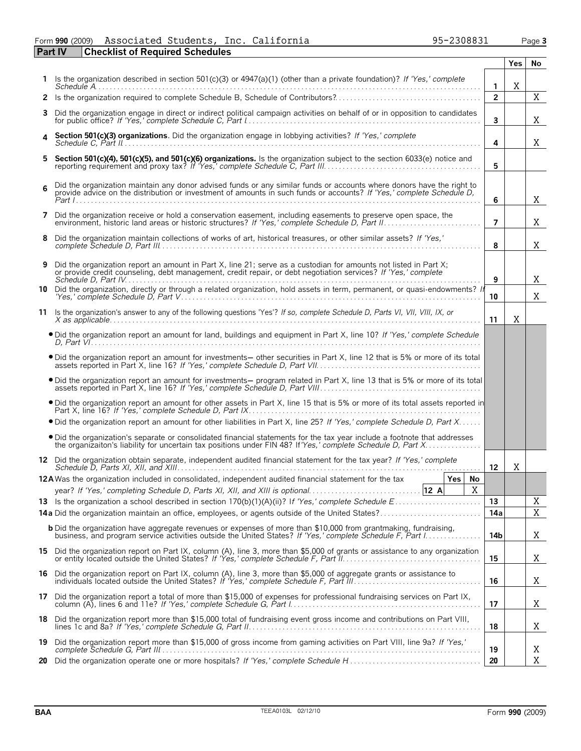#### Form **990** (2009) Associated Students, Inc. California 95-2308831 Page **3** Associated Students, Inc. California 95-2308831

|    | <b>Checklist of Required Schedules</b><br><b>Part IV</b>                                                                                                                                                                                       |                |            |    |
|----|------------------------------------------------------------------------------------------------------------------------------------------------------------------------------------------------------------------------------------------------|----------------|------------|----|
|    |                                                                                                                                                                                                                                                |                | <b>Yes</b> | No |
|    | 1 Is the organization described in section 501(c)(3) or 4947(a)(1) (other than a private foundation)? If 'Yes,' complete                                                                                                                       | $\mathbf{1}$   | X          |    |
|    |                                                                                                                                                                                                                                                | $\overline{2}$ |            | X  |
| 3. | Did the organization engage in direct or indirect political campaign activities on behalf of or in opposition to candidates                                                                                                                    | 3              |            | Χ  |
|    | Section 501(c)(3) organizations. Did the organization engage in lobbying activities? If 'Yes,' complete                                                                                                                                        | 4              |            | Χ  |
|    | 5 Section 501(c)(4), 501(c)(5), and 501(c)(6) organizations. Is the organization subject to the section 6033(e) notice and                                                                                                                     | 5              |            |    |
| 6  | Did the organization maintain any donor advised funds or any similar funds or accounts where donors have the right to<br>provide advice on the distribution or investment of amounts in such funds or accounts? If 'Yes,' complete Schedule D, | 6              |            | Χ  |
|    | 7 Did the organization receive or hold a conservation easement, including easements to preserve open space, the                                                                                                                                | $\overline{7}$ |            | Χ  |
| 8  | Did the organization maintain collections of works of art, historical treasures, or other similar assets? If 'Yes,'                                                                                                                            | 8              |            | Χ  |
|    | 9 Did the organization report an amount in Part X, line 21; serve as a custodian for amounts not listed in Part X;<br>or provide credit counseling, debt management, credit repair, or debt negotiation services? If 'Yes,' complete           | 9              |            | X  |
|    | 10 Did the organization, directly or through a related organization, hold assets in term, permanent, or quasi-endowments? If                                                                                                                   | 10             |            | X  |
|    | 11 Is the organization's answer to any of the following questions 'Yes'? If so, complete Schedule D, Parts VI, VII, VIII, IX, or                                                                                                               | 11             | Χ          |    |
|    | . Did the organization report an amount for land, buildings and equipment in Part X, line 10? If 'Yes,' complete Schedule                                                                                                                      |                |            |    |
|    | . Did the organization report an amount for investments- other securities in Part X, line 12 that is 5% or more of its total                                                                                                                   |                |            |    |
|    | • Did the organization report an amount for investments— program related in Part X, line 13 that is 5% or more of its total assets reported in Part X, line 16? If 'Yes,' complete Schedule D, Part VIII.                                      |                |            |    |
|    | . Did the organization report an amount for other assets in Part X, line 15 that is 5% or more of its total assets reported in                                                                                                                 |                |            |    |
|    | • Did the organization report an amount for other liabilities in Part X, line 25? If 'Yes,' complete Schedule D, Part X                                                                                                                        |                |            |    |
|    | . Did the organization's separate or consolidated financial statements for the tax year include a footnote that addresses                                                                                                                      |                |            |    |
|    | 12 Did the organization obtain separate, independent audited financial statement for the tax year? If 'Yes,' complete                                                                                                                          | 12             | Χ          |    |
|    | 12A Was the organization included in consolidated, independent audited financial statement for the tax<br>Yes<br>No<br>X<br>year? If 'Yes,' completing Schedule D, Parts XI, XII, and XIII is optional12 A                                     |                |            |    |
|    |                                                                                                                                                                                                                                                | 13             |            | Χ  |
|    |                                                                                                                                                                                                                                                | 14a            |            | X  |
|    | <b>b</b> Did the organization have aggregate revenues or expenses of more than \$10,000 from grantmaking, fundraising,                                                                                                                         | 14b            |            | Χ  |
|    | 15 Did the organization report on Part IX, column (A), line 3, more than \$5,000 of grants or assistance to any organization                                                                                                                   | 15             |            | X  |
|    | 16 Did the organization report on Part IX, column (A), line 3, more than \$5,000 of aggregate grants or assistance to                                                                                                                          | 16             |            | Χ  |
|    | 17 Did the organization report a total of more than \$15,000 of expenses for professional fundraising services on Part IX,                                                                                                                     | 17             |            | X  |
|    | 18 Did the organization report more than \$15,000 total of fundraising event gross income and contributions on Part VIII,                                                                                                                      | 18             |            | Χ  |
|    | 19 Did the organization report more than \$15,000 of gross income from gaming activities on Part VIII, line 9a? If 'Yes,'                                                                                                                      | 19             |            | Χ  |
|    |                                                                                                                                                                                                                                                | 20             |            | X  |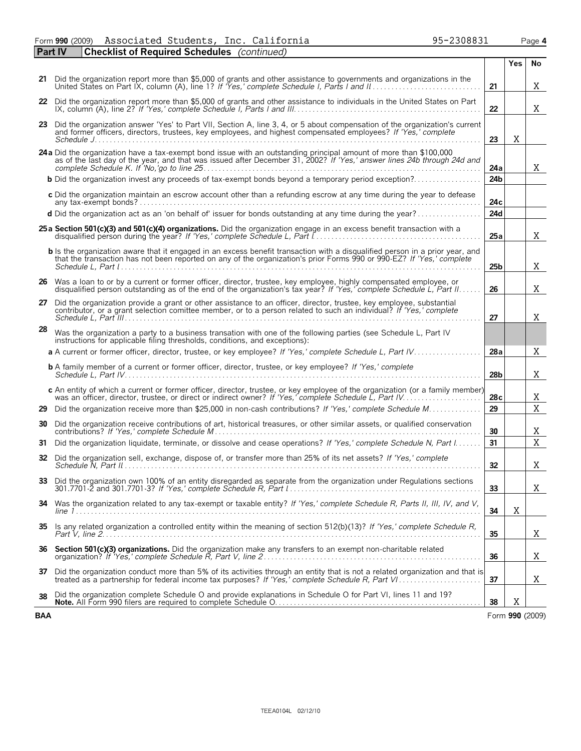Form **990** (2009) Associated Students, Inc. California 95-2308831 Page **4** Associated Students, Inc. California 95-2308831

| <b>Part IV</b> | <b>Checklist of Required Schedules</b> (continued)                                                                                                                                                                                                    |                 |     |                 |
|----------------|-------------------------------------------------------------------------------------------------------------------------------------------------------------------------------------------------------------------------------------------------------|-----------------|-----|-----------------|
|                |                                                                                                                                                                                                                                                       |                 | Yes | No              |
|                | 21 Did the organization report more than \$5,000 of grants and other assistance to governments and organizations in the                                                                                                                               | 21              |     | X               |
|                | 22 Did the organization report more than \$5,000 of grants and other assistance to individuals in the United States on Part                                                                                                                           | 22              |     | X               |
|                | 23 Did the organization answer 'Yes' to Part VII, Section A, line 3, 4, or 5 about compensation of the organization's current<br>and former officers, directors, trustees, key employees, and highest compensated employees? If 'Yes,' complete       | 23              | Χ   |                 |
|                | 24a Did the organization have a tax-exempt bond issue with an outstanding principal amount of more than \$100,000<br>as of the last day of the year, and that was issued after December 31, 2002? If 'Yes,' answer lines 24b throu                    | 24a             |     | X               |
|                | <b>b</b> Did the organization invest any proceeds of tax-exempt bonds beyond a temporary period exception?                                                                                                                                            | 24 <sub>b</sub> |     |                 |
|                | c Did the organization maintain an escrow account other than a refunding escrow at any time during the year to defease                                                                                                                                | 24c             |     |                 |
|                | d Did the organization act as an 'on behalf of' issuer for bonds outstanding at any time during the year?                                                                                                                                             | 24d             |     |                 |
|                | 25 a Section 501(c)(3) and 501(c)(4) organizations. Did the organization engage in an excess benefit transaction with a                                                                                                                               | 25a             |     | Χ               |
|                | b is the organization aware that it engaged in an excess benefit transaction with a disqualified person in a prior year, and<br>that the transaction has not been reported on any of the organization's prior Forms 990 or 990-EZ? If 'Yes,' complete | 25 <sub>b</sub> |     | Χ               |
|                | 26 Was a loan to or by a current or former officer, director, trustee, key employee, highly compensated employee, or<br>disqualified person outstanding as of the end of the organization's tax year? If 'Yes,' complete Schedule L, Part II.         | 26              |     | Χ               |
|                | 27 Did the organization provide a grant or other assistance to an officer, director, trustee, key employee, substantial<br>contributor, or a grant selection comittee member, or to a person related to such an individual? If 'Yes,' complete        | 27              |     | X               |
| 28             | Was the organization a party to a business transation with one of the following parties (see Schedule L, Part IV<br>instructions for applicable filing thresholds, conditions, and exceptions):                                                       |                 |     |                 |
|                |                                                                                                                                                                                                                                                       | 28a             |     | X               |
|                | <b>b</b> A family member of a current or former officer, director, trustee, or key employee? If 'Yes,' complete                                                                                                                                       | 28b             |     | Χ               |
|                | c An entity of which a current or former officer, director, trustee, or key employee of the organization (or a family member)                                                                                                                         | 28c             |     | Χ               |
|                | 29 Did the organization receive more than \$25,000 in non-cash contributions? If 'Yes,' complete Schedule M                                                                                                                                           | 29              |     | $\mathbf X$     |
| 30             | Did the organization receive contributions of art, historical treasures, or other similar assets, or qualified conservation                                                                                                                           | 30              |     | Χ               |
| 31             | Did the organization liquidate, terminate, or dissolve and cease operations? If 'Yes,' complete Schedule N, Part I.                                                                                                                                   | 31              |     | $\mathbf X$     |
|                | 32 Did the organization sell, exchange, dispose of, or transfer more than 25% of its net assets? If 'Yes,' complete                                                                                                                                   | 32              |     | Χ               |
|                | 33 Did the organization own 100% of an entity disregarded as separate from the organization under Regulations sections                                                                                                                                | 33              |     | X               |
| 34             | Was the organization related to any tax-exempt or taxable entity? If 'Yes,' complete Schedule R, Parts II, III, IV, and V,                                                                                                                            | 34              | X   |                 |
| 35             | Is any related organization a controlled entity within the meaning of section 512(b)(13)? If 'Yes,' complete Schedule R,                                                                                                                              | 35              |     | Χ               |
|                | 36 Section 501(c)(3) organizations. Did the organization make any transfers to an exempt non-charitable related                                                                                                                                       | 36              |     | Χ               |
|                | 37 Did the organization conduct more than 5% of its activities through an entity that is not a related organization and that is<br>treated as a partnership for federal income tax purposes? If 'Yes,' complete Schedule R, Part VI.                  | 37              |     | Χ               |
| 38             | Did the organization complete Schedule O and provide explanations in Schedule O for Part VI, lines 11 and 19?                                                                                                                                         | 38              | Χ   |                 |
| <b>BAA</b>     |                                                                                                                                                                                                                                                       |                 |     | Form 990 (2009) |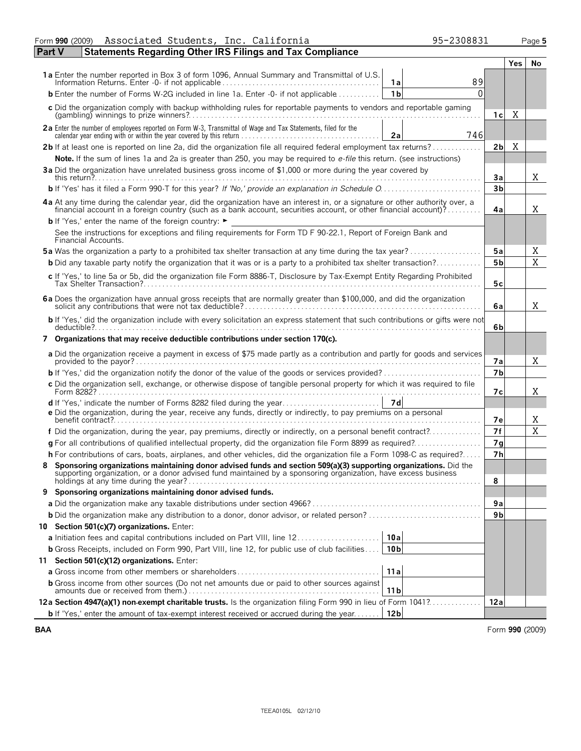| <b>Yes</b><br>No<br>89<br>1а<br>$\Omega$<br><b>b</b> Enter the number of Forms W-2G included in line 1a. Enter -0- if not applicable<br>1 <sub>b</sub><br>c Did the organization comply with backup withholding rules for reportable payments to vendors and reportable gaming<br>Χ<br>1 c l<br>2a Enter the number of employees reported on Form W-3, Transmittal of Wage and Tax Statements, filed for the<br>746<br>2a<br>2b If at least one is reported on line 2a, did the organization file all required federal employment tax returns?<br>X<br>2bl<br>Note. If the sum of lines 1a and 2a is greater than 250, you may be required to e-file this return. (see instructions)<br>3a Did the organization have unrelated business gross income of \$1,000 or more during the year covered by<br>X<br>3a<br>3 <sub>b</sub><br><b>b</b> If 'Yes' has it filed a Form 990-T for this year? If 'No,' provide an explanation in Schedule O<br>4a At any time during the calendar year, did the organization have an interest in, or a signature or other authority over, a financial account in a foreign country (such as a bank account, securities account, or other fina<br>X<br>4a<br><b>b</b> If 'Yes,' enter the name of the foreign country: $\blacktriangleright$<br>See the instructions for exceptions and filing requirements for Form TD F 90-22.1, Report of Foreign Bank and<br>Financial Accounts.<br><b>5a</b> Was the organization a party to a prohibited tax shelter transaction at any time during the tax year?<br>5a<br>Χ<br>X<br><b>b</b> Did any taxable party notify the organization that it was or is a party to a prohibited tax shelter transaction?<br>5 <sub>b</sub><br>c If 'Yes,' to line 5a or 5b, did the organization file Form 8886-T, Disclosure by Tax-Exempt Entity Regarding Prohibited<br>5с<br>6a Does the organization have annual gross receipts that are normally greater than \$100,000, and did the organization<br>Χ<br>6a<br>b If 'Yes,' did the organization include with every solicitation an express statement that such contributions or gifts were not<br>6b<br>$deductible ? \ldots \ldots \ldots \ldots \ldots \ldots \ldots$<br>7 Organizations that may receive deductible contributions under section 170(c).<br>a Did the organization receive a payment in excess of \$75 made partly as a contribution and partly for goods and services<br>X<br>7а<br>7 <sub>b</sub><br>c Did the organization sell, exchange, or otherwise dispose of tangible personal property for which it was required to file<br>X<br>7с<br>d If 'Yes,' indicate the number of Forms 8282 filed during the year<br>7d<br>e Did the organization, during the year, receive any funds, directly or indirectly, to pay premiums on a personal<br>Χ<br>7е<br>X<br>f Did the organization, during the year, pay premiums, directly or indirectly, on a personal benefit contract?<br><b>7f</b><br>g For all contributions of qualified intellectual property, did the organization file Form 8899 as required?<br>7 <sub>g</sub><br>7 <sub>h</sub><br>h For contributions of cars, boats, airplanes, and other vehicles, did the organization file a Form 1098-C as required?<br>Sponsoring organizations maintaining donor advised funds and section 509(a)(3) supporting organizations. Did the<br>supporting organization, or a donor advised fund maintained by a sponsoring organization, have excess business<br>8<br>holdings at any time during the year?.<br>Sponsoring organizations maintaining donor advised funds.<br>9<br>9a<br>9 <sub>b</sub><br>10 Section 501(c)(7) organizations. Enter:<br>10a<br><b>a</b> Initiation fees and capital contributions included on Part VIII, line 12<br>10 <sub>b</sub><br><b>b</b> Gross Receipts, included on Form 990, Part VIII, line 12, for public use of club facilities<br>11 Section 501(c)(12) organizations. Enter:<br>11a<br><b>b</b> Gross income from other sources (Do not net amounts due or paid to other sources against<br>11 <sub>b</sub><br>12a Section 4947(a)(1) non-exempt charitable trusts. Is the organization filing Form 990 in lieu of Form 1041?<br>12a<br>12 <sub>b</sub><br><b>b</b> If 'Yes,' enter the amount of tax-exempt interest received or accrued during the year | Associated Students, Inc. California<br>95-2308831<br>Form 990 (2009)      |  | Page 5 |
|---------------------------------------------------------------------------------------------------------------------------------------------------------------------------------------------------------------------------------------------------------------------------------------------------------------------------------------------------------------------------------------------------------------------------------------------------------------------------------------------------------------------------------------------------------------------------------------------------------------------------------------------------------------------------------------------------------------------------------------------------------------------------------------------------------------------------------------------------------------------------------------------------------------------------------------------------------------------------------------------------------------------------------------------------------------------------------------------------------------------------------------------------------------------------------------------------------------------------------------------------------------------------------------------------------------------------------------------------------------------------------------------------------------------------------------------------------------------------------------------------------------------------------------------------------------------------------------------------------------------------------------------------------------------------------------------------------------------------------------------------------------------------------------------------------------------------------------------------------------------------------------------------------------------------------------------------------------------------------------------------------------------------------------------------------------------------------------------------------------------------------------------------------------------------------------------------------------------------------------------------------------------------------------------------------------------------------------------------------------------------------------------------------------------------------------------------------------------------------------------------------------------------------------------------------------------------------------------------------------------------------------------------------------------------------------------------------------------------------------------------------------------------------------------------------------------------------------------------------------------------------------------------------------------------------------------------------------------------------------------------------------------------------------------------------------------------------------------------------------------------------------------------------------------------------------------------------------------------------------------------------------------------------------------------------------------------------------------------------------------------------------------------------------------------------------------------------------------------------------------------------------------------------------------------------------------------------------------------------------------------------------------------------------------------------------------------------------------------------------------------------------------------------------------------------------------------------------------------------------------------------------------------------------------------------------------------------------------------------------------------------------------------------------------------------------------------------------------------------------------------------------------------------------------------------------------------------------------------------------------------------------------------------------------------|----------------------------------------------------------------------------|--|--------|
|                                                                                                                                                                                                                                                                                                                                                                                                                                                                                                                                                                                                                                                                                                                                                                                                                                                                                                                                                                                                                                                                                                                                                                                                                                                                                                                                                                                                                                                                                                                                                                                                                                                                                                                                                                                                                                                                                                                                                                                                                                                                                                                                                                                                                                                                                                                                                                                                                                                                                                                                                                                                                                                                                                                                                                                                                                                                                                                                                                                                                                                                                                                                                                                                                                                                                                                                                                                                                                                                                                                                                                                                                                                                                                                                                                                                                                                                                                                                                                                                                                                                                                                                                                                                                                                                                                   | <b>Statements Regarding Other IRS Filings and Tax Compliance</b><br>Part V |  |        |
|                                                                                                                                                                                                                                                                                                                                                                                                                                                                                                                                                                                                                                                                                                                                                                                                                                                                                                                                                                                                                                                                                                                                                                                                                                                                                                                                                                                                                                                                                                                                                                                                                                                                                                                                                                                                                                                                                                                                                                                                                                                                                                                                                                                                                                                                                                                                                                                                                                                                                                                                                                                                                                                                                                                                                                                                                                                                                                                                                                                                                                                                                                                                                                                                                                                                                                                                                                                                                                                                                                                                                                                                                                                                                                                                                                                                                                                                                                                                                                                                                                                                                                                                                                                                                                                                                                   |                                                                            |  |        |
|                                                                                                                                                                                                                                                                                                                                                                                                                                                                                                                                                                                                                                                                                                                                                                                                                                                                                                                                                                                                                                                                                                                                                                                                                                                                                                                                                                                                                                                                                                                                                                                                                                                                                                                                                                                                                                                                                                                                                                                                                                                                                                                                                                                                                                                                                                                                                                                                                                                                                                                                                                                                                                                                                                                                                                                                                                                                                                                                                                                                                                                                                                                                                                                                                                                                                                                                                                                                                                                                                                                                                                                                                                                                                                                                                                                                                                                                                                                                                                                                                                                                                                                                                                                                                                                                                                   |                                                                            |  |        |
|                                                                                                                                                                                                                                                                                                                                                                                                                                                                                                                                                                                                                                                                                                                                                                                                                                                                                                                                                                                                                                                                                                                                                                                                                                                                                                                                                                                                                                                                                                                                                                                                                                                                                                                                                                                                                                                                                                                                                                                                                                                                                                                                                                                                                                                                                                                                                                                                                                                                                                                                                                                                                                                                                                                                                                                                                                                                                                                                                                                                                                                                                                                                                                                                                                                                                                                                                                                                                                                                                                                                                                                                                                                                                                                                                                                                                                                                                                                                                                                                                                                                                                                                                                                                                                                                                                   |                                                                            |  |        |
|                                                                                                                                                                                                                                                                                                                                                                                                                                                                                                                                                                                                                                                                                                                                                                                                                                                                                                                                                                                                                                                                                                                                                                                                                                                                                                                                                                                                                                                                                                                                                                                                                                                                                                                                                                                                                                                                                                                                                                                                                                                                                                                                                                                                                                                                                                                                                                                                                                                                                                                                                                                                                                                                                                                                                                                                                                                                                                                                                                                                                                                                                                                                                                                                                                                                                                                                                                                                                                                                                                                                                                                                                                                                                                                                                                                                                                                                                                                                                                                                                                                                                                                                                                                                                                                                                                   |                                                                            |  |        |
|                                                                                                                                                                                                                                                                                                                                                                                                                                                                                                                                                                                                                                                                                                                                                                                                                                                                                                                                                                                                                                                                                                                                                                                                                                                                                                                                                                                                                                                                                                                                                                                                                                                                                                                                                                                                                                                                                                                                                                                                                                                                                                                                                                                                                                                                                                                                                                                                                                                                                                                                                                                                                                                                                                                                                                                                                                                                                                                                                                                                                                                                                                                                                                                                                                                                                                                                                                                                                                                                                                                                                                                                                                                                                                                                                                                                                                                                                                                                                                                                                                                                                                                                                                                                                                                                                                   |                                                                            |  |        |
|                                                                                                                                                                                                                                                                                                                                                                                                                                                                                                                                                                                                                                                                                                                                                                                                                                                                                                                                                                                                                                                                                                                                                                                                                                                                                                                                                                                                                                                                                                                                                                                                                                                                                                                                                                                                                                                                                                                                                                                                                                                                                                                                                                                                                                                                                                                                                                                                                                                                                                                                                                                                                                                                                                                                                                                                                                                                                                                                                                                                                                                                                                                                                                                                                                                                                                                                                                                                                                                                                                                                                                                                                                                                                                                                                                                                                                                                                                                                                                                                                                                                                                                                                                                                                                                                                                   |                                                                            |  |        |
|                                                                                                                                                                                                                                                                                                                                                                                                                                                                                                                                                                                                                                                                                                                                                                                                                                                                                                                                                                                                                                                                                                                                                                                                                                                                                                                                                                                                                                                                                                                                                                                                                                                                                                                                                                                                                                                                                                                                                                                                                                                                                                                                                                                                                                                                                                                                                                                                                                                                                                                                                                                                                                                                                                                                                                                                                                                                                                                                                                                                                                                                                                                                                                                                                                                                                                                                                                                                                                                                                                                                                                                                                                                                                                                                                                                                                                                                                                                                                                                                                                                                                                                                                                                                                                                                                                   |                                                                            |  |        |
|                                                                                                                                                                                                                                                                                                                                                                                                                                                                                                                                                                                                                                                                                                                                                                                                                                                                                                                                                                                                                                                                                                                                                                                                                                                                                                                                                                                                                                                                                                                                                                                                                                                                                                                                                                                                                                                                                                                                                                                                                                                                                                                                                                                                                                                                                                                                                                                                                                                                                                                                                                                                                                                                                                                                                                                                                                                                                                                                                                                                                                                                                                                                                                                                                                                                                                                                                                                                                                                                                                                                                                                                                                                                                                                                                                                                                                                                                                                                                                                                                                                                                                                                                                                                                                                                                                   |                                                                            |  |        |
|                                                                                                                                                                                                                                                                                                                                                                                                                                                                                                                                                                                                                                                                                                                                                                                                                                                                                                                                                                                                                                                                                                                                                                                                                                                                                                                                                                                                                                                                                                                                                                                                                                                                                                                                                                                                                                                                                                                                                                                                                                                                                                                                                                                                                                                                                                                                                                                                                                                                                                                                                                                                                                                                                                                                                                                                                                                                                                                                                                                                                                                                                                                                                                                                                                                                                                                                                                                                                                                                                                                                                                                                                                                                                                                                                                                                                                                                                                                                                                                                                                                                                                                                                                                                                                                                                                   |                                                                            |  |        |
|                                                                                                                                                                                                                                                                                                                                                                                                                                                                                                                                                                                                                                                                                                                                                                                                                                                                                                                                                                                                                                                                                                                                                                                                                                                                                                                                                                                                                                                                                                                                                                                                                                                                                                                                                                                                                                                                                                                                                                                                                                                                                                                                                                                                                                                                                                                                                                                                                                                                                                                                                                                                                                                                                                                                                                                                                                                                                                                                                                                                                                                                                                                                                                                                                                                                                                                                                                                                                                                                                                                                                                                                                                                                                                                                                                                                                                                                                                                                                                                                                                                                                                                                                                                                                                                                                                   |                                                                            |  |        |
|                                                                                                                                                                                                                                                                                                                                                                                                                                                                                                                                                                                                                                                                                                                                                                                                                                                                                                                                                                                                                                                                                                                                                                                                                                                                                                                                                                                                                                                                                                                                                                                                                                                                                                                                                                                                                                                                                                                                                                                                                                                                                                                                                                                                                                                                                                                                                                                                                                                                                                                                                                                                                                                                                                                                                                                                                                                                                                                                                                                                                                                                                                                                                                                                                                                                                                                                                                                                                                                                                                                                                                                                                                                                                                                                                                                                                                                                                                                                                                                                                                                                                                                                                                                                                                                                                                   |                                                                            |  |        |
|                                                                                                                                                                                                                                                                                                                                                                                                                                                                                                                                                                                                                                                                                                                                                                                                                                                                                                                                                                                                                                                                                                                                                                                                                                                                                                                                                                                                                                                                                                                                                                                                                                                                                                                                                                                                                                                                                                                                                                                                                                                                                                                                                                                                                                                                                                                                                                                                                                                                                                                                                                                                                                                                                                                                                                                                                                                                                                                                                                                                                                                                                                                                                                                                                                                                                                                                                                                                                                                                                                                                                                                                                                                                                                                                                                                                                                                                                                                                                                                                                                                                                                                                                                                                                                                                                                   |                                                                            |  |        |
|                                                                                                                                                                                                                                                                                                                                                                                                                                                                                                                                                                                                                                                                                                                                                                                                                                                                                                                                                                                                                                                                                                                                                                                                                                                                                                                                                                                                                                                                                                                                                                                                                                                                                                                                                                                                                                                                                                                                                                                                                                                                                                                                                                                                                                                                                                                                                                                                                                                                                                                                                                                                                                                                                                                                                                                                                                                                                                                                                                                                                                                                                                                                                                                                                                                                                                                                                                                                                                                                                                                                                                                                                                                                                                                                                                                                                                                                                                                                                                                                                                                                                                                                                                                                                                                                                                   |                                                                            |  |        |
|                                                                                                                                                                                                                                                                                                                                                                                                                                                                                                                                                                                                                                                                                                                                                                                                                                                                                                                                                                                                                                                                                                                                                                                                                                                                                                                                                                                                                                                                                                                                                                                                                                                                                                                                                                                                                                                                                                                                                                                                                                                                                                                                                                                                                                                                                                                                                                                                                                                                                                                                                                                                                                                                                                                                                                                                                                                                                                                                                                                                                                                                                                                                                                                                                                                                                                                                                                                                                                                                                                                                                                                                                                                                                                                                                                                                                                                                                                                                                                                                                                                                                                                                                                                                                                                                                                   |                                                                            |  |        |
|                                                                                                                                                                                                                                                                                                                                                                                                                                                                                                                                                                                                                                                                                                                                                                                                                                                                                                                                                                                                                                                                                                                                                                                                                                                                                                                                                                                                                                                                                                                                                                                                                                                                                                                                                                                                                                                                                                                                                                                                                                                                                                                                                                                                                                                                                                                                                                                                                                                                                                                                                                                                                                                                                                                                                                                                                                                                                                                                                                                                                                                                                                                                                                                                                                                                                                                                                                                                                                                                                                                                                                                                                                                                                                                                                                                                                                                                                                                                                                                                                                                                                                                                                                                                                                                                                                   |                                                                            |  |        |
|                                                                                                                                                                                                                                                                                                                                                                                                                                                                                                                                                                                                                                                                                                                                                                                                                                                                                                                                                                                                                                                                                                                                                                                                                                                                                                                                                                                                                                                                                                                                                                                                                                                                                                                                                                                                                                                                                                                                                                                                                                                                                                                                                                                                                                                                                                                                                                                                                                                                                                                                                                                                                                                                                                                                                                                                                                                                                                                                                                                                                                                                                                                                                                                                                                                                                                                                                                                                                                                                                                                                                                                                                                                                                                                                                                                                                                                                                                                                                                                                                                                                                                                                                                                                                                                                                                   |                                                                            |  |        |
|                                                                                                                                                                                                                                                                                                                                                                                                                                                                                                                                                                                                                                                                                                                                                                                                                                                                                                                                                                                                                                                                                                                                                                                                                                                                                                                                                                                                                                                                                                                                                                                                                                                                                                                                                                                                                                                                                                                                                                                                                                                                                                                                                                                                                                                                                                                                                                                                                                                                                                                                                                                                                                                                                                                                                                                                                                                                                                                                                                                                                                                                                                                                                                                                                                                                                                                                                                                                                                                                                                                                                                                                                                                                                                                                                                                                                                                                                                                                                                                                                                                                                                                                                                                                                                                                                                   |                                                                            |  |        |
|                                                                                                                                                                                                                                                                                                                                                                                                                                                                                                                                                                                                                                                                                                                                                                                                                                                                                                                                                                                                                                                                                                                                                                                                                                                                                                                                                                                                                                                                                                                                                                                                                                                                                                                                                                                                                                                                                                                                                                                                                                                                                                                                                                                                                                                                                                                                                                                                                                                                                                                                                                                                                                                                                                                                                                                                                                                                                                                                                                                                                                                                                                                                                                                                                                                                                                                                                                                                                                                                                                                                                                                                                                                                                                                                                                                                                                                                                                                                                                                                                                                                                                                                                                                                                                                                                                   |                                                                            |  |        |
|                                                                                                                                                                                                                                                                                                                                                                                                                                                                                                                                                                                                                                                                                                                                                                                                                                                                                                                                                                                                                                                                                                                                                                                                                                                                                                                                                                                                                                                                                                                                                                                                                                                                                                                                                                                                                                                                                                                                                                                                                                                                                                                                                                                                                                                                                                                                                                                                                                                                                                                                                                                                                                                                                                                                                                                                                                                                                                                                                                                                                                                                                                                                                                                                                                                                                                                                                                                                                                                                                                                                                                                                                                                                                                                                                                                                                                                                                                                                                                                                                                                                                                                                                                                                                                                                                                   |                                                                            |  |        |
|                                                                                                                                                                                                                                                                                                                                                                                                                                                                                                                                                                                                                                                                                                                                                                                                                                                                                                                                                                                                                                                                                                                                                                                                                                                                                                                                                                                                                                                                                                                                                                                                                                                                                                                                                                                                                                                                                                                                                                                                                                                                                                                                                                                                                                                                                                                                                                                                                                                                                                                                                                                                                                                                                                                                                                                                                                                                                                                                                                                                                                                                                                                                                                                                                                                                                                                                                                                                                                                                                                                                                                                                                                                                                                                                                                                                                                                                                                                                                                                                                                                                                                                                                                                                                                                                                                   |                                                                            |  |        |
|                                                                                                                                                                                                                                                                                                                                                                                                                                                                                                                                                                                                                                                                                                                                                                                                                                                                                                                                                                                                                                                                                                                                                                                                                                                                                                                                                                                                                                                                                                                                                                                                                                                                                                                                                                                                                                                                                                                                                                                                                                                                                                                                                                                                                                                                                                                                                                                                                                                                                                                                                                                                                                                                                                                                                                                                                                                                                                                                                                                                                                                                                                                                                                                                                                                                                                                                                                                                                                                                                                                                                                                                                                                                                                                                                                                                                                                                                                                                                                                                                                                                                                                                                                                                                                                                                                   |                                                                            |  |        |
|                                                                                                                                                                                                                                                                                                                                                                                                                                                                                                                                                                                                                                                                                                                                                                                                                                                                                                                                                                                                                                                                                                                                                                                                                                                                                                                                                                                                                                                                                                                                                                                                                                                                                                                                                                                                                                                                                                                                                                                                                                                                                                                                                                                                                                                                                                                                                                                                                                                                                                                                                                                                                                                                                                                                                                                                                                                                                                                                                                                                                                                                                                                                                                                                                                                                                                                                                                                                                                                                                                                                                                                                                                                                                                                                                                                                                                                                                                                                                                                                                                                                                                                                                                                                                                                                                                   |                                                                            |  |        |
|                                                                                                                                                                                                                                                                                                                                                                                                                                                                                                                                                                                                                                                                                                                                                                                                                                                                                                                                                                                                                                                                                                                                                                                                                                                                                                                                                                                                                                                                                                                                                                                                                                                                                                                                                                                                                                                                                                                                                                                                                                                                                                                                                                                                                                                                                                                                                                                                                                                                                                                                                                                                                                                                                                                                                                                                                                                                                                                                                                                                                                                                                                                                                                                                                                                                                                                                                                                                                                                                                                                                                                                                                                                                                                                                                                                                                                                                                                                                                                                                                                                                                                                                                                                                                                                                                                   |                                                                            |  |        |
|                                                                                                                                                                                                                                                                                                                                                                                                                                                                                                                                                                                                                                                                                                                                                                                                                                                                                                                                                                                                                                                                                                                                                                                                                                                                                                                                                                                                                                                                                                                                                                                                                                                                                                                                                                                                                                                                                                                                                                                                                                                                                                                                                                                                                                                                                                                                                                                                                                                                                                                                                                                                                                                                                                                                                                                                                                                                                                                                                                                                                                                                                                                                                                                                                                                                                                                                                                                                                                                                                                                                                                                                                                                                                                                                                                                                                                                                                                                                                                                                                                                                                                                                                                                                                                                                                                   |                                                                            |  |        |
|                                                                                                                                                                                                                                                                                                                                                                                                                                                                                                                                                                                                                                                                                                                                                                                                                                                                                                                                                                                                                                                                                                                                                                                                                                                                                                                                                                                                                                                                                                                                                                                                                                                                                                                                                                                                                                                                                                                                                                                                                                                                                                                                                                                                                                                                                                                                                                                                                                                                                                                                                                                                                                                                                                                                                                                                                                                                                                                                                                                                                                                                                                                                                                                                                                                                                                                                                                                                                                                                                                                                                                                                                                                                                                                                                                                                                                                                                                                                                                                                                                                                                                                                                                                                                                                                                                   |                                                                            |  |        |
|                                                                                                                                                                                                                                                                                                                                                                                                                                                                                                                                                                                                                                                                                                                                                                                                                                                                                                                                                                                                                                                                                                                                                                                                                                                                                                                                                                                                                                                                                                                                                                                                                                                                                                                                                                                                                                                                                                                                                                                                                                                                                                                                                                                                                                                                                                                                                                                                                                                                                                                                                                                                                                                                                                                                                                                                                                                                                                                                                                                                                                                                                                                                                                                                                                                                                                                                                                                                                                                                                                                                                                                                                                                                                                                                                                                                                                                                                                                                                                                                                                                                                                                                                                                                                                                                                                   |                                                                            |  |        |
|                                                                                                                                                                                                                                                                                                                                                                                                                                                                                                                                                                                                                                                                                                                                                                                                                                                                                                                                                                                                                                                                                                                                                                                                                                                                                                                                                                                                                                                                                                                                                                                                                                                                                                                                                                                                                                                                                                                                                                                                                                                                                                                                                                                                                                                                                                                                                                                                                                                                                                                                                                                                                                                                                                                                                                                                                                                                                                                                                                                                                                                                                                                                                                                                                                                                                                                                                                                                                                                                                                                                                                                                                                                                                                                                                                                                                                                                                                                                                                                                                                                                                                                                                                                                                                                                                                   |                                                                            |  |        |
|                                                                                                                                                                                                                                                                                                                                                                                                                                                                                                                                                                                                                                                                                                                                                                                                                                                                                                                                                                                                                                                                                                                                                                                                                                                                                                                                                                                                                                                                                                                                                                                                                                                                                                                                                                                                                                                                                                                                                                                                                                                                                                                                                                                                                                                                                                                                                                                                                                                                                                                                                                                                                                                                                                                                                                                                                                                                                                                                                                                                                                                                                                                                                                                                                                                                                                                                                                                                                                                                                                                                                                                                                                                                                                                                                                                                                                                                                                                                                                                                                                                                                                                                                                                                                                                                                                   |                                                                            |  |        |
|                                                                                                                                                                                                                                                                                                                                                                                                                                                                                                                                                                                                                                                                                                                                                                                                                                                                                                                                                                                                                                                                                                                                                                                                                                                                                                                                                                                                                                                                                                                                                                                                                                                                                                                                                                                                                                                                                                                                                                                                                                                                                                                                                                                                                                                                                                                                                                                                                                                                                                                                                                                                                                                                                                                                                                                                                                                                                                                                                                                                                                                                                                                                                                                                                                                                                                                                                                                                                                                                                                                                                                                                                                                                                                                                                                                                                                                                                                                                                                                                                                                                                                                                                                                                                                                                                                   |                                                                            |  |        |
|                                                                                                                                                                                                                                                                                                                                                                                                                                                                                                                                                                                                                                                                                                                                                                                                                                                                                                                                                                                                                                                                                                                                                                                                                                                                                                                                                                                                                                                                                                                                                                                                                                                                                                                                                                                                                                                                                                                                                                                                                                                                                                                                                                                                                                                                                                                                                                                                                                                                                                                                                                                                                                                                                                                                                                                                                                                                                                                                                                                                                                                                                                                                                                                                                                                                                                                                                                                                                                                                                                                                                                                                                                                                                                                                                                                                                                                                                                                                                                                                                                                                                                                                                                                                                                                                                                   |                                                                            |  |        |
|                                                                                                                                                                                                                                                                                                                                                                                                                                                                                                                                                                                                                                                                                                                                                                                                                                                                                                                                                                                                                                                                                                                                                                                                                                                                                                                                                                                                                                                                                                                                                                                                                                                                                                                                                                                                                                                                                                                                                                                                                                                                                                                                                                                                                                                                                                                                                                                                                                                                                                                                                                                                                                                                                                                                                                                                                                                                                                                                                                                                                                                                                                                                                                                                                                                                                                                                                                                                                                                                                                                                                                                                                                                                                                                                                                                                                                                                                                                                                                                                                                                                                                                                                                                                                                                                                                   |                                                                            |  |        |
|                                                                                                                                                                                                                                                                                                                                                                                                                                                                                                                                                                                                                                                                                                                                                                                                                                                                                                                                                                                                                                                                                                                                                                                                                                                                                                                                                                                                                                                                                                                                                                                                                                                                                                                                                                                                                                                                                                                                                                                                                                                                                                                                                                                                                                                                                                                                                                                                                                                                                                                                                                                                                                                                                                                                                                                                                                                                                                                                                                                                                                                                                                                                                                                                                                                                                                                                                                                                                                                                                                                                                                                                                                                                                                                                                                                                                                                                                                                                                                                                                                                                                                                                                                                                                                                                                                   |                                                                            |  |        |
|                                                                                                                                                                                                                                                                                                                                                                                                                                                                                                                                                                                                                                                                                                                                                                                                                                                                                                                                                                                                                                                                                                                                                                                                                                                                                                                                                                                                                                                                                                                                                                                                                                                                                                                                                                                                                                                                                                                                                                                                                                                                                                                                                                                                                                                                                                                                                                                                                                                                                                                                                                                                                                                                                                                                                                                                                                                                                                                                                                                                                                                                                                                                                                                                                                                                                                                                                                                                                                                                                                                                                                                                                                                                                                                                                                                                                                                                                                                                                                                                                                                                                                                                                                                                                                                                                                   |                                                                            |  |        |
|                                                                                                                                                                                                                                                                                                                                                                                                                                                                                                                                                                                                                                                                                                                                                                                                                                                                                                                                                                                                                                                                                                                                                                                                                                                                                                                                                                                                                                                                                                                                                                                                                                                                                                                                                                                                                                                                                                                                                                                                                                                                                                                                                                                                                                                                                                                                                                                                                                                                                                                                                                                                                                                                                                                                                                                                                                                                                                                                                                                                                                                                                                                                                                                                                                                                                                                                                                                                                                                                                                                                                                                                                                                                                                                                                                                                                                                                                                                                                                                                                                                                                                                                                                                                                                                                                                   |                                                                            |  |        |
|                                                                                                                                                                                                                                                                                                                                                                                                                                                                                                                                                                                                                                                                                                                                                                                                                                                                                                                                                                                                                                                                                                                                                                                                                                                                                                                                                                                                                                                                                                                                                                                                                                                                                                                                                                                                                                                                                                                                                                                                                                                                                                                                                                                                                                                                                                                                                                                                                                                                                                                                                                                                                                                                                                                                                                                                                                                                                                                                                                                                                                                                                                                                                                                                                                                                                                                                                                                                                                                                                                                                                                                                                                                                                                                                                                                                                                                                                                                                                                                                                                                                                                                                                                                                                                                                                                   |                                                                            |  |        |
|                                                                                                                                                                                                                                                                                                                                                                                                                                                                                                                                                                                                                                                                                                                                                                                                                                                                                                                                                                                                                                                                                                                                                                                                                                                                                                                                                                                                                                                                                                                                                                                                                                                                                                                                                                                                                                                                                                                                                                                                                                                                                                                                                                                                                                                                                                                                                                                                                                                                                                                                                                                                                                                                                                                                                                                                                                                                                                                                                                                                                                                                                                                                                                                                                                                                                                                                                                                                                                                                                                                                                                                                                                                                                                                                                                                                                                                                                                                                                                                                                                                                                                                                                                                                                                                                                                   |                                                                            |  |        |
|                                                                                                                                                                                                                                                                                                                                                                                                                                                                                                                                                                                                                                                                                                                                                                                                                                                                                                                                                                                                                                                                                                                                                                                                                                                                                                                                                                                                                                                                                                                                                                                                                                                                                                                                                                                                                                                                                                                                                                                                                                                                                                                                                                                                                                                                                                                                                                                                                                                                                                                                                                                                                                                                                                                                                                                                                                                                                                                                                                                                                                                                                                                                                                                                                                                                                                                                                                                                                                                                                                                                                                                                                                                                                                                                                                                                                                                                                                                                                                                                                                                                                                                                                                                                                                                                                                   |                                                                            |  |        |
|                                                                                                                                                                                                                                                                                                                                                                                                                                                                                                                                                                                                                                                                                                                                                                                                                                                                                                                                                                                                                                                                                                                                                                                                                                                                                                                                                                                                                                                                                                                                                                                                                                                                                                                                                                                                                                                                                                                                                                                                                                                                                                                                                                                                                                                                                                                                                                                                                                                                                                                                                                                                                                                                                                                                                                                                                                                                                                                                                                                                                                                                                                                                                                                                                                                                                                                                                                                                                                                                                                                                                                                                                                                                                                                                                                                                                                                                                                                                                                                                                                                                                                                                                                                                                                                                                                   |                                                                            |  |        |

**BAA** Form **990** (2009)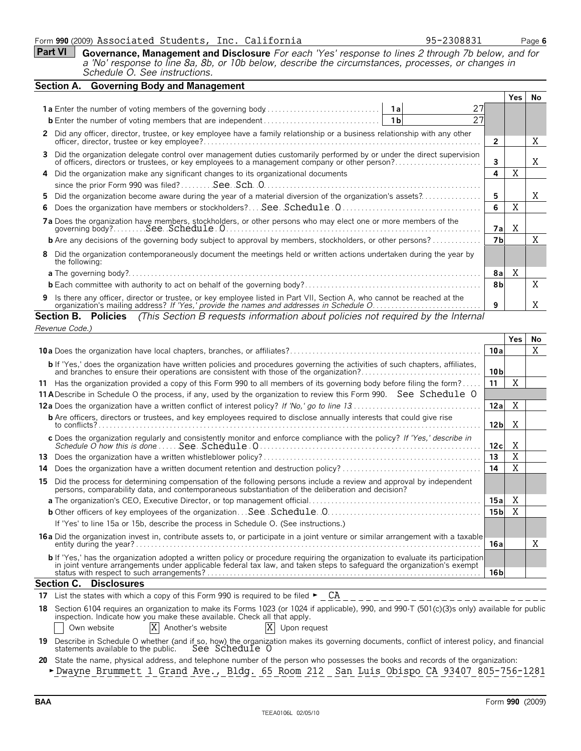#### Form **990** (2009) Page **6** Associated Students, Inc. California 95-2308831

**Part VI Governance, Management and Disclosure** *For each 'Yes' response to lines 2 through 7b below, and for*

| <b>Contract indicate the property of the contract of the contract of the contract of the contract of the contract o</b>             |  |
|-------------------------------------------------------------------------------------------------------------------------------------|--|
| a 'No' response to line 8a, 8b, or 10b below, describe the circumstances, processes, or changes in<br>Schedule O. See instructions. |  |

| Yes. | No. |
|------|-----|
|      |     |
|      |     |
|      |     |
|      | Χ   |
|      | Χ   |
| X    |     |
|      |     |
|      | X   |
| X    |     |
| X    |     |
|      | X   |
|      |     |
| Χ    |     |
|      | X   |
|      | Χ   |
|      |     |

| Revenue Code.)                                                                                                                                                                                                                                                   |                 |      |    |  |  |  |
|------------------------------------------------------------------------------------------------------------------------------------------------------------------------------------------------------------------------------------------------------------------|-----------------|------|----|--|--|--|
|                                                                                                                                                                                                                                                                  |                 | Yes. | No |  |  |  |
|                                                                                                                                                                                                                                                                  |                 |      |    |  |  |  |
| <b>b</b> If 'Yes,' does the organization have written policies and procedures governing the activities of such chapters, affiliates,                                                                                                                             | 10 <sub>b</sub> |      |    |  |  |  |
| 11 Has the organization provided a copy of this Form 990 to all members of its governing body before filing the form?                                                                                                                                            | 11              | Χ    |    |  |  |  |
| 11 A Describe in Schedule O the process, if any, used by the organization to review this Form 990. See Schedule O                                                                                                                                                |                 |      |    |  |  |  |
|                                                                                                                                                                                                                                                                  | 12a             | Χ    |    |  |  |  |
| <b>b</b> Are officers, directors or trustees, and key employees required to disclose annually interests that could give rise<br>to conflicts?                                                                                                                    | 12 <sub>b</sub> | X    |    |  |  |  |
| c Does the organization regularly and consistently monitor and enforce compliance with the policy? If 'Yes,' describe in<br>Schedule O how this is done  See Schedule 0.                                                                                         | 12c             | X    |    |  |  |  |
| 13.                                                                                                                                                                                                                                                              | 13              | X    |    |  |  |  |
| 14                                                                                                                                                                                                                                                               | 14              | X    |    |  |  |  |
| Did the process for determining compensation of the following persons include a review and approval by independent<br>15<br>persons, comparability data, and contemporaneous substantiation of the deliberation and decision?                                    |                 |      |    |  |  |  |
|                                                                                                                                                                                                                                                                  | 15a             | Χ    |    |  |  |  |
|                                                                                                                                                                                                                                                                  | 15 bl           | X    |    |  |  |  |
| If 'Yes' to line 15a or 15b, describe the process in Schedule O. (See instructions.)                                                                                                                                                                             |                 |      |    |  |  |  |
| 16a Did the organization invest in, contribute assets to, or participate in a joint venture or similar arrangement with a taxable                                                                                                                                | 16a             |      | X  |  |  |  |
| <b>b</b> If 'Yes,' has the organization adopted a written policy or procedure requiring the organization to evaluate its participation<br>in joint venture arrangements under applicable federal tax law, and taken steps to safeguard the organization's exempt | 16 bl           |      |    |  |  |  |
| <b>Section C. Disclosures</b>                                                                                                                                                                                                                                    |                 |      |    |  |  |  |

**17** List the states with which a copy of this Form 990 is required to be filed  $\blacktriangleright$   $\_\_$  CA

|             | inspection. Indicate how you make these available. Check all that apply. | 18 Section 6104 requires an organization to make its Forms 1023 (or 1024 if applicable), 990, and 990-T (501(c)(3)s only) available for public |
|-------------|--------------------------------------------------------------------------|------------------------------------------------------------------------------------------------------------------------------------------------|
| Own website | X Another's website                                                      | X Upon request                                                                                                                                 |

**19** Describe in Schedule O whether (and if so, how) the organization makes its governing documents, conflict of interest policy, and financial statements available to the public. See Schedule O

- **20** State the name, physical address, and telephone number of the person who possesses the books and records of the organization:
- **Dwayne Brummett 1 Grand Ave., Bldg. 65 Room 212 San Luis Obispo CA 93407 805-756-1281**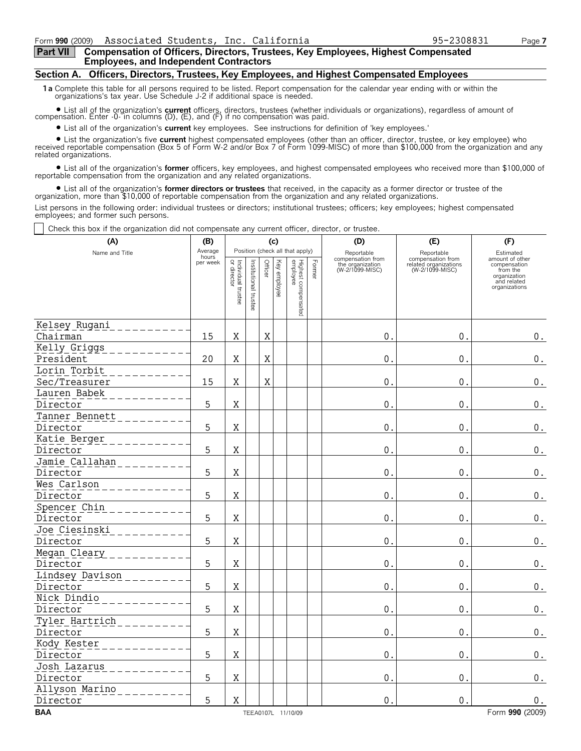### **Part VII Compensation of Officers, Directors, Trustees, Key Employees, Highest Compensated Employees, and Independent Contractors**

### **Section A. Officers, Directors, Trustees, Key Employees, and Highest Compensated Employees**

**1a** Complete this table for all persons required to be listed. Report compensation for the calendar year ending with or within the organizations's tax year. Use Schedule J-2 if additional space is needed.

? List all of the organization's **current** officers, directors, trustees (whether individuals or organizations), regardless of amount of compensation. Enter -0- in columns (D), (E), and (F) if no compensation was paid.

? List all of the organization's **current** key employees. See instructions for definition of 'key employees.'

? List the organization's five **current** highest compensated employees (other than an officer, director, trustee, or key employee) who received reportable compensation (Box 5 of Form W-2 and/or Box 7 of Form 1099-MISC) of more than \$100,000 from the organization and any related organizations.

? List all of the organization's **former** officers, key employees, and highest compensated employees who received more than \$100,000 of reportable compensation from the organization and any related organizations.

? List all of the organization's **former directors or trustees** that received, in the capacity as a former director or trustee of the organization, more than \$10,000 of reportable compensation from the organization and any related organizations.

List persons in the following order: individual trustees or directors; institutional trustees; officers; key employees; highest compensated employees; and former such persons.

Check this box if the organization did not compensate any current officer, director, or trustee.

| (A)                       | (B)              |                                   |                       |             | (c)          |                                 |        | (D)                                 | (E)                                      | (F)                                                                      |  |  |  |
|---------------------------|------------------|-----------------------------------|-----------------------|-------------|--------------|---------------------------------|--------|-------------------------------------|------------------------------------------|--------------------------------------------------------------------------|--|--|--|
| Name and Title            | Average<br>hours |                                   |                       |             |              | Position (check all that apply) |        | Reportable<br>compensation from     | Reportable<br>compensation from          | Estimated<br>amount of other                                             |  |  |  |
|                           | per week         | Individual trustee<br>or director | Institutional trustee |             | Key employee | Highest compensated<br>employee | Former | the organization<br>(W-2/1099-MISC) | related organizations<br>(W-2/1099-MISC) | compensation<br>from the<br>organization<br>and related<br>organizations |  |  |  |
|                           |                  |                                   |                       |             |              |                                 |        |                                     |                                          |                                                                          |  |  |  |
| Kelsey Rugani             |                  |                                   |                       |             |              |                                 |        |                                     |                                          |                                                                          |  |  |  |
| Chairman                  | 15               | $\mathbf X$                       |                       | $\mathbf X$ |              |                                 |        | $\mathsf{0}$ .                      | $0$ .                                    | $\boldsymbol{0}$ .                                                       |  |  |  |
| Kelly Griggs<br>President | 20               | $\mathbf X$                       |                       | $\mathbf X$ |              |                                 |        | 0.                                  | $\mathbf{0}$ .                           |                                                                          |  |  |  |
| Lorin Torbit              |                  |                                   |                       |             |              |                                 |        |                                     |                                          | $0_{.}$                                                                  |  |  |  |
| Sec/Treasurer             | 15               | X                                 |                       | X           |              |                                 |        | 0.                                  | 0.                                       | $0_{\cdot}$                                                              |  |  |  |
| Lauren Babek              |                  |                                   |                       |             |              |                                 |        |                                     |                                          |                                                                          |  |  |  |
| Director                  | 5                | $\mathbf X$                       |                       |             |              |                                 |        | $\overline{0}$ .                    | 0.                                       | $\mathbf 0$ .                                                            |  |  |  |
| Tanner Bennett            |                  |                                   |                       |             |              |                                 |        |                                     |                                          |                                                                          |  |  |  |
| Director                  | 5                | $\mathbf X$                       |                       |             |              |                                 |        | 0.                                  | 0.                                       | $\boldsymbol{0}$ .                                                       |  |  |  |
| Katie Berger              |                  |                                   |                       |             |              |                                 |        |                                     |                                          |                                                                          |  |  |  |
| Director                  | 5                | $\mathbf X$                       |                       |             |              |                                 |        | 0.                                  | 0.                                       | $\mathbf 0$ .                                                            |  |  |  |
| Jamie Callahan            |                  |                                   |                       |             |              |                                 |        |                                     |                                          |                                                                          |  |  |  |
| Director                  | 5                | $\mathbf X$                       |                       |             |              |                                 |        | 0.                                  | 0.                                       | $\boldsymbol{0}$ .                                                       |  |  |  |
| Wes Carlson               |                  |                                   |                       |             |              |                                 |        |                                     |                                          |                                                                          |  |  |  |
| Director                  | 5                | $\mathbf X$                       |                       |             |              |                                 |        | 0.                                  | 0.                                       | $\boldsymbol{0}$ .                                                       |  |  |  |
| Spencer Chin              |                  |                                   |                       |             |              |                                 |        |                                     |                                          |                                                                          |  |  |  |
| Director                  | 5                | $\mathbf X$                       |                       |             |              |                                 |        | $\mathbf{0}$ .                      | 0.                                       | $\boldsymbol{0}$ .                                                       |  |  |  |
| Joe Ciesinski             |                  |                                   |                       |             |              |                                 |        |                                     |                                          |                                                                          |  |  |  |
| Director                  | 5                | $\mathbf X$                       |                       |             |              |                                 |        | $\mathbf 0$ .                       | 0.                                       | $\mathbf 0$ .                                                            |  |  |  |
| Megan Cleary              |                  |                                   |                       |             |              |                                 |        |                                     |                                          |                                                                          |  |  |  |
| Director                  | 5                | $\mathbf X$                       |                       |             |              |                                 |        | 0.                                  | 0.                                       | $\boldsymbol{0}$ .                                                       |  |  |  |
| Lindsey Davison           |                  |                                   |                       |             |              |                                 |        |                                     |                                          |                                                                          |  |  |  |
| Director                  | 5                | $\mathbf X$                       |                       |             |              |                                 |        | 0.                                  | 0.                                       | $\boldsymbol{0}$ .                                                       |  |  |  |
| Nick Dindio               |                  |                                   |                       |             |              |                                 |        |                                     |                                          |                                                                          |  |  |  |
| Director                  | 5                | X                                 |                       |             |              |                                 |        | 0.                                  | 0.                                       | $\boldsymbol{0}$ .                                                       |  |  |  |
| Tyler Hartrich            |                  |                                   |                       |             |              |                                 |        |                                     |                                          |                                                                          |  |  |  |
| Director                  | 5                | $\mathbf X$                       |                       |             |              |                                 |        | $\mathbf{0}$ .                      | 0.                                       | $\boldsymbol{0}$ .                                                       |  |  |  |
| Kody Kester               |                  |                                   |                       |             |              |                                 |        |                                     |                                          |                                                                          |  |  |  |
| Director                  | 5                | $\rm X$                           |                       |             |              |                                 |        | $\overline{0}$ .                    | 0.                                       | $0$ .                                                                    |  |  |  |
| Josh Lazarus              |                  |                                   |                       |             |              |                                 |        |                                     |                                          |                                                                          |  |  |  |
| Director                  | 5                | X                                 |                       |             |              |                                 |        | 0.                                  | $0$ .                                    | $\boldsymbol{0}$ .                                                       |  |  |  |
| Allyson Marino            |                  |                                   |                       |             |              |                                 |        |                                     |                                          |                                                                          |  |  |  |
| Director                  | 5                | $\mathbf X$                       |                       |             |              |                                 |        | 0.                                  | 0.                                       | $\mathbf 0$ .                                                            |  |  |  |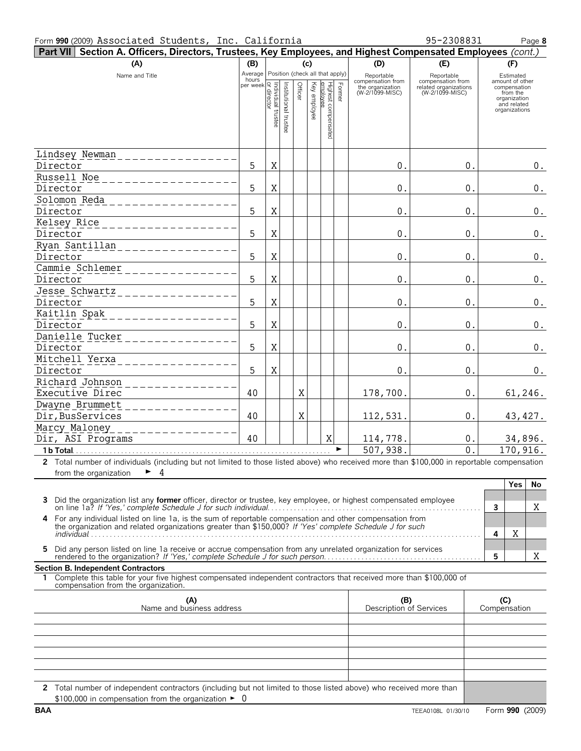#### Form **990** (2009) Page **8** Associated Students, Inc. California 95-2308831

| Part VII Section A. Officers, Directors, Trustees, Key Employees, and Highest Compensated Employees (cont.)                                                                                                        |                          |                          |                       |         |                                 |                                 |        |                                     |                                          |     |                              |
|--------------------------------------------------------------------------------------------------------------------------------------------------------------------------------------------------------------------|--------------------------|--------------------------|-----------------------|---------|---------------------------------|---------------------------------|--------|-------------------------------------|------------------------------------------|-----|------------------------------|
| (A)                                                                                                                                                                                                                | (D)<br>(E)<br>(B)<br>(c) |                          |                       |         |                                 |                                 |        |                                     | (F)                                      |     |                              |
| Name and Title                                                                                                                                                                                                     | Average<br>hours         |                          |                       |         | Position (check all that apply) |                                 |        | Reportable<br>compensation from     | Reportable<br>compensation from          |     | Estimated<br>amount of other |
|                                                                                                                                                                                                                    | per week                 | or directo<br>Individual |                       | Officer | Key employee                    | Highest compensated<br>employee | Former | the organization<br>(W-2/1099-MISC) | related organizations<br>(W-2/1099-MISC) |     | compensation<br>from the     |
|                                                                                                                                                                                                                    |                          |                          |                       |         |                                 |                                 |        |                                     |                                          |     | organization<br>and related  |
|                                                                                                                                                                                                                    |                          | truste                   |                       |         |                                 |                                 |        |                                     |                                          |     | organizations                |
|                                                                                                                                                                                                                    |                          |                          | Institutional trustee |         |                                 |                                 |        |                                     |                                          |     |                              |
|                                                                                                                                                                                                                    |                          |                          |                       |         |                                 |                                 |        |                                     |                                          |     |                              |
| Lindsey Newman                                                                                                                                                                                                     |                          |                          |                       |         |                                 |                                 |        |                                     |                                          |     |                              |
| Director                                                                                                                                                                                                           | 5                        | Χ                        |                       |         |                                 |                                 |        | 0.                                  | 0.                                       |     | $0_{.}$                      |
| Russell Noe                                                                                                                                                                                                        |                          |                          |                       |         |                                 |                                 |        |                                     |                                          |     |                              |
| Director                                                                                                                                                                                                           | 5                        | Χ                        |                       |         |                                 |                                 |        | 0.                                  | 0.                                       |     | $0$ .                        |
| Solomon Reda                                                                                                                                                                                                       |                          |                          |                       |         |                                 |                                 |        |                                     |                                          |     |                              |
| Director                                                                                                                                                                                                           | 5                        | Χ                        |                       |         |                                 |                                 |        | 0.                                  | 0.                                       |     | $0_{.}$                      |
| Kelsey Rice                                                                                                                                                                                                        |                          |                          |                       |         |                                 |                                 |        |                                     |                                          |     |                              |
| Director                                                                                                                                                                                                           | 5                        | Χ                        |                       |         |                                 |                                 |        | 0.                                  | 0.                                       |     | $0_{.}$                      |
| Ryan Santillan                                                                                                                                                                                                     |                          |                          |                       |         |                                 |                                 |        |                                     |                                          |     |                              |
| Director<br>Cammie Schlemer                                                                                                                                                                                        | 5                        | Χ                        |                       |         |                                 |                                 |        | 0.                                  | 0.                                       |     | $0$ .                        |
| Director                                                                                                                                                                                                           | 5                        | Χ                        |                       |         |                                 |                                 |        | 0.                                  | 0.                                       |     | $0_{.}$                      |
| Jesse Schwartz                                                                                                                                                                                                     |                          |                          |                       |         |                                 |                                 |        |                                     |                                          |     |                              |
| Director                                                                                                                                                                                                           | 5                        | Χ                        |                       |         |                                 |                                 |        | 0.                                  | 0.                                       |     | $0_{.}$                      |
| Kaitlin Spak                                                                                                                                                                                                       |                          |                          |                       |         |                                 |                                 |        |                                     |                                          |     |                              |
| Director                                                                                                                                                                                                           | 5                        | Χ                        |                       |         |                                 |                                 |        | 0.                                  | 0.                                       |     | $0$ .                        |
| Danielle Tucker                                                                                                                                                                                                    |                          |                          |                       |         |                                 |                                 |        |                                     |                                          |     |                              |
| Director                                                                                                                                                                                                           | 5                        | Χ                        |                       |         |                                 |                                 |        | 0.                                  | 0.                                       |     | $0$ .                        |
| Mitchell Yerxa                                                                                                                                                                                                     |                          |                          |                       |         |                                 |                                 |        |                                     |                                          |     |                              |
| Director                                                                                                                                                                                                           | 5                        | Χ                        |                       |         |                                 |                                 |        | 0.                                  | 0.                                       |     | $0$ .                        |
| Richard Johnson                                                                                                                                                                                                    |                          |                          |                       |         |                                 |                                 |        |                                     |                                          |     |                              |
| Executive Direc                                                                                                                                                                                                    | 40                       |                          |                       | Χ       |                                 |                                 |        | 178,700.                            | 0.                                       |     | 61,246.                      |
| Dwayne Brummett<br>Dir, BusServices                                                                                                                                                                                | 40                       |                          |                       | Χ       |                                 |                                 |        | 112,531                             | 0.                                       |     | 43, 427.                     |
| Marcy Maloney                                                                                                                                                                                                      |                          |                          |                       |         |                                 |                                 |        |                                     |                                          |     |                              |
| Dir, ASI Programs                                                                                                                                                                                                  | 40                       |                          |                       |         |                                 | X                               |        | 114,778.                            | 0.                                       |     | 34,896.                      |
| 1 b Total                                                                                                                                                                                                          |                          |                          |                       |         |                                 |                                 |        | 507,938.                            | $\Omega$                                 |     | 170,916.                     |
| 2 Total number of individuals (including but not limited to those listed above) who received more than \$100,000 in reportable compensation                                                                        |                          |                          |                       |         |                                 |                                 |        |                                     |                                          |     |                              |
| 4<br>from the organization                                                                                                                                                                                         |                          |                          |                       |         |                                 |                                 |        |                                     |                                          |     |                              |
|                                                                                                                                                                                                                    |                          |                          |                       |         |                                 |                                 |        |                                     |                                          |     | <b>Yes</b><br>No             |
| Did the organization list any former officer, director or trustee, key employee, or highest compensated employee<br>3                                                                                              |                          |                          |                       |         |                                 |                                 |        |                                     |                                          |     |                              |
|                                                                                                                                                                                                                    |                          |                          |                       |         |                                 |                                 |        |                                     |                                          | 3   | X                            |
| 4 For any individual listed on line 1a, is the sum of reportable compensation and other compensation from the organization and related organizations greater than \$150,000? If 'Yes' complete Schedule J for such |                          |                          |                       |         |                                 |                                 |        |                                     |                                          |     |                              |
|                                                                                                                                                                                                                    |                          |                          |                       |         |                                 |                                 |        |                                     |                                          | 4   | Χ                            |
| Did any person listed on line 1a receive or accrue compensation from any unrelated organization for services<br>5.                                                                                                 |                          |                          |                       |         |                                 |                                 |        |                                     |                                          |     |                              |
|                                                                                                                                                                                                                    |                          |                          |                       |         |                                 |                                 |        |                                     |                                          | 5   | Χ                            |
| <b>Section B. Independent Contractors</b><br>1 Complete this table for your five highest compensated independent contractors that received more than \$100,000 of                                                  |                          |                          |                       |         |                                 |                                 |        |                                     |                                          |     |                              |
| compensation from the organization.                                                                                                                                                                                |                          |                          |                       |         |                                 |                                 |        |                                     |                                          |     |                              |
| (A)                                                                                                                                                                                                                |                          |                          |                       |         |                                 |                                 |        | (B)                                 |                                          | (C) |                              |
| Description of Services<br>Name and business address                                                                                                                                                               |                          |                          |                       |         |                                 |                                 |        |                                     | Compensation                             |     |                              |
|                                                                                                                                                                                                                    |                          |                          |                       |         |                                 |                                 |        |                                     |                                          |     |                              |
|                                                                                                                                                                                                                    |                          |                          |                       |         |                                 |                                 |        |                                     |                                          |     |                              |
|                                                                                                                                                                                                                    |                          |                          |                       |         |                                 |                                 |        |                                     |                                          |     |                              |
|                                                                                                                                                                                                                    |                          |                          |                       |         |                                 |                                 |        |                                     |                                          |     |                              |
|                                                                                                                                                                                                                    |                          |                          |                       |         |                                 |                                 |        |                                     |                                          |     |                              |
| 2 Total number of independent contractors (including but not limited to those listed above) who received more than                                                                                                 |                          |                          |                       |         |                                 |                                 |        |                                     |                                          |     |                              |
| \$100,000 in compensation from the organization $\blacktriangleright$ 0                                                                                                                                            |                          |                          |                       |         |                                 |                                 |        |                                     |                                          |     |                              |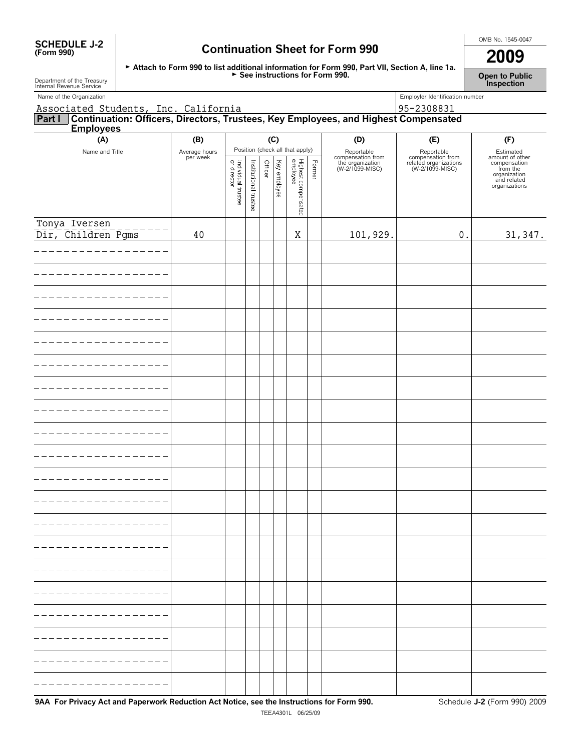| <b>SCHEDULE J-2</b> |  |
|---------------------|--|
| (Form 990)          |  |

# **OMB No. 1545-0047**<br>(Form 990) **Continuation Sheet for Form 990 2009**

| Attach to Form 990 to list additional information for Form 990, Part VII, Section A, line 1a. |  |
|-----------------------------------------------------------------------------------------------|--|
| $\triangleright$ See instructions for Form 990.                                               |  |

**Open to Public Inspection**

| Department of the Treasury<br>Internal Revenue Service                                                                                    |                           |                                   |                       |         |              |                                 |        |                                     |                                          | Inspection                                                                                  |
|-------------------------------------------------------------------------------------------------------------------------------------------|---------------------------|-----------------------------------|-----------------------|---------|--------------|---------------------------------|--------|-------------------------------------|------------------------------------------|---------------------------------------------------------------------------------------------|
| Name of the Organization                                                                                                                  |                           |                                   |                       |         |              |                                 |        |                                     | Employler Identification number          |                                                                                             |
| Associated Students, Inc. California<br><b>Part I</b> Continuation: Officers, Directors, Trustees, Key Employees, and Highest Compensated |                           |                                   |                       |         |              |                                 |        |                                     |                                          |                                                                                             |
| <b>Employees</b>                                                                                                                          |                           |                                   |                       |         |              |                                 |        |                                     |                                          |                                                                                             |
| (A)                                                                                                                                       | (B)                       |                                   |                       | (C)     |              |                                 |        | (D)                                 | (E)                                      | (F)                                                                                         |
| Name and Title                                                                                                                            | Average hours<br>per week |                                   |                       |         |              | Position (check all that apply) |        | Reportable<br>compensation from     | Reportable<br>compensation from          | Estimated                                                                                   |
|                                                                                                                                           |                           | Individual trustee<br>or director | Institutional trustee | Officer | Key employee |                                 | Former | the organization<br>(W-2/1099-MISC) | related organizations<br>(W-2/1099-MISC) | amount of other<br>compensation<br>from the<br>organization<br>and related<br>organizations |
|                                                                                                                                           |                           |                                   |                       |         |              | Highest compensated<br>employee |        |                                     |                                          |                                                                                             |
| Tonya Iversen                                                                                                                             |                           |                                   |                       |         |              |                                 |        |                                     |                                          |                                                                                             |
| Dir, Children Pgms                                                                                                                        | 40                        |                                   |                       |         |              | Χ                               |        | 101,929.                            | $\boldsymbol{0}$ .                       | 31, 347.                                                                                    |
|                                                                                                                                           |                           |                                   |                       |         |              |                                 |        |                                     |                                          |                                                                                             |
|                                                                                                                                           |                           |                                   |                       |         |              |                                 |        |                                     |                                          |                                                                                             |
|                                                                                                                                           |                           |                                   |                       |         |              |                                 |        |                                     |                                          |                                                                                             |
|                                                                                                                                           |                           |                                   |                       |         |              |                                 |        |                                     |                                          |                                                                                             |
|                                                                                                                                           |                           |                                   |                       |         |              |                                 |        |                                     |                                          |                                                                                             |
|                                                                                                                                           |                           |                                   |                       |         |              |                                 |        |                                     |                                          |                                                                                             |
|                                                                                                                                           |                           |                                   |                       |         |              |                                 |        |                                     |                                          |                                                                                             |
|                                                                                                                                           |                           |                                   |                       |         |              |                                 |        |                                     |                                          |                                                                                             |
|                                                                                                                                           |                           |                                   |                       |         |              |                                 |        |                                     |                                          |                                                                                             |
|                                                                                                                                           |                           |                                   |                       |         |              |                                 |        |                                     |                                          |                                                                                             |
|                                                                                                                                           |                           |                                   |                       |         |              |                                 |        |                                     |                                          |                                                                                             |
|                                                                                                                                           |                           |                                   |                       |         |              |                                 |        |                                     |                                          |                                                                                             |
|                                                                                                                                           |                           |                                   |                       |         |              |                                 |        |                                     |                                          |                                                                                             |
|                                                                                                                                           |                           |                                   |                       |         |              |                                 |        |                                     |                                          |                                                                                             |
|                                                                                                                                           |                           |                                   |                       |         |              |                                 |        |                                     |                                          |                                                                                             |
|                                                                                                                                           |                           |                                   |                       |         |              |                                 |        |                                     |                                          |                                                                                             |
|                                                                                                                                           |                           |                                   |                       |         |              |                                 |        |                                     |                                          |                                                                                             |
|                                                                                                                                           |                           |                                   |                       |         |              |                                 |        |                                     |                                          |                                                                                             |
|                                                                                                                                           |                           |                                   |                       |         |              |                                 |        |                                     |                                          |                                                                                             |
|                                                                                                                                           |                           |                                   |                       |         |              |                                 |        |                                     |                                          |                                                                                             |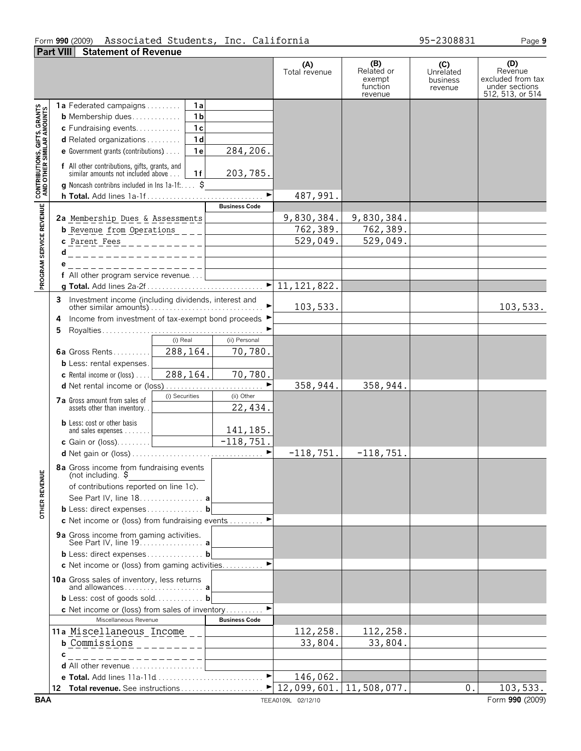### Form **990** (2009) Associated Students, Inc. California 95–2308831 Page **9 Part VIII Statement of Revenue**

|                                                                   |                                                                                                                                                            | (A)<br>Total revenue | (B)<br>Related or<br>exempt<br>function<br>revenue | (C)<br>Unrelated<br>business<br>revenue | (D)<br>Revenue<br>excluded from tax<br>under sections<br>512, 513, or 514 |
|-------------------------------------------------------------------|------------------------------------------------------------------------------------------------------------------------------------------------------------|----------------------|----------------------------------------------------|-----------------------------------------|---------------------------------------------------------------------------|
|                                                                   | 1 a<br><b>1a</b> Federated campaigns                                                                                                                       |                      |                                                    |                                         |                                                                           |
|                                                                   | 1 <sub>b</sub><br><b>b</b> Membership dues                                                                                                                 |                      |                                                    |                                         |                                                                           |
|                                                                   | 1 <sub>c</sub><br>c Fundraising events                                                                                                                     |                      |                                                    |                                         |                                                                           |
|                                                                   | 1 <sub>d</sub><br>d Related organizations                                                                                                                  |                      |                                                    |                                         |                                                                           |
|                                                                   | 284,206.<br>1e<br>e Government grants (contributions)                                                                                                      |                      |                                                    |                                         |                                                                           |
| <b>CONTRIBUTIONS, GIFTS, GRANTS<br/>AND OTHER SIMILAR AMOUNTS</b> | <b>f</b> All other contributions, gifts, grants, and similar amounts not included above<br>203,785.<br>1f<br>g Noncash contribns included in lns 1a-1f: \$ |                      |                                                    |                                         |                                                                           |
|                                                                   |                                                                                                                                                            | 487,991.             |                                                    |                                         |                                                                           |
|                                                                   | <b>Business Code</b>                                                                                                                                       |                      |                                                    |                                         |                                                                           |
|                                                                   | 2a Membership Dues & Assessments                                                                                                                           | 9,830,384.           | 9,830,384.                                         |                                         |                                                                           |
|                                                                   | <b>b</b> Revenue from Operations                                                                                                                           | 762,389.             | 762,389.                                           |                                         |                                                                           |
|                                                                   | c Parent Fees____________                                                                                                                                  | 529,049.             | 529,049.                                           |                                         |                                                                           |
|                                                                   | _______________                                                                                                                                            |                      |                                                    |                                         |                                                                           |
|                                                                   | _ _ _ _ _ _ _ _ _ _ _ _ _ _ _ _                                                                                                                            |                      |                                                    |                                         |                                                                           |
| PROGRAM SERVICE REVENUE                                           | f All other program service revenue                                                                                                                        |                      |                                                    |                                         |                                                                           |
|                                                                   |                                                                                                                                                            |                      |                                                    |                                         |                                                                           |
|                                                                   |                                                                                                                                                            | 103,533.             |                                                    |                                         | 103,533.                                                                  |
|                                                                   | Income from investment of tax-exempt bond proceeds ▶<br>4                                                                                                  |                      |                                                    |                                         |                                                                           |
|                                                                   | 5                                                                                                                                                          |                      |                                                    |                                         |                                                                           |
|                                                                   | (i) Real<br>(ii) Personal                                                                                                                                  |                      |                                                    |                                         |                                                                           |
|                                                                   | 288,164.<br>70,780.<br>6a Gross Rents                                                                                                                      |                      |                                                    |                                         |                                                                           |
|                                                                   | <b>b</b> Less: rental expenses.                                                                                                                            |                      |                                                    |                                         |                                                                           |
|                                                                   | 288, 164.<br>70,780.<br><b>c</b> Rental income or (loss) $\ldots$                                                                                          |                      |                                                    |                                         |                                                                           |
|                                                                   | ►<br>(i) Securities<br>(ii) Other                                                                                                                          | 358,944.             | 358,944.                                           |                                         |                                                                           |
|                                                                   | 7a Gross amount from sales of<br>22,434.<br>assets other than inventory                                                                                    |                      |                                                    |                                         |                                                                           |
|                                                                   | <b>b</b> Less: cost or other basis<br>141,185.                                                                                                             |                      |                                                    |                                         |                                                                           |
|                                                                   |                                                                                                                                                            |                      |                                                    |                                         |                                                                           |
|                                                                   |                                                                                                                                                            | $-118, 751.$         | $-118,751.$                                        |                                         |                                                                           |
| <b>OTHER REVENUE</b>                                              | 8a Gross income from fundraising events<br>(not including. \$<br>of contributions reported on line 1c).                                                    |                      |                                                    |                                         |                                                                           |
|                                                                   | See Part IV, line 18. a                                                                                                                                    |                      |                                                    |                                         |                                                                           |
|                                                                   | b Less: direct expenses b                                                                                                                                  |                      |                                                    |                                         |                                                                           |
|                                                                   | c Net income or (loss) from fundraising events                                                                                                             |                      |                                                    |                                         |                                                                           |
|                                                                   |                                                                                                                                                            |                      |                                                    |                                         |                                                                           |
|                                                                   | b Less: direct expenses b                                                                                                                                  |                      |                                                    |                                         |                                                                           |
|                                                                   | c Net income or (loss) from gaming activities                                                                                                              |                      |                                                    |                                         |                                                                           |
|                                                                   |                                                                                                                                                            |                      |                                                    |                                         |                                                                           |
|                                                                   | b Less: cost of goods sold b                                                                                                                               |                      |                                                    |                                         |                                                                           |
|                                                                   | c Net income or (loss) from sales of inventory                                                                                                             |                      |                                                    |                                         |                                                                           |
|                                                                   | Miscellaneous Revenue<br><b>Business Code</b>                                                                                                              |                      |                                                    |                                         |                                                                           |
|                                                                   | 11a Miscellaneous_Income___                                                                                                                                | 112,258.             | 112, 258.                                          |                                         |                                                                           |
|                                                                   | $b$ Commissions __________                                                                                                                                 | 33,804.              | 33,804.                                            |                                         |                                                                           |
|                                                                   | ________________                                                                                                                                           |                      |                                                    |                                         |                                                                           |
|                                                                   | <b>d</b> All other revenue $\ldots$ , $\ldots$<br>$\blacktriangleright$                                                                                    | 146,062.             |                                                    |                                         |                                                                           |
|                                                                   |                                                                                                                                                            |                      |                                                    | 0.                                      | 103,533.                                                                  |
| <b>BAA</b>                                                        |                                                                                                                                                            | TEEA0109L 02/12/10   |                                                    |                                         | Form 990 (2009)                                                           |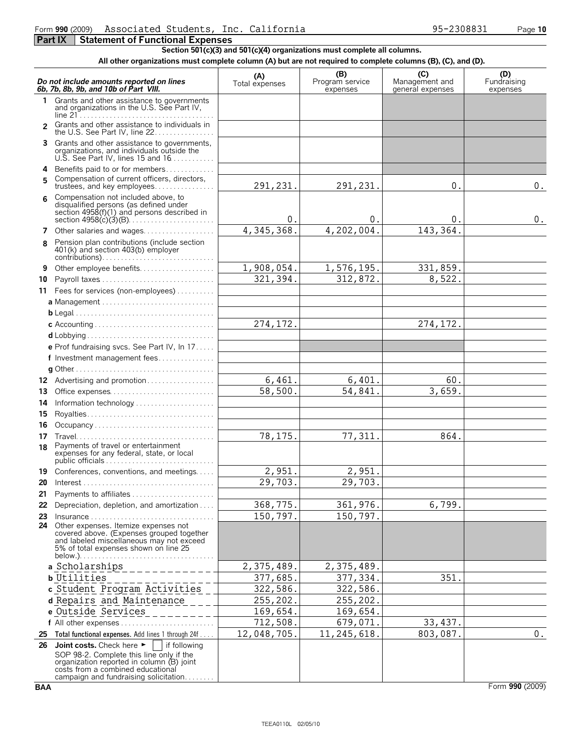**Section 501(c)(3) and 501(c)(4) organizations must complete all columns.**

**All other organizations must complete column (A) but are not required to complete columns (B), (C), and (D).**

|               | Do not include amounts reported on lines<br>6b, 7b, 8b, 9b, and 10b of Part VIII.                                                                                                                                                       | (A)<br>Total expenses | (B)<br>Program service<br>expenses | (C)<br>Management and<br>general expenses | (D)<br>Fundraising<br>expenses |
|---------------|-----------------------------------------------------------------------------------------------------------------------------------------------------------------------------------------------------------------------------------------|-----------------------|------------------------------------|-------------------------------------------|--------------------------------|
| 1             | Grants and other assistance to governments<br>and organizations in the U.S. See Part IV,                                                                                                                                                |                       |                                    |                                           |                                |
| $\mathcal{P}$ | Grants and other assistance to individuals in<br>the U.S. See Part IV, line 22.                                                                                                                                                         |                       |                                    |                                           |                                |
|               | Grants and other assistance to governments,<br>organizations, and individuals outside the<br>U.S. See Part IV, lines 15 and $16$                                                                                                        |                       |                                    |                                           |                                |
| 4             | Benefits paid to or for members                                                                                                                                                                                                         |                       |                                    |                                           |                                |
| 5.            | Compensation of current officers, directors,<br>trustees, and key employees                                                                                                                                                             | 291, 231.             | 291, 231.                          | 0 <sub>1</sub>                            | 0.                             |
| 6             | Compensation not included above, to<br>disqualified persons (as defined under<br>section 4958(f)(1) and persons described in                                                                                                            | $\mathbf 0$ .         | 0.                                 | 0.                                        | 0.                             |
| 7             | Other salaries and wages                                                                                                                                                                                                                | 4,345,368.            | 4,202,004.                         | 143,364.                                  |                                |
| 8             | Pension plan contributions (include section<br>401(k) and section 403(b) employer<br>$contributions) \dots \dots \dots \dots \dots \dots \dots \dots \dots \dots \dots \dots \dots \dots$                                               |                       |                                    |                                           |                                |
| 9             | Other employee benefits                                                                                                                                                                                                                 | 1,908,054.            | 1,576,195.                         | 331,859.                                  |                                |
| 10            | Payroll taxes                                                                                                                                                                                                                           | 321,394.              | 312,872.                           | 8,522.                                    |                                |
|               | 11 Fees for services (non-employees)                                                                                                                                                                                                    |                       |                                    |                                           |                                |
|               | a Management                                                                                                                                                                                                                            |                       |                                    |                                           |                                |
|               |                                                                                                                                                                                                                                         |                       |                                    |                                           |                                |
|               |                                                                                                                                                                                                                                         | 274, 172.             |                                    | 274, 172.                                 |                                |
|               |                                                                                                                                                                                                                                         |                       |                                    |                                           |                                |
|               | e Prof fundraising svcs. See Part IV, In 17                                                                                                                                                                                             |                       |                                    |                                           |                                |
|               | f Investment management fees                                                                                                                                                                                                            |                       |                                    |                                           |                                |
|               |                                                                                                                                                                                                                                         |                       |                                    |                                           |                                |
|               | 12 Advertising and promotion                                                                                                                                                                                                            | 6,461.                | 6,401.                             | 60.                                       |                                |
| 13            | Office expenses                                                                                                                                                                                                                         | 58,500.               | 54,841.                            | 3,659.                                    |                                |
| 14<br>15      |                                                                                                                                                                                                                                         |                       |                                    |                                           |                                |
| 16            | Occupancy                                                                                                                                                                                                                               |                       |                                    |                                           |                                |
| 17            |                                                                                                                                                                                                                                         | 78,175.               | 77,311.                            | 864.                                      |                                |
| 18            | Payments of travel or entertainment<br>expenses for any federal, state, or local                                                                                                                                                        |                       |                                    |                                           |                                |
| 19            | Conferences, conventions, and meetings                                                                                                                                                                                                  | 2,951.                | 2,951.                             |                                           |                                |
| 20            |                                                                                                                                                                                                                                         | 29,703.               | 29,703.                            |                                           |                                |
| 21.           | Payments to affiliates.                                                                                                                                                                                                                 |                       |                                    |                                           |                                |
|               | 22 Depreciation, depletion, and amortization                                                                                                                                                                                            | 368,775.              | 361, 976.                          | 6,799.                                    |                                |
| 23            | $insurance \ldots \ldots \ldots \ldots \ldots \ldots \ldots \ldots \ldots \ldots$                                                                                                                                                       | 150,797.              | 150,797.                           |                                           |                                |
| 24            | Other expenses. Itemize expenses not<br>covered above. (Expenses grouped together<br>and labeled miscellaneous may not exceed<br>5% of total expenses shown on line 25                                                                  |                       |                                    |                                           |                                |
|               | a Scholarships                                                                                                                                                                                                                          | 2,375,489.            | 2,375,489.                         |                                           |                                |
|               | <b>b</b> Utilities                                                                                                                                                                                                                      | 377,685.              | 377, 334.                          | 351.                                      |                                |
|               | c Student Program Activities                                                                                                                                                                                                            | 322,586.              | 322,586.                           |                                           |                                |
|               | d Repairs and Maintenance                                                                                                                                                                                                               | 255,202.              | 255, 202.                          |                                           |                                |
|               | e Outside Services                                                                                                                                                                                                                      | 169,654.              | 169,654.                           |                                           |                                |
|               |                                                                                                                                                                                                                                         | 712,508.              | 679,071.                           | 33, 437.                                  |                                |
|               | 25 Total functional expenses. Add lines 1 through 24f                                                                                                                                                                                   | 12,048,705.           | 11, 245, 618.                      | 803,087.                                  | $0$ .                          |
|               | 26 Joint costs. Check here $\blacktriangleright$<br>if following<br>SOP 98-2. Complete this line only if the<br>organization reported in column (B) joint<br>costs from a combined educational<br>campaign and fundraising solicitation |                       |                                    |                                           |                                |

**BAA** Form **990** (2009)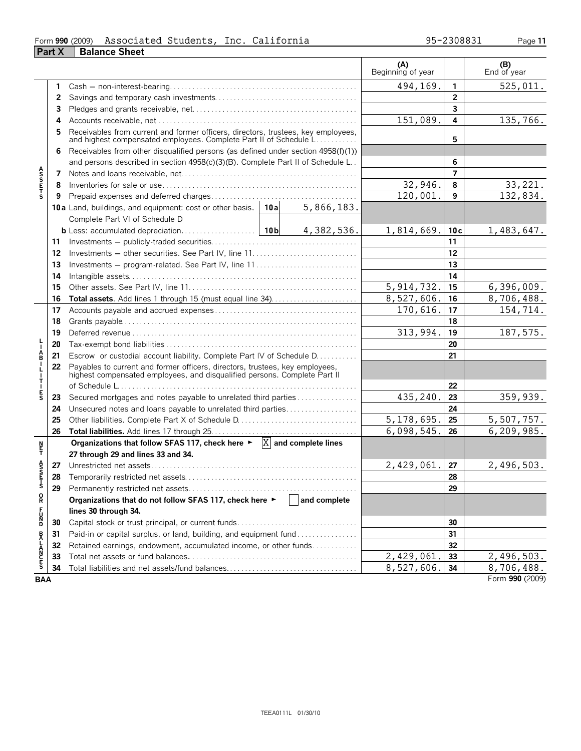#### Form **990** (2009) Page **11 Part X** | Balance Sheet Associated Students, Inc. California 95-2308831

|                    |    |                                                                                                                                                           |              |            | (A)<br>Beginning of year |                | $( B )$<br>End of year |
|--------------------|----|-----------------------------------------------------------------------------------------------------------------------------------------------------------|--------------|------------|--------------------------|----------------|------------------------|
|                    | 1  |                                                                                                                                                           |              |            | 494,169.                 | 1              | 525,011.               |
|                    | 2  |                                                                                                                                                           |              |            |                          | $\overline{2}$ |                        |
|                    | 3  |                                                                                                                                                           |              |            |                          | 3              |                        |
|                    | 4  |                                                                                                                                                           |              |            | 151,089.                 | 4              | 135,766.               |
|                    | 5  | Receivables from current and former officers, directors, trustees, key employees, and highest compensated employees. Complete Part II of Schedule L       |              |            |                          | 5              |                        |
|                    | 6  | Receivables from other disqualified persons (as defined under section 4958(f)(1))                                                                         |              |            |                          |                |                        |
|                    |    | and persons described in section 4958(c)(3)(B). Complete Part II of Schedule L                                                                            |              |            |                          | 6              |                        |
|                    | 7  |                                                                                                                                                           |              |            |                          | $\overline{7}$ |                        |
| <b>ASSETS</b>      | 8  |                                                                                                                                                           |              |            | 32,946.                  | 8              | 33, 221.               |
|                    | 9  |                                                                                                                                                           |              |            | 120,001.                 | 9              | 132,834.               |
|                    |    | 10a Land, buildings, and equipment: cost or other basis.                                                                                                  | 10a          | 5,866,183. |                          |                |                        |
|                    |    | Complete Part VI of Schedule D                                                                                                                            |              |            |                          |                |                        |
|                    |    |                                                                                                                                                           |              | 4,382,536. | 1,814,669.               | 10c            | 1,483,647.             |
|                    | 11 |                                                                                                                                                           |              |            |                          | 11             |                        |
|                    | 12 |                                                                                                                                                           |              |            | 12                       |                |                        |
|                    | 13 | Investments – program-related. See Part IV, line 11                                                                                                       |              | 13         |                          |                |                        |
|                    | 14 |                                                                                                                                                           |              |            | 14                       |                |                        |
|                    | 15 |                                                                                                                                                           | 5, 914, 732. | 15         | 6, 396, 009.             |                |                        |
|                    | 16 |                                                                                                                                                           |              |            | 8,527,606.               | 16             | 8,706,488.             |
|                    | 17 |                                                                                                                                                           |              |            | 170,616.                 | 17             | 154,714.               |
|                    | 18 |                                                                                                                                                           |              |            | 18                       |                |                        |
|                    | 19 |                                                                                                                                                           | 313,994.     | 19         | 187,575.                 |                |                        |
|                    | 20 |                                                                                                                                                           |              | 20         |                          |                |                        |
| A<br>B             | 21 | Escrow or custodial account liability. Complete Part IV of Schedule D.                                                                                    |              | 21         |                          |                |                        |
| $\frac{1}{T}$      | 22 | Payables to current and former officers, directors, trustees, key employees,<br>highest compensated employees, and disqualified persons. Complete Part II |              |            |                          |                |                        |
|                    |    |                                                                                                                                                           |              |            |                          | 22             |                        |
| E<br>S             | 23 | Secured mortgages and notes payable to unrelated third parties                                                                                            |              |            | 435,240                  | 23             | 359,939.               |
|                    | 24 | Unsecured notes and loans payable to unrelated third parties                                                                                              |              |            |                          | 24             |                        |
|                    | 25 |                                                                                                                                                           |              |            | 5,178,695                | 25             | 5,507,757.             |
|                    | 26 |                                                                                                                                                           |              |            | 6,098,545                | 26             | 6,209,985.             |
| ŗ                  |    | Organizations that follow SFAS 117, check here $\blacktriangleright$ $\overline{X}$ and complete lines<br>27 through 29 and lines 33 and 34.              |              |            |                          |                |                        |
|                    | 27 |                                                                                                                                                           |              |            | 2,429,061.               | 27             | 2,496,503.             |
| A<br>S<br>F        | 28 |                                                                                                                                                           |              |            |                          | 28             |                        |
| Ś                  | 29 |                                                                                                                                                           |              |            | 29                       |                |                        |
| $_{\rm R}^{\rm O}$ |    | Organizations that do not follow SFAS 117, check here ▶                                                                                                   |              |            |                          |                |                        |
|                    |    | lines 30 through 34.                                                                                                                                      |              |            |                          |                |                        |
| FUND               | 30 | Capital stock or trust principal, or current funds                                                                                                        |              |            |                          | 30             |                        |
|                    | 31 | Paid-in or capital surplus, or land, building, and equipment fund                                                                                         |              |            | 31                       |                |                        |
|                    | 32 | Retained earnings, endowment, accumulated income, or other funds                                                                                          |              |            |                          | 32             |                        |
| <b>BALANCES</b>    | 33 |                                                                                                                                                           |              |            | 2,429,061                | 33             | 2,496,503.             |
|                    | 34 |                                                                                                                                                           |              |            | 8,527,606.               | 34             | 8,706,488.             |
| <b>BAA</b>         |    |                                                                                                                                                           |              |            |                          |                | Form 990 (2009)        |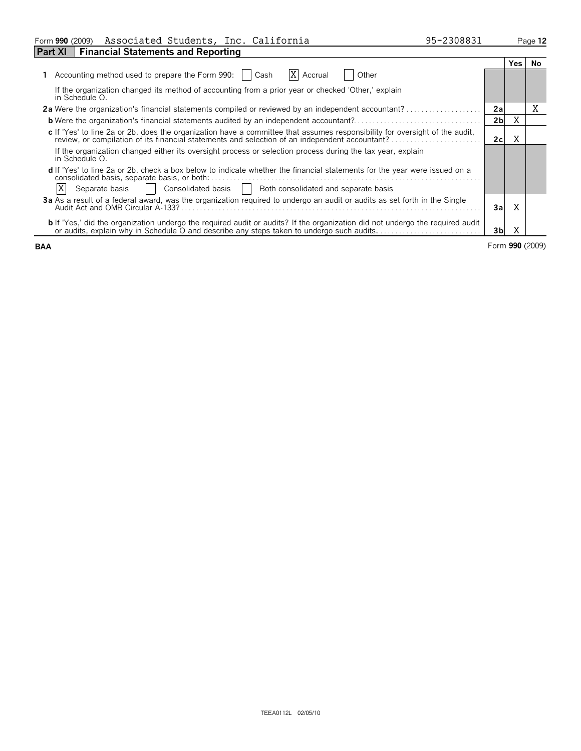| Form 990 (2009) | Associated Students, | Inc. | . California | $-2308831$<br>タラーン | Page <b>12</b> |
|-----------------|----------------------|------|--------------|--------------------|----------------|
| $-$<br>$  -$    |                      |      |              |                    |                |

| <b>Financial Statements and Reporting</b><br><b>Part XI</b>                                                                                                                                                                   |                |     |                 |
|-------------------------------------------------------------------------------------------------------------------------------------------------------------------------------------------------------------------------------|----------------|-----|-----------------|
|                                                                                                                                                                                                                               |                | Yes | No.             |
| Accounting method used to prepare the Form 990:<br>ΙXΙ<br>Other<br>Accrual<br>Cash                                                                                                                                            |                |     |                 |
| If the organization changed its method of accounting from a prior year or checked 'Other,' explain<br>in Schedule O.                                                                                                          |                |     |                 |
| <b>2a</b> Were the organization's financial statements compiled or reviewed by an independent accountant?                                                                                                                     | 2a             |     | Χ               |
| <b>b</b> Were the organization's financial statements audited by an independent accountant?                                                                                                                                   | 2 <sub>b</sub> | Χ   |                 |
| c If 'Yes' to line 2a or 2b, does the organization have a committee that assumes responsibility for oversight of the audit,<br>review, or compilation of its financial statements and selection of an independent accountant? | 2c             | Χ   |                 |
| If the organization changed either its oversight process or selection process during the tax year, explain<br>in Schedule O.                                                                                                  |                |     |                 |
| d If 'Yes' to line 2a or 2b, check a box below to indicate whether the financial statements for the year were issued on a<br>consolidated basis, separate basis, or both:                                                     |                |     |                 |
| Separate basis<br>Consolidated basis    <br>Both consolidated and separate basis                                                                                                                                              |                |     |                 |
| 3a As a result of a federal award, was the organization reguired to undergo an audit or audits as set forth in the Single                                                                                                     | 3al            | X   |                 |
| b If 'Yes,' did the organization undergo the required audit or audits? If the organization did not undergo the required audit or audits, explain why in Schedule O and describe any steps taken to undergo such audits        | 3bl            | Χ   |                 |
| <b>BAA</b>                                                                                                                                                                                                                    |                |     | Form 990 (2009) |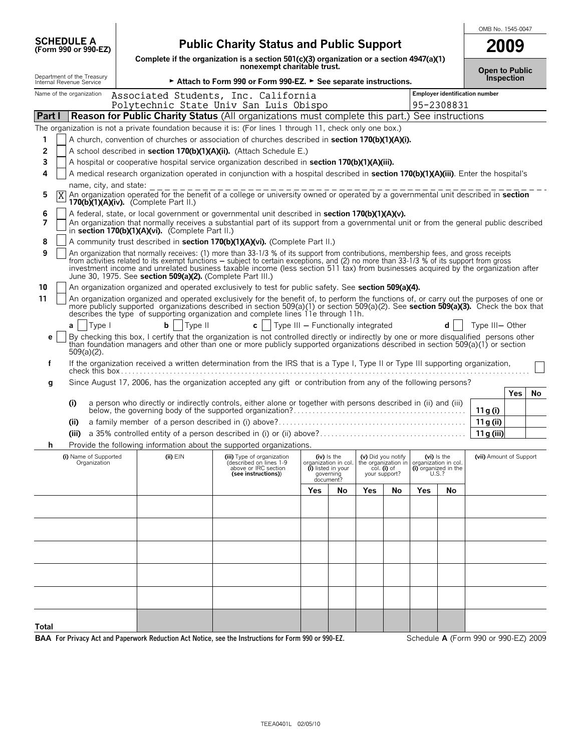| <b>SCHEDULE A</b><br>(Form 990 or 990-EZ)              |                                                                                                                                                                                       | <b>Public Charity Status and Public Support</b><br>2009    |                                                                                                                                                                                                                                                                               |                                    |                                                      |     |                                                     |                      |                               |                                      |     |    |
|--------------------------------------------------------|---------------------------------------------------------------------------------------------------------------------------------------------------------------------------------------|------------------------------------------------------------|-------------------------------------------------------------------------------------------------------------------------------------------------------------------------------------------------------------------------------------------------------------------------------|------------------------------------|------------------------------------------------------|-----|-----------------------------------------------------|----------------------|-------------------------------|--------------------------------------|-----|----|
|                                                        |                                                                                                                                                                                       |                                                            | Complete if the organization is a section 501(c)(3) organization or a section 4947(a)(1)<br>nonexempt charitable trust.                                                                                                                                                       |                                    |                                                      |     |                                                     |                      |                               |                                      |     |    |
| Department of the Treasury<br>Internal Revenue Service |                                                                                                                                                                                       |                                                            | Attach to Form 990 or Form 990-EZ. > See separate instructions.                                                                                                                                                                                                               |                                    |                                                      |     |                                                     |                      |                               | <b>Open to Public</b><br>Inspection  |     |    |
| Name of the organization                               |                                                                                                                                                                                       |                                                            | Associated Students, Inc. California<br>Polytechnic State Univ San Luis Obispo                                                                                                                                                                                                |                                    |                                                      |     |                                                     |                      | 95-2308831                    | Employer identification number       |     |    |
| Part I                                                 |                                                                                                                                                                                       |                                                            | <b>Reason for Public Charity Status (All organizations must complete this part.) See instructions</b>                                                                                                                                                                         |                                    |                                                      |     |                                                     |                      |                               |                                      |     |    |
|                                                        |                                                                                                                                                                                       |                                                            | The organization is not a private foundation because it is: (For lines 1 through 11, check only one box.)                                                                                                                                                                     |                                    |                                                      |     |                                                     |                      |                               |                                      |     |    |
| 1                                                      |                                                                                                                                                                                       |                                                            | A church, convention of churches or association of churches described in section 170(b)(1)(A)(i).                                                                                                                                                                             |                                    |                                                      |     |                                                     |                      |                               |                                      |     |    |
| $\overline{2}$                                         |                                                                                                                                                                                       |                                                            | A school described in section 170(b)(1)(A)(ii). (Attach Schedule E.)                                                                                                                                                                                                          |                                    |                                                      |     |                                                     |                      |                               |                                      |     |    |
| 3                                                      |                                                                                                                                                                                       |                                                            | A hospital or cooperative hospital service organization described in section 170(b)(1)(A)(iii).                                                                                                                                                                               |                                    |                                                      |     |                                                     |                      |                               |                                      |     |    |
| 4                                                      |                                                                                                                                                                                       |                                                            | A medical research organization operated in conjunction with a hospital described in section 170(b)(1)(A)(iii). Enter the hospital's                                                                                                                                          |                                    |                                                      |     |                                                     |                      |                               |                                      |     |    |
|                                                        | name, city, and state:                                                                                                                                                                |                                                            |                                                                                                                                                                                                                                                                               |                                    |                                                      |     |                                                     |                      |                               |                                      |     |    |
| 5<br>ΙX                                                | An organization operated for the benefit of a college or university owned or operated by a governmental unit described in <b>section</b><br>170(b) $(1)(A)(iv)$ . (Complete Part II.) |                                                            |                                                                                                                                                                                                                                                                               |                                    |                                                      |     |                                                     |                      |                               |                                      |     |    |
| 6                                                      |                                                                                                                                                                                       |                                                            | A federal, state, or local government or governmental unit described in section 170(b)(1)(A)(v).                                                                                                                                                                              |                                    |                                                      |     |                                                     |                      |                               |                                      |     |    |
| 7                                                      |                                                                                                                                                                                       | in section 170(b)(1)(A)(vi). (Complete Part II.)           | An organization that normally receives a substantial part of its support from a governmental unit or from the general public described                                                                                                                                        |                                    |                                                      |     |                                                     |                      |                               |                                      |     |    |
| 8                                                      |                                                                                                                                                                                       |                                                            | A community trust described in section 170(b)(1)(A)(vi). (Complete Part II.)                                                                                                                                                                                                  |                                    |                                                      |     |                                                     |                      |                               |                                      |     |    |
| 9                                                      |                                                                                                                                                                                       |                                                            | An organization that normally receives: (1) more than 33-1/3 % of its support from contributions, membership fees, and gross receipts                                                                                                                                         |                                    |                                                      |     |                                                     |                      |                               |                                      |     |    |
|                                                        |                                                                                                                                                                                       | June 30, 1975. See section 509(a)(2). (Complete Part III.) | from activities related to its exempt functions – subject to certain exceptions, and (2) no more than 33-1/3 % of its support from gross<br>investment income and unrelated business taxable income (less section 511 tax) from businesses acquired by the organization after |                                    |                                                      |     |                                                     |                      |                               |                                      |     |    |
| 10                                                     |                                                                                                                                                                                       |                                                            | An organization organized and operated exclusively to test for public safety. See section 509(a)(4).                                                                                                                                                                          |                                    |                                                      |     |                                                     |                      |                               |                                      |     |    |
| 11                                                     |                                                                                                                                                                                       |                                                            | An organization organized and operated exclusively for the benefit of, to perform the functions of, or carry out the purposes of one or                                                                                                                                       |                                    |                                                      |     |                                                     |                      |                               |                                      |     |    |
|                                                        |                                                                                                                                                                                       |                                                            | more publicly supported organizations described in section 509(a)(1) or section 509(a)(2). See section 509(a)(3). Check the box that<br>describes the type of supporting organization and complete lines 11e through 11h.                                                     |                                    |                                                      |     |                                                     |                      |                               |                                      |     |    |
| a                                                      | Type I                                                                                                                                                                                | b<br>Type II                                               | $c \mid$                                                                                                                                                                                                                                                                      | Type III - Functionally integrated |                                                      |     |                                                     |                      |                               | Type III-Other                       |     |    |
| e                                                      |                                                                                                                                                                                       |                                                            | By checking this box, I certify that the organization is not controlled directly or indirectly by one or more disqualified persons other                                                                                                                                      |                                    |                                                      |     |                                                     |                      |                               |                                      |     |    |
| $509(a)(2)$ .                                          |                                                                                                                                                                                       |                                                            | than foundation managers and other than one or more publicly supported organizations described in section 509(a)(1) or section                                                                                                                                                |                                    |                                                      |     |                                                     |                      |                               |                                      |     |    |
| f                                                      |                                                                                                                                                                                       |                                                            | If the organization received a written determination from the IRS that is a Type I, Type II or Type III supporting organization,                                                                                                                                              |                                    |                                                      |     |                                                     |                      |                               |                                      |     |    |
| g                                                      |                                                                                                                                                                                       |                                                            | Since August 17, 2006, has the organization accepted any gift or contribution from any of the following persons?                                                                                                                                                              |                                    |                                                      |     |                                                     |                      |                               |                                      |     |    |
|                                                        |                                                                                                                                                                                       |                                                            |                                                                                                                                                                                                                                                                               |                                    |                                                      |     |                                                     |                      |                               |                                      | Yes | No |
| (i)                                                    |                                                                                                                                                                                       |                                                            | a person who directly or indirectly controls, either alone or together with persons described in (ii) and (iii)                                                                                                                                                               |                                    |                                                      |     |                                                     |                      |                               |                                      |     |    |
| (ii)                                                   |                                                                                                                                                                                       |                                                            |                                                                                                                                                                                                                                                                               |                                    |                                                      |     |                                                     |                      |                               | 11 g (i)<br>11 g (ii)                |     |    |
| (iii)                                                  |                                                                                                                                                                                       |                                                            |                                                                                                                                                                                                                                                                               |                                    |                                                      |     |                                                     |                      |                               | 11 g (iii)                           |     |    |
| h                                                      |                                                                                                                                                                                       |                                                            | Provide the following information about the supported organizations.                                                                                                                                                                                                          |                                    |                                                      |     |                                                     |                      |                               |                                      |     |    |
|                                                        | (i) Name of Supported                                                                                                                                                                 | $(ii)$ EIN                                                 | (iii) Type of organization                                                                                                                                                                                                                                                    |                                    | (iv) is the                                          |     | (v) Did you notify                                  |                      | (vi) Is the                   | (vii) Amount of Support              |     |    |
|                                                        | Organization                                                                                                                                                                          |                                                            | (described on lines 1-9<br>above or IRC section<br>(see instructions))                                                                                                                                                                                                        |                                    | anization in col.<br>(i) listed in your<br>governing |     | the organization in<br>col. (i) of<br>your support? | organization in col. | (i) organized in the<br>U.S.? |                                      |     |    |
|                                                        |                                                                                                                                                                                       |                                                            |                                                                                                                                                                                                                                                                               |                                    | document?                                            |     |                                                     |                      |                               |                                      |     |    |
|                                                        |                                                                                                                                                                                       |                                                            |                                                                                                                                                                                                                                                                               | Yes                                | No                                                   | Yes | No                                                  | Yes                  | No                            |                                      |     |    |
|                                                        |                                                                                                                                                                                       |                                                            |                                                                                                                                                                                                                                                                               |                                    |                                                      |     |                                                     |                      |                               |                                      |     |    |
|                                                        |                                                                                                                                                                                       |                                                            |                                                                                                                                                                                                                                                                               |                                    |                                                      |     |                                                     |                      |                               |                                      |     |    |
|                                                        |                                                                                                                                                                                       |                                                            |                                                                                                                                                                                                                                                                               |                                    |                                                      |     |                                                     |                      |                               |                                      |     |    |
|                                                        |                                                                                                                                                                                       |                                                            |                                                                                                                                                                                                                                                                               |                                    |                                                      |     |                                                     |                      |                               |                                      |     |    |
|                                                        |                                                                                                                                                                                       |                                                            |                                                                                                                                                                                                                                                                               |                                    |                                                      |     |                                                     |                      |                               |                                      |     |    |
|                                                        |                                                                                                                                                                                       |                                                            |                                                                                                                                                                                                                                                                               |                                    |                                                      |     |                                                     |                      |                               |                                      |     |    |
|                                                        |                                                                                                                                                                                       |                                                            |                                                                                                                                                                                                                                                                               |                                    |                                                      |     |                                                     |                      |                               |                                      |     |    |
|                                                        |                                                                                                                                                                                       |                                                            |                                                                                                                                                                                                                                                                               |                                    |                                                      |     |                                                     |                      |                               |                                      |     |    |
|                                                        |                                                                                                                                                                                       |                                                            |                                                                                                                                                                                                                                                                               |                                    |                                                      |     |                                                     |                      |                               |                                      |     |    |
| Total                                                  |                                                                                                                                                                                       |                                                            |                                                                                                                                                                                                                                                                               |                                    |                                                      |     |                                                     |                      |                               |                                      |     |    |
|                                                        |                                                                                                                                                                                       |                                                            | BAA For Privacy Act and Paperwork Reduction Act Notice, see the Instructions for Form 990 or 990-EZ.                                                                                                                                                                          |                                    |                                                      |     |                                                     |                      |                               | Schedule A (Form 990 or 990-EZ) 2009 |     |    |

OMB No. 1545-0047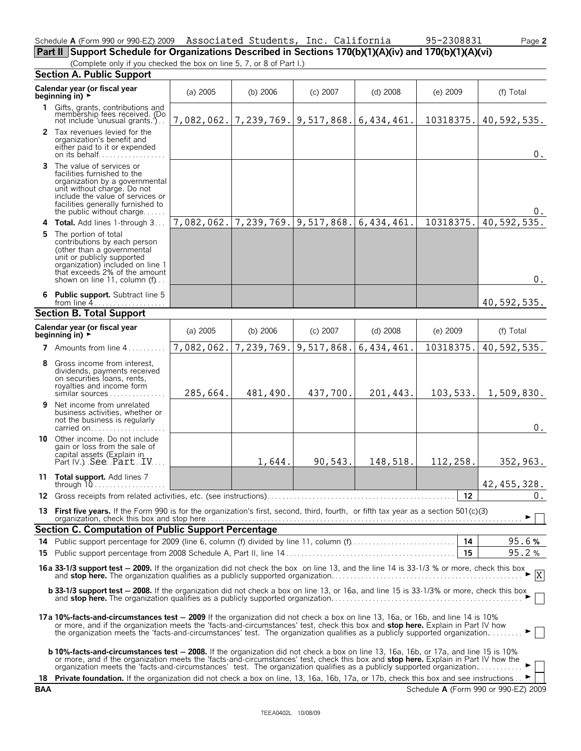|  |                                                                      | Part II Support Schedule for Organizations Described in Sections 170(b)(1)(A)(iv) and 170(b)(1)(A)(vi) |
|--|----------------------------------------------------------------------|--------------------------------------------------------------------------------------------------------|
|  | (Complete only if you checked the box on line 5, 7, or 8 of Part I.) |                                                                                                        |

**Section A. Public Support**

|   | scensi A. I usile support                                                                                                                                                                                                                                                                                                                                                                                          |            |                                             |                                        |            |            |                    |  |  |
|---|--------------------------------------------------------------------------------------------------------------------------------------------------------------------------------------------------------------------------------------------------------------------------------------------------------------------------------------------------------------------------------------------------------------------|------------|---------------------------------------------|----------------------------------------|------------|------------|--------------------|--|--|
|   | Calendar year (or fiscal year<br>beginning in) ►                                                                                                                                                                                                                                                                                                                                                                   | (a) 2005   | (b) $2006$                                  | $(c)$ 2007                             | (d) 2008   | $(e)$ 2009 | (f) Total          |  |  |
|   | 1 Gifts, grants, contributions and<br>membership fees received. (Do<br>not include 'unusual grants.')                                                                                                                                                                                                                                                                                                              |            | 7,082,062. 7,239,769. 9,517,868. 6,434,461. |                                        |            | 10318375.  | 40,592,535.        |  |  |
|   | 2 Tax revenues levied for the<br>organization's benefit and<br>either paid to it or expended<br>on its behalf                                                                                                                                                                                                                                                                                                      |            |                                             |                                        |            |            | $0$ .              |  |  |
|   | 3 The value of services or<br>facilities furnished to the<br>organization by a governmental<br>unit without charge. Do not<br>include the value of services or<br>facilities generally furnished to<br>the public without charge                                                                                                                                                                                   |            |                                             |                                        |            |            |                    |  |  |
|   | 4 Total. Add lines 1-through 3                                                                                                                                                                                                                                                                                                                                                                                     | 7,082,062. |                                             | 7, 239, 769. 9, 517, 868. 6, 434, 461. |            | 10318375.  | 40,592,535.        |  |  |
|   | 5 The portion of total<br>contributions by each person<br>(other than a governmental<br>unit or publicly supported<br>organization) included on line 1<br>that exceeds 2% of the amount<br>shown on line 11, column $(f)$                                                                                                                                                                                          |            |                                             |                                        |            |            | $0$ .              |  |  |
|   | 6 Public support. Subtract line 5<br>from line 4                                                                                                                                                                                                                                                                                                                                                                   |            |                                             |                                        |            |            | 40,592,535.        |  |  |
|   | <b>Section B. Total Support</b>                                                                                                                                                                                                                                                                                                                                                                                    |            |                                             |                                        |            |            |                    |  |  |
|   | Calendar year (or fiscal year<br>beginning in) ►                                                                                                                                                                                                                                                                                                                                                                   | $(a)$ 2005 | (b) $2006$                                  | $(c)$ 2007                             | $(d)$ 2008 | $(e)$ 2009 | (f) Total          |  |  |
|   | <b>7</b> Amounts from line $4, \ldots, \ldots$                                                                                                                                                                                                                                                                                                                                                                     | 7,082,062. | 7,239,769.                                  | 9,517,868.                             | 6,434,461  | 10318375.  | 40,592,535.        |  |  |
|   | 8 Gross income from interest,<br>dividends, payments received<br>on securities loans, rents,<br>royalties and income form<br>similar sources                                                                                                                                                                                                                                                                       | 285,664.   | 481,490.                                    | 437,700.                               | 201,443.   | 103, 533.  | 1,509,830.         |  |  |
| 9 | Net income from unrelated<br>business activities, whether or<br>not the business is regularly<br>carried on                                                                                                                                                                                                                                                                                                        |            |                                             |                                        |            |            | $0$ .              |  |  |
|   | 10 Other income. Do not include<br>gain or loss from the sale of<br>capital assets (Explain in<br>Part IV.) See Part JV                                                                                                                                                                                                                                                                                            |            | 1,644.                                      | 90,543.                                | 148,518.   | 112,258.   | 352,963.           |  |  |
|   | 11 Total support. Add lines 7                                                                                                                                                                                                                                                                                                                                                                                      |            |                                             |                                        |            |            | 42, 455, 328.      |  |  |
|   |                                                                                                                                                                                                                                                                                                                                                                                                                    |            |                                             |                                        |            | 12         | $\boldsymbol{0}$ . |  |  |
|   | 13 First five years. If the Form 990 is for the organization's first, second, third, fourth, or fifth tax year as a section 501(c)(3)                                                                                                                                                                                                                                                                              |            |                                             |                                        |            |            |                    |  |  |
|   | Section C. Computation of Public Support Percentage                                                                                                                                                                                                                                                                                                                                                                |            |                                             |                                        |            |            |                    |  |  |
|   |                                                                                                                                                                                                                                                                                                                                                                                                                    |            |                                             |                                        |            | 14<br>15   | 95.6%<br>95.2%     |  |  |
|   |                                                                                                                                                                                                                                                                                                                                                                                                                    |            |                                             |                                        |            |            |                    |  |  |
|   | 16 a 33-1/3 support test - 2009. If the organization did not check the box on line 13, and the line 14 is 33-1/3 % or more, check this box and stop here. The organization qualifies as a publicly supported organization<br>$\cdot$ X<br>b 33-1/3 support test - 2008. If the organization did not check a box on line 13, or 16a, and line 15 is 33-1/3% or more, check this box                                 |            |                                             |                                        |            |            |                    |  |  |
|   | 17a 10%-facts-and-circumstances test - 2009 If the organization did not check a box on line 13, 16a, or 16b, and line 14 is 10%<br>or more, and if the organization meets the 'facts-and-circumstances' test, check this box and <b>stop here.</b> Explain in Part IV how<br>the organization meets the 'facts-and-circumstances' test. The organization qualifies as a publicly supported organization            |            |                                             |                                        |            |            |                    |  |  |
|   | <b>b 10%-facts-and-circumstances test - 2008.</b> If the organization did not check a box on line 13, 16a, 16b, or 17a, and line 15 is 10%<br>or more, and if the organization meets the 'facts-and-circumstances' test, check this box and <b>stop here.</b> Explain in Part IV how the<br>organization meets the 'facts-and-circumstances' test. The organization qualifies as a publicly supported organization |            |                                             |                                        |            |            |                    |  |  |
|   | 18 Private foundation. If the organization did not check a box on line, 13, 16a, 16b, 17a, or 17b, check this box and see instructions $\blacktriangleright$                                                                                                                                                                                                                                                       |            |                                             |                                        |            |            |                    |  |  |

**BAA** Schedule **A** (Form 990 or 990-EZ) 2009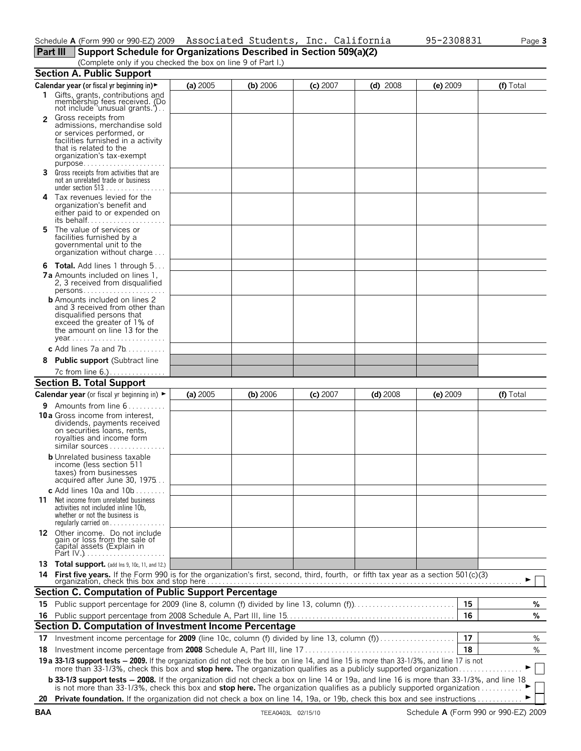### **Part III Support Schedule for Organizations Described in Section 509(a)(2)**

(Complete only if you checked the box on line 9 of Part I.)

|                | <b>Section A. Public Support</b>                                                                                                                                                                                                                                                                                                                                                |            |            |            |            |            |    |           |
|----------------|---------------------------------------------------------------------------------------------------------------------------------------------------------------------------------------------------------------------------------------------------------------------------------------------------------------------------------------------------------------------------------|------------|------------|------------|------------|------------|----|-----------|
|                | Calendar year (or fiscal yr beginning in)                                                                                                                                                                                                                                                                                                                                       | (a) 2005   | (b) 2006   | $(c)$ 2007 | $(d)$ 2008 | $(e)$ 2009 |    | (f) Total |
|                | 1 Gifts, grants, contributions and<br>membership fees received. (Do<br>not include 'unusual grants.').                                                                                                                                                                                                                                                                          |            |            |            |            |            |    |           |
| $\overline{2}$ | Gross receipts from<br>admissions, merchandise sold<br>or services performed, or<br>facilities furnished in a activity<br>that is related to the<br>organization's tax-exempt<br>$purpose$                                                                                                                                                                                      |            |            |            |            |            |    |           |
|                | 3 Gross receipts from activities that are<br>not an unrelated trade or business                                                                                                                                                                                                                                                                                                 |            |            |            |            |            |    |           |
|                | 4 Tax revenues levied for the<br>organization's benefit and<br>either paid to or expended on<br>its behalf                                                                                                                                                                                                                                                                      |            |            |            |            |            |    |           |
| 5              | The value of services or<br>facilities furnished by a<br>governmental unit to the<br>organization without charge                                                                                                                                                                                                                                                                |            |            |            |            |            |    |           |
|                | <b>6 Total.</b> Add lines 1 through 5                                                                                                                                                                                                                                                                                                                                           |            |            |            |            |            |    |           |
|                | <b>7a</b> Amounts included on lines 1.<br>2, 3 received from disqualified                                                                                                                                                                                                                                                                                                       |            |            |            |            |            |    |           |
|                | <b>b</b> Amounts included on lines 2<br>and 3 received from other than<br>disqualified persons that<br>exceed the greater of 1% of<br>the amount on line 13 for the                                                                                                                                                                                                             |            |            |            |            |            |    |           |
|                | c Add lines $7a$ and $7b$                                                                                                                                                                                                                                                                                                                                                       |            |            |            |            |            |    |           |
| 8              | <b>Public support (Subtract line</b>                                                                                                                                                                                                                                                                                                                                            |            |            |            |            |            |    |           |
|                | 7c from line 6.).                                                                                                                                                                                                                                                                                                                                                               |            |            |            |            |            |    |           |
|                | <b>Section B. Total Support</b>                                                                                                                                                                                                                                                                                                                                                 |            |            |            |            |            |    |           |
|                | Calendar year (or fiscal yr beginning in) ►                                                                                                                                                                                                                                                                                                                                     | (a) $2005$ | $(b)$ 2006 | $(c)$ 2007 | $(d)$ 2008 | $(e)$ 2009 |    | (f) Total |
|                |                                                                                                                                                                                                                                                                                                                                                                                 |            |            |            |            |            |    |           |
|                | 9 Amounts from line 6<br><b>10 a</b> Gross income from interest,<br>dividends, payments received<br>on securities loans, rents,<br>royalties and income form<br>similar sources                                                                                                                                                                                                 |            |            |            |            |            |    |           |
|                | <b>b</b> Unrelated business taxable<br>income (less section 511<br>taxes) from businesses<br>acquired after June 30, 1975                                                                                                                                                                                                                                                       |            |            |            |            |            |    |           |
| 11             | c Add lines $10a$ and $10b$<br>Net income from unrelated business<br>activities not included inline 10b,<br>whether or not the business is<br>regularly carried on                                                                                                                                                                                                              |            |            |            |            |            |    |           |
|                | 12 Other income. Do not include<br>gain or loss from the sale of<br>čapital assets (Explain in                                                                                                                                                                                                                                                                                  |            |            |            |            |            |    |           |
| 14             | 13 Total support. (add Ins 9, 10c, 11, and 12.)<br>First five years. If the Form 990 is for the organization's first, second, third, fourth, or fifth tax year as a section 501(c)(3)                                                                                                                                                                                           |            |            |            |            |            |    |           |
|                | <b>Section C. Computation of Public Support Percentage</b>                                                                                                                                                                                                                                                                                                                      |            |            |            |            |            |    |           |
|                | 15 Public support percentage for 2009 (line 8, column (f) divided by line 13, column (f)                                                                                                                                                                                                                                                                                        |            |            |            |            |            | 15 | %         |
| 16             |                                                                                                                                                                                                                                                                                                                                                                                 |            |            |            |            |            | 16 | %         |
|                | Section D. Computation of Investment Income Percentage                                                                                                                                                                                                                                                                                                                          |            |            |            |            |            |    |           |
|                |                                                                                                                                                                                                                                                                                                                                                                                 |            |            |            |            |            | 17 |           |
|                | 17 Investment income percentage for 2009 (line 10c, column (f) divided by line 13, column (f)                                                                                                                                                                                                                                                                                   |            |            |            |            |            | 18 | %<br>%    |
| 18.            |                                                                                                                                                                                                                                                                                                                                                                                 |            |            |            |            |            |    |           |
|                | 19 a 33-1/3 support tests - 2009. If the organization did not check the box on line 14, and line 15 is more than 33-1/3%, and line 17 is not more than 33-1/3%, check this box and stop here. The organization qualifies as a<br><b>b 33-1/3 support tests - 2008.</b> If the organization did not check a box on line 14 or 19a, and line 16 is more than 33-1/3%, and line 18 |            |            |            |            |            |    |           |
|                | is not more than 33-1/3%, check this box and stop here. The organization qualifies as a publicly supported organization                                                                                                                                                                                                                                                         |            |            |            |            |            |    |           |
|                | 20 Private foundation. If the organization did not check a box on line 14, 19a, or 19b, check this box and see instructions                                                                                                                                                                                                                                                     |            |            |            |            |            |    |           |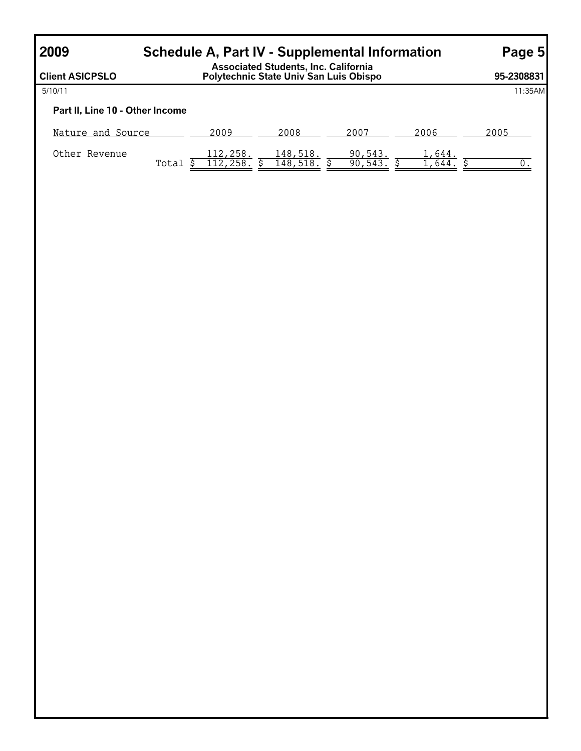## **2009 Schedule A, Part IV - Supplemental Information Page 5**

| <b>Client ASICPSLO</b>          |       | Associated Students, Inc. California<br>Polytechnic State Univ San Luis Obispo |                      |                   |        |      | 95-2308831 |
|---------------------------------|-------|--------------------------------------------------------------------------------|----------------------|-------------------|--------|------|------------|
| 5/10/11                         |       |                                                                                |                      |                   |        |      | 11:35AM    |
| Part II, Line 10 - Other Income |       |                                                                                |                      |                   |        |      |            |
| Nature and Source               |       | 2009                                                                           | 2008                 | 2007              | 2006   | 2005 |            |
| Other Revenue                   | Total | 112,258.<br>112,258.                                                           | 148,518.<br>148,518. | 90,543.<br>90,543 | 1,644. |      |            |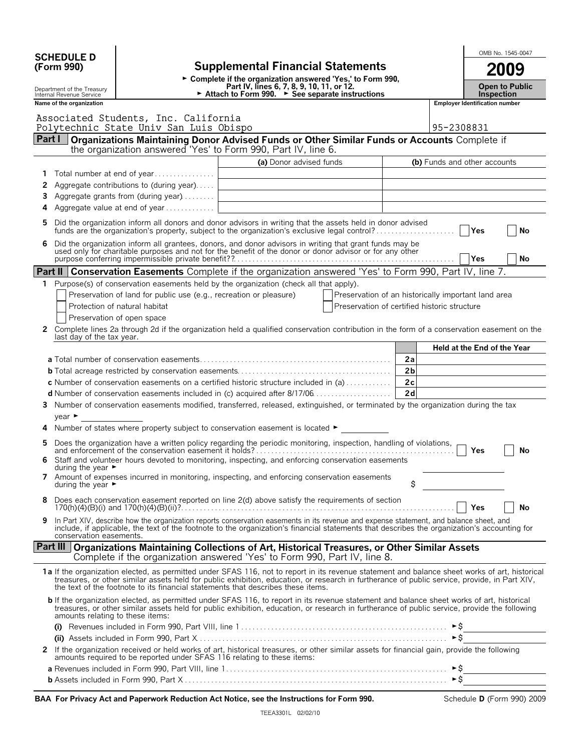|              | <b>SCHEDULE D</b>                     |                                                                                 |                                                                                                                                                                                                                                                                                                                                                                                     |                                                     | OMB No. 1545-0047                     |    |
|--------------|---------------------------------------|---------------------------------------------------------------------------------|-------------------------------------------------------------------------------------------------------------------------------------------------------------------------------------------------------------------------------------------------------------------------------------------------------------------------------------------------------------------------------------|-----------------------------------------------------|---------------------------------------|----|
| (Form 990)   |                                       |                                                                                 | <b>Supplemental Financial Statements</b>                                                                                                                                                                                                                                                                                                                                            |                                                     | 2009                                  |    |
|              | Department of the Treasury            |                                                                                 | ► Complete if the organization answered 'Yes,' to Form 990,<br>Part IV, lines 6, 7, 8, 9, 10, 11, or 12.                                                                                                                                                                                                                                                                            |                                                     | <b>Open to Public</b>                 |    |
|              | Internal Revenue Service              |                                                                                 | ► Attach to Form 990. ► See separate instructions                                                                                                                                                                                                                                                                                                                                   |                                                     | <b>Inspection</b>                     |    |
|              | Name of the organization              |                                                                                 |                                                                                                                                                                                                                                                                                                                                                                                     |                                                     | <b>Employer Identification number</b> |    |
|              |                                       | Associated Students, Inc. California<br>Polytechnic State Univ San Luis Obispo  |                                                                                                                                                                                                                                                                                                                                                                                     |                                                     | 95-2308831                            |    |
|              |                                       |                                                                                 | Part I   Organizations Maintaining Donor Advised Funds or Other Similar Funds or Accounts Complete if                                                                                                                                                                                                                                                                               |                                                     |                                       |    |
|              |                                       |                                                                                 | the organization answered 'Yes' to Form 990, Part IV, line 6.                                                                                                                                                                                                                                                                                                                       |                                                     |                                       |    |
|              |                                       |                                                                                 | (a) Donor advised funds                                                                                                                                                                                                                                                                                                                                                             |                                                     | (b) Funds and other accounts          |    |
| 1.           |                                       | Total number at end of year                                                     |                                                                                                                                                                                                                                                                                                                                                                                     |                                                     |                                       |    |
| 2<br>3       |                                       | Aggregate contributions to (during year)<br>Aggregate grants from (during year) | <u> 1989 - Johann Barbara, martin amerikan basar dan berasal dan berasal dalam basar dalam basar dalam basar dala</u>                                                                                                                                                                                                                                                               |                                                     |                                       |    |
| 4            |                                       | Aggregate value at end of year                                                  | <u> 1989 - Johann Barbara, martin amerikan basal dan berasal dan berasal dalam basal dalam basal dalam basal dala</u>                                                                                                                                                                                                                                                               |                                                     |                                       |    |
|              |                                       |                                                                                 |                                                                                                                                                                                                                                                                                                                                                                                     |                                                     |                                       |    |
| 5            |                                       |                                                                                 | Did the organization inform all donors and donor advisors in writing that the assets held in donor advised<br>funds are the organization's property, subject to the organization's exclusive legal control?                                                                                                                                                                         |                                                     | Yes                                   | No |
|              |                                       |                                                                                 | Did the organization inform all grantees, donors, and donor advisors in writing that grant funds may be<br>used only for charitable purposes and not for the benefit of the donor or donor advisor or for any other                                                                                                                                                                 |                                                     | Yes                                   | No |
|              |                                       |                                                                                 | Part II   Conservation Easements Complete if the organization answered 'Yes' to Form 990, Part IV, line 7.                                                                                                                                                                                                                                                                          |                                                     |                                       |    |
| 1.           |                                       |                                                                                 | Purpose(s) of conservation easements held by the organization (check all that apply).                                                                                                                                                                                                                                                                                               |                                                     |                                       |    |
|              |                                       | Preservation of land for public use (e.g., recreation or pleasure)              |                                                                                                                                                                                                                                                                                                                                                                                     | Preservation of an historically important land area |                                       |    |
|              |                                       | Protection of natural habitat                                                   |                                                                                                                                                                                                                                                                                                                                                                                     | Preservation of certified historic structure        |                                       |    |
|              |                                       | Preservation of open space                                                      |                                                                                                                                                                                                                                                                                                                                                                                     |                                                     |                                       |    |
| 2            | last day of the tax year.             |                                                                                 | Complete lines 2a through 2d if the organization held a qualified conservation contribution in the form of a conservation easement on the                                                                                                                                                                                                                                           |                                                     |                                       |    |
|              |                                       |                                                                                 |                                                                                                                                                                                                                                                                                                                                                                                     |                                                     | Held at the End of the Year           |    |
|              |                                       |                                                                                 |                                                                                                                                                                                                                                                                                                                                                                                     | 2a                                                  |                                       |    |
|              |                                       |                                                                                 |                                                                                                                                                                                                                                                                                                                                                                                     | 2 <sub>b</sub>                                      |                                       |    |
|              |                                       |                                                                                 | <b>c</b> Number of conservation easements on a certified historic structure included in (a) $\dots \dots \dots$                                                                                                                                                                                                                                                                     | 2c<br>2d                                            |                                       |    |
|              |                                       |                                                                                 | 3 Number of conservation easements modified, transferred, released, extinguished, or terminated by the organization during the tax                                                                                                                                                                                                                                                  |                                                     |                                       |    |
|              | $year \triangleright$                 |                                                                                 |                                                                                                                                                                                                                                                                                                                                                                                     |                                                     |                                       |    |
|              |                                       |                                                                                 | Number of states where property subject to conservation easement is located ►                                                                                                                                                                                                                                                                                                       |                                                     |                                       |    |
|              |                                       |                                                                                 |                                                                                                                                                                                                                                                                                                                                                                                     |                                                     | Yes                                   | No |
|              | during the year $\blacktriangleright$ |                                                                                 | Staff and volunteer hours devoted to monitoring, inspecting, and enforcing conservation easements                                                                                                                                                                                                                                                                                   |                                                     |                                       |    |
|              | during the year $\blacktriangleright$ |                                                                                 | 7 Amount of expenses incurred in monitoring, inspecting, and enforcing conservation easements                                                                                                                                                                                                                                                                                       | \$                                                  |                                       |    |
| 8            |                                       |                                                                                 | Does each conservation easement reported on line 2(d) above satisfy the requirements of section                                                                                                                                                                                                                                                                                     |                                                     | <b>Yes</b>                            | No |
|              | conservation easements.               |                                                                                 | In Part XIV, describe how the organization reports conservation easements in its revenue and expense statement, and balance sheet, and<br>include, if applicable, the text of the footnote to the organization's financial statements that describes the organization's accounting for                                                                                              |                                                     |                                       |    |
|              |                                       |                                                                                 | <b>Part III Organizations Maintaining Collections of Art, Historical Treasures, or Other Similar Assets</b><br>Complete if the organization answered 'Yes' to Form 990, Part IV, line 8.                                                                                                                                                                                            |                                                     |                                       |    |
|              |                                       |                                                                                 | 1a If the organization elected, as permitted under SFAS 116, not to report in its revenue statement and balance sheet works of art, historical<br>treasures, or other similar assets held for public exhibition, education, or research in furtherance of public service, provide, in Part XIV,<br>the text of the footnote to its financial statements that describes these items. |                                                     |                                       |    |
|              | amounts relating to these items:      |                                                                                 | <b>b</b> If the organization elected, as permitted under SFAS 116, to report in its revenue statement and balance sheet works of art, historical<br>treasures, or other similar assets held for public exhibition, education, or research in furtherance of public service, provide the following                                                                                   |                                                     |                                       |    |
|              |                                       |                                                                                 |                                                                                                                                                                                                                                                                                                                                                                                     |                                                     |                                       |    |
|              |                                       |                                                                                 |                                                                                                                                                                                                                                                                                                                                                                                     |                                                     |                                       |    |
| $\mathbf{2}$ |                                       | amounts required to be reported under SFAS 116 relating to these items:         | If the organization received or held works of art, historical treasures, or other similar assets for financial gain, provide the following                                                                                                                                                                                                                                          |                                                     |                                       |    |
|              |                                       |                                                                                 |                                                                                                                                                                                                                                                                                                                                                                                     |                                                     |                                       |    |
|              |                                       |                                                                                 |                                                                                                                                                                                                                                                                                                                                                                                     |                                                     |                                       |    |

|  | BAA For Privacy Act and Paperwork Reduction Act Notice, see the Instructions for Form 990. |  |  |
|--|--------------------------------------------------------------------------------------------|--|--|
|  |                                                                                            |  |  |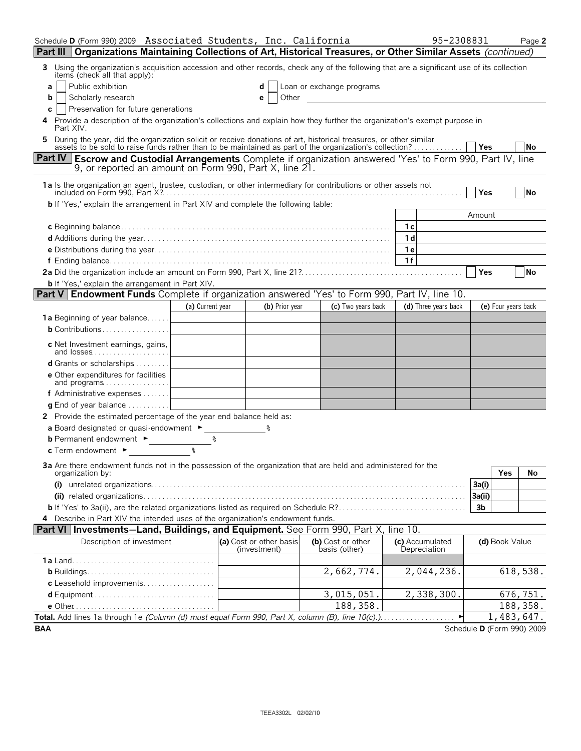| Schedule D (Form 990) 2009 Associated Students, Inc. California                                                                                                                                                                    |    |                                         |                                    |                | 95-2308831                      |                |                     | Page 2                     |
|------------------------------------------------------------------------------------------------------------------------------------------------------------------------------------------------------------------------------------|----|-----------------------------------------|------------------------------------|----------------|---------------------------------|----------------|---------------------|----------------------------|
| Part III   Organizations Maintaining Collections of Art, Historical Treasures, or Other Similar Assets (continued)                                                                                                                 |    |                                         |                                    |                |                                 |                |                     |                            |
| Using the organization's acquisition accession and other records, check any of the following that are a significant use of its collection<br>3.<br>items (check all that apply):                                                   |    |                                         |                                    |                |                                 |                |                     |                            |
| Public exhibition<br>a                                                                                                                                                                                                             |    |                                         | Loan or exchange programs          |                |                                 |                |                     |                            |
| Scholarly research<br>b                                                                                                                                                                                                            |    | Other<br>e                              |                                    |                |                                 |                |                     |                            |
| Preservation for future generations<br>c                                                                                                                                                                                           |    |                                         |                                    |                |                                 |                |                     |                            |
| Provide a description of the organization's collections and explain how they further the organization's exempt purpose in<br>4<br>Part XIV.                                                                                        |    |                                         |                                    |                |                                 |                |                     |                            |
| During the year, did the organization solicit or receive donations of art, historical treasures, or other similar<br>5.<br>assets to be sold to raise funds rather than to be maintained as part of the organization's collection? |    |                                         |                                    |                |                                 | Yes            |                     | No                         |
| <b>Part IV Escrow and Custodial Arrangements</b> Complete if organization answered 'Yes' to Form 990, Part IV, line<br>9, or reported an amount on Form 990, Part X, line 21.                                                      |    |                                         |                                    |                |                                 |                |                     |                            |
| 1a Is the organization an agent, trustee, custodian, or other intermediary for contributions or other assets not                                                                                                                   |    |                                         |                                    |                |                                 | Yes            |                     | No                         |
| <b>b</b> If 'Yes,' explain the arrangement in Part XIV and complete the following table:                                                                                                                                           |    |                                         |                                    |                |                                 |                |                     |                            |
|                                                                                                                                                                                                                                    |    |                                         |                                    |                |                                 | Amount         |                     |                            |
|                                                                                                                                                                                                                                    |    |                                         |                                    | 1c             |                                 |                |                     |                            |
|                                                                                                                                                                                                                                    |    |                                         |                                    | 1 <sub>d</sub> |                                 |                |                     |                            |
|                                                                                                                                                                                                                                    |    |                                         |                                    | 1e<br>1f       |                                 |                |                     |                            |
|                                                                                                                                                                                                                                    |    |                                         |                                    |                |                                 | Yes            |                     | <b>No</b>                  |
| <b>b</b> If 'Yes,' explain the arrangement in Part XIV.                                                                                                                                                                            |    |                                         |                                    |                |                                 |                |                     |                            |
| <b>Part V Endowment Funds</b> Complete if organization answered 'Yes' to Form 990, Part IV, line 10.                                                                                                                               |    |                                         |                                    |                |                                 |                |                     |                            |
| (a) Current year                                                                                                                                                                                                                   |    | (b) Prior year                          | (c) Two years back                 |                | (d) Three years back            |                | (e) Four years back |                            |
| <b>1a</b> Beginning of year balance                                                                                                                                                                                                |    |                                         |                                    |                |                                 |                |                     |                            |
| <b>b</b> Contributions                                                                                                                                                                                                             |    |                                         |                                    |                |                                 |                |                     |                            |
| c Net Investment earnings, gains,<br>and $losses$                                                                                                                                                                                  |    |                                         |                                    |                |                                 |                |                     |                            |
| <b>d</b> Grants or scholarships $\ldots \ldots$                                                                                                                                                                                    |    |                                         |                                    |                |                                 |                |                     |                            |
| e Other expenditures for facilities<br>and programs                                                                                                                                                                                |    |                                         |                                    |                |                                 |                |                     |                            |
| f Administrative expenses $\dots$                                                                                                                                                                                                  |    |                                         |                                    |                |                                 |                |                     |                            |
| <b>g</b> End of year balance $\ldots$                                                                                                                                                                                              |    |                                         |                                    |                |                                 |                |                     |                            |
| 2 Provide the estimated percentage of the year end balance held as:                                                                                                                                                                |    |                                         |                                    |                |                                 |                |                     |                            |
| a Board designated or quasi-endowment ►<br><b>b</b> Permanent endowment ►                                                                                                                                                          | ిన |                                         |                                    |                |                                 |                |                     |                            |
| ፟ዿ<br><b>c</b> Term endowment $\blacktriangleright$                                                                                                                                                                                |    |                                         |                                    |                |                                 |                |                     |                            |
|                                                                                                                                                                                                                                    |    |                                         |                                    |                |                                 |                |                     |                            |
| 3a Are there endowment funds not in the possession of the organization that are held and administered for the<br>organization by:                                                                                                  |    |                                         |                                    |                |                                 |                | Yes                 | No                         |
|                                                                                                                                                                                                                                    |    |                                         |                                    |                |                                 | 3a(i)          |                     |                            |
|                                                                                                                                                                                                                                    |    |                                         |                                    |                |                                 | 3a(ii)         |                     |                            |
|                                                                                                                                                                                                                                    |    |                                         |                                    |                |                                 | 3 <sub>b</sub> |                     |                            |
| 4 Describe in Part XIV the intended uses of the organization's endowment funds.                                                                                                                                                    |    |                                         |                                    |                |                                 |                |                     |                            |
| Part VI Investments-Land, Buildings, and Equipment. See Form 990, Part X, line 10.                                                                                                                                                 |    |                                         |                                    |                |                                 |                |                     |                            |
| Description of investment                                                                                                                                                                                                          |    | (a) Cost or other basis<br>(investment) | (b) Cost or other<br>basis (other) |                | (c) Accumulated<br>Depreciation |                | (d) Book Value      |                            |
|                                                                                                                                                                                                                                    |    |                                         |                                    |                |                                 |                |                     |                            |
| c Leasehold improvements                                                                                                                                                                                                           |    |                                         | 2,662,774.                         |                | 2,044,236.                      |                |                     | 618,538.                   |
|                                                                                                                                                                                                                                    |    |                                         | 3,015,051.                         |                | 2,338,300.                      |                |                     | 676,751.                   |
|                                                                                                                                                                                                                                    |    |                                         | 188,358.                           |                |                                 |                |                     | 188,358.                   |
| Total. Add lines 1a through 1e (Column (d) must equal Form 990, Part X, column (B), line 10(c).).                                                                                                                                  |    |                                         |                                    |                | $\blacktriangleright$           |                |                     | 1,483,647.                 |
| <b>BAA</b>                                                                                                                                                                                                                         |    |                                         |                                    |                |                                 |                |                     | Schedule D (Form 990) 2009 |

| I |  |  |
|---|--|--|
|   |  |  |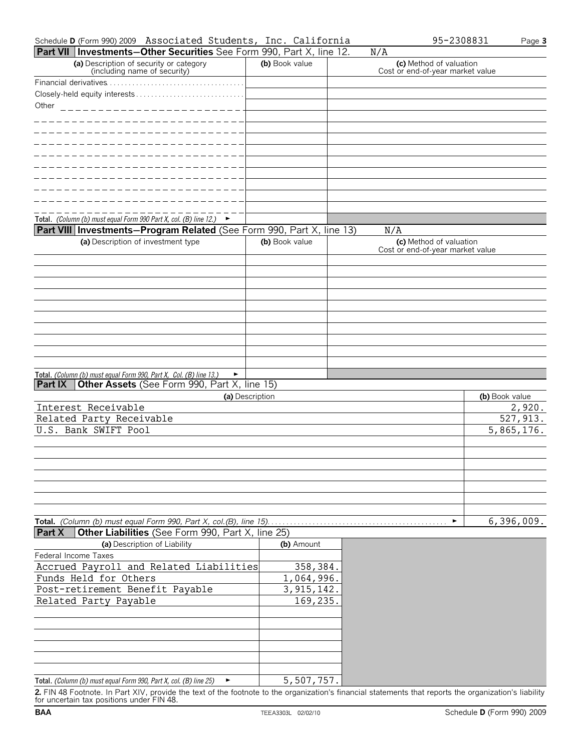| Schedule <b>D</b> (Form 990) 2009 | Associated Students, | Inc. | California | 2308831 | $P$ age $\sim$ |
|-----------------------------------|----------------------|------|------------|---------|----------------|
|                                   |                      |      |            |         |                |

| Part VII   Investments-Other Securities See Form 990, Part X, line 12.                                                                                                                                                                                                                                                                                                                                |                 | N/A                                                         |                          |
|-------------------------------------------------------------------------------------------------------------------------------------------------------------------------------------------------------------------------------------------------------------------------------------------------------------------------------------------------------------------------------------------------------|-----------------|-------------------------------------------------------------|--------------------------|
| (a) Description of security or category<br>(including name of security)                                                                                                                                                                                                                                                                                                                               | (b) Book value  | (c) Method of valuation<br>Cost or end-of-year market value |                          |
|                                                                                                                                                                                                                                                                                                                                                                                                       |                 |                                                             |                          |
|                                                                                                                                                                                                                                                                                                                                                                                                       |                 |                                                             |                          |
| Other<br>$\frac{1}{1} \frac{1}{1} \frac{1}{1} \frac{1}{1} \frac{1}{1} \frac{1}{1} \frac{1}{1} \frac{1}{1} \frac{1}{1} \frac{1}{1} \frac{1}{1} \frac{1}{1} \frac{1}{1} \frac{1}{1} \frac{1}{1} \frac{1}{1} \frac{1}{1} \frac{1}{1} \frac{1}{1} \frac{1}{1} \frac{1}{1} \frac{1}{1} \frac{1}{1} \frac{1}{1} \frac{1}{1} \frac{1}{1} \frac{1}{1} \frac{1}{1} \frac{1}{1} \frac{1}{1} \frac{1}{1} \frac{$ |                 |                                                             |                          |
|                                                                                                                                                                                                                                                                                                                                                                                                       |                 |                                                             |                          |
|                                                                                                                                                                                                                                                                                                                                                                                                       |                 |                                                             |                          |
|                                                                                                                                                                                                                                                                                                                                                                                                       |                 |                                                             |                          |
|                                                                                                                                                                                                                                                                                                                                                                                                       |                 |                                                             |                          |
|                                                                                                                                                                                                                                                                                                                                                                                                       |                 |                                                             |                          |
|                                                                                                                                                                                                                                                                                                                                                                                                       |                 |                                                             |                          |
|                                                                                                                                                                                                                                                                                                                                                                                                       |                 |                                                             |                          |
|                                                                                                                                                                                                                                                                                                                                                                                                       |                 |                                                             |                          |
| Total. (Column (b) must equal Form 990 Part X, col. (B) line 12.) $\blacktriangleright$                                                                                                                                                                                                                                                                                                               |                 |                                                             |                          |
| <b>Part VIII Investments-Program Related</b> (See Form 990, Part X, line 13)                                                                                                                                                                                                                                                                                                                          |                 | N/A                                                         |                          |
| (a) Description of investment type                                                                                                                                                                                                                                                                                                                                                                    | (b) Book value  | (c) Method of valuation<br>Cost or end-of-year market value |                          |
|                                                                                                                                                                                                                                                                                                                                                                                                       |                 |                                                             |                          |
|                                                                                                                                                                                                                                                                                                                                                                                                       |                 |                                                             |                          |
|                                                                                                                                                                                                                                                                                                                                                                                                       |                 |                                                             |                          |
|                                                                                                                                                                                                                                                                                                                                                                                                       |                 |                                                             |                          |
|                                                                                                                                                                                                                                                                                                                                                                                                       |                 |                                                             |                          |
|                                                                                                                                                                                                                                                                                                                                                                                                       |                 |                                                             |                          |
|                                                                                                                                                                                                                                                                                                                                                                                                       |                 |                                                             |                          |
|                                                                                                                                                                                                                                                                                                                                                                                                       |                 |                                                             |                          |
|                                                                                                                                                                                                                                                                                                                                                                                                       |                 |                                                             |                          |
|                                                                                                                                                                                                                                                                                                                                                                                                       |                 |                                                             |                          |
| Total. (Column (b) must equal Form 990, Part X, Col. (B) line 13.)<br>$\blacktriangleright$                                                                                                                                                                                                                                                                                                           |                 |                                                             |                          |
| Other Assets (See Form 990, Part X, line 15)<br>l Part IX                                                                                                                                                                                                                                                                                                                                             |                 |                                                             |                          |
| Interest Receivable                                                                                                                                                                                                                                                                                                                                                                                   | (a) Description |                                                             | (b) Book value<br>2,920. |
| Related Party Receivable                                                                                                                                                                                                                                                                                                                                                                              |                 |                                                             | 527, 913.                |
| U.S. Bank SWIFT Pool                                                                                                                                                                                                                                                                                                                                                                                  |                 |                                                             | 5,865,176.               |
|                                                                                                                                                                                                                                                                                                                                                                                                       |                 |                                                             |                          |
|                                                                                                                                                                                                                                                                                                                                                                                                       |                 |                                                             |                          |
|                                                                                                                                                                                                                                                                                                                                                                                                       |                 |                                                             |                          |
|                                                                                                                                                                                                                                                                                                                                                                                                       |                 |                                                             |                          |
|                                                                                                                                                                                                                                                                                                                                                                                                       |                 |                                                             |                          |
|                                                                                                                                                                                                                                                                                                                                                                                                       |                 |                                                             |                          |
|                                                                                                                                                                                                                                                                                                                                                                                                       |                 |                                                             |                          |
|                                                                                                                                                                                                                                                                                                                                                                                                       |                 | ٠                                                           | 6,396,009.               |
| Other Liabilities (See Form 990, Part X, line 25)<br><b>Part X</b>                                                                                                                                                                                                                                                                                                                                    |                 |                                                             |                          |

| (a) Description of Liability                                      | (b) Amount   |
|-------------------------------------------------------------------|--------------|
| Federal Income Taxes                                              |              |
| Accrued Payroll and Related Liabilities                           | 358,384.     |
| Funds Held for Others                                             | 1,064,996.   |
| Post-retirement Benefit Payable                                   | 3, 915, 142. |
| Related Party Payable                                             | 169,235.     |
|                                                                   |              |
|                                                                   |              |
|                                                                   |              |
|                                                                   |              |
|                                                                   |              |
|                                                                   |              |
| Total. (Column (b) must equal Form 990, Part X, col. (B) line 25) | 5,507,757.   |

**2.** FIN 48 Footnote. In Part XIV, provide the text of the footnote to the organization's financial statements that reports the organization's liability for uncertain tax positions under FIN 48.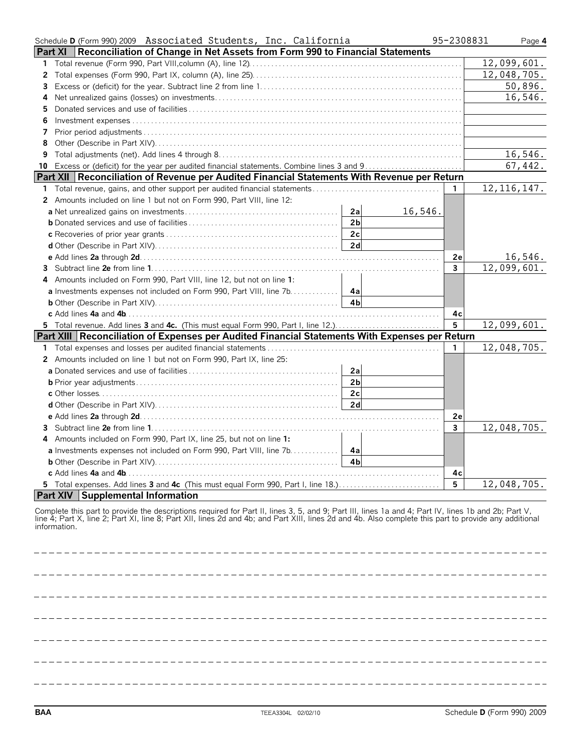| Schedule D (Form 990) 2009 Associated Students, Inc. California                                | 95-2308831     | Page 4        |
|------------------------------------------------------------------------------------------------|----------------|---------------|
| Reconciliation of Change in Net Assets from Form 990 to Financial Statements<br><b>Part XI</b> |                |               |
| $\mathbf{1}$                                                                                   |                | 12,099,601.   |
| 2                                                                                              |                | 12,048,705.   |
| 3                                                                                              |                | 50,896.       |
| 4                                                                                              |                | 16,546.       |
| 5                                                                                              |                |               |
| 6                                                                                              |                |               |
| 7                                                                                              |                |               |
| 8                                                                                              |                |               |
| 9                                                                                              |                | 16,546.       |
| 10                                                                                             |                | 67,442.       |
| Part XII Reconciliation of Revenue per Audited Financial Statements With Revenue per Return    |                |               |
| 1                                                                                              | $\mathbf{1}$   | 12, 116, 147. |
| 2 Amounts included on line 1 but not on Form 990, Part VIII, line 12:                          |                |               |
| 2al<br>16,546.                                                                                 |                |               |
| 2 <sub>b</sub>                                                                                 |                |               |
| 2c                                                                                             |                |               |
| 2d                                                                                             |                |               |
|                                                                                                | 2e             | 16,546.       |
| 3.                                                                                             | $\overline{3}$ | 12,099,601.   |
| Amounts included on Form 990, Part VIII, line 12, but not on line 1:                           |                |               |
| a Investments expenses not included on Form 990, Part VIII, line 7b.<br>4а                     |                |               |
| 4 <sub>b</sub>                                                                                 |                |               |
|                                                                                                | 4с             |               |
| 5 Total revenue. Add lines 3 and 4c. (This must equal Form 990, Part I, line 12.)              | 5 <sup>5</sup> | 12,099,601.   |
| Part XIII Reconciliation of Expenses per Audited Financial Statements With Expenses per Return |                |               |
| 1.                                                                                             | $\mathbf{1}$   | 12,048,705.   |
| 2 Amounts included on line 1 but not on Form 990, Part IX, line 25:                            |                |               |
| 2a                                                                                             |                |               |
| 2 <sub>b</sub>                                                                                 |                |               |
| 2c                                                                                             |                |               |
| 2 <sub>d</sub>                                                                                 |                |               |
|                                                                                                | 2e             |               |
| 3                                                                                              | 3              | 12,048,705.   |
| 4 Amounts included on Form 990, Part IX, line 25, but not on line 1:                           |                |               |
| a Investments expenses not included on Form 990, Part VIII, line 7b.<br>4a                     |                |               |
| 4 <sub>b</sub>                                                                                 |                |               |
|                                                                                                | 4с             |               |
| 5 Total expenses. Add lines 3 and 4c (This must equal Form 990, Part I, line 18.)              | 5              | 12,048,705.   |
| <b>Part XIV Supplemental Information</b>                                                       |                |               |

Complete this part to provide the descriptions required for Part II, lines 3, 5, and 9; Part III, lines 1a and 4; Part IV, lines 1b and 2b; Part V,<br>line 4; Part X, line 2; Part XI, line 8; Part XII, lines 2d and 4b; and Pa information.

-----------------------------------------------------------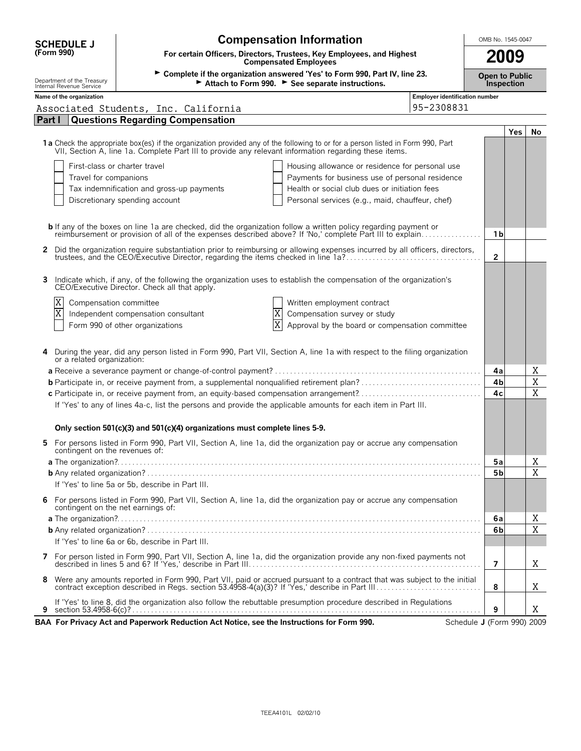| <b>SCHEDULE J</b>                                      |                            | <b>Compensation Information</b><br>OMB No. 1545-0047                                                                                                                                                                                                                                                                        |                                                                                                                            |                |            |             |  |
|--------------------------------------------------------|----------------------------|-----------------------------------------------------------------------------------------------------------------------------------------------------------------------------------------------------------------------------------------------------------------------------------------------------------------------------|----------------------------------------------------------------------------------------------------------------------------|----------------|------------|-------------|--|
| (Form 990)                                             |                            | For certain Officers, Directors, Trustees, Key Employees, and Highest<br><b>Compensated Employees</b>                                                                                                                                                                                                                       |                                                                                                                            | 2009           |            |             |  |
| Department of the Treasury<br>Internal Revenue Service |                            | Attach to Form 990. See separate instructions.                                                                                                                                                                                                                                                                              | ► Complete if the organization answered 'Yes' to Form 990, Part IV, line 23.<br><b>Open to Public</b><br><b>Inspection</b> |                |            |             |  |
| Name of the organization                               |                            |                                                                                                                                                                                                                                                                                                                             | Employer identification number                                                                                             |                |            |             |  |
|                                                        |                            | Associated Students, Inc. California                                                                                                                                                                                                                                                                                        | 95-2308831                                                                                                                 |                |            |             |  |
| <b>Part I</b>                                          |                            | <b>Questions Regarding Compensation</b>                                                                                                                                                                                                                                                                                     |                                                                                                                            |                |            |             |  |
|                                                        |                            | 1a Check the appropriate box(es) if the organization provided any of the following to or for a person listed in Form 990, Part<br>VII, Section A, line 1a. Complete Part III to provide any relevant information regarding these items.<br>First-class or charter travel<br>Housing allowance or residence for personal use |                                                                                                                            |                | <b>Yes</b> | No          |  |
|                                                        | Travel for companions      | Payments for business use of personal residence                                                                                                                                                                                                                                                                             |                                                                                                                            |                |            |             |  |
|                                                        |                            | Tax indemnification and gross-up payments<br>Health or social club dues or initiation fees                                                                                                                                                                                                                                  |                                                                                                                            |                |            |             |  |
|                                                        |                            | Personal services (e.g., maid, chauffeur, chef)<br>Discretionary spending account                                                                                                                                                                                                                                           |                                                                                                                            |                |            |             |  |
|                                                        |                            |                                                                                                                                                                                                                                                                                                                             |                                                                                                                            |                |            |             |  |
|                                                        |                            | <b>b</b> If any of the boxes on line 1a are checked, did the organization follow a written policy regarding payment or<br>reimbursement or provision of all of the expenses described above? If 'No,' complete Part III to explain                                                                                          |                                                                                                                            | 1 b            |            |             |  |
|                                                        |                            | Did the organization require substantiation prior to reimbursing or allowing expenses incurred by all officers, directors,                                                                                                                                                                                                  |                                                                                                                            |                |            |             |  |
|                                                        |                            |                                                                                                                                                                                                                                                                                                                             |                                                                                                                            | $\overline{2}$ |            |             |  |
| 3                                                      |                            | Indicate which, if any, of the following the organization uses to establish the compensation of the organization's<br>CEO/Executive Director. Check all that apply.                                                                                                                                                         |                                                                                                                            |                |            |             |  |
| X<br>$\overline{\text{X}}$                             |                            | Compensation committee<br>Written employment contract                                                                                                                                                                                                                                                                       |                                                                                                                            |                |            |             |  |
|                                                        |                            | X<br>Compensation survey or study<br>Independent compensation consultant<br>$\overline{\text{X}}$<br>Form 990 of other organizations<br>Approval by the board or compensation committee                                                                                                                                     |                                                                                                                            |                |            |             |  |
|                                                        | or a related organization: | During the year, did any person listed in Form 990, Part VII, Section A, line 1a with respect to the filing organization                                                                                                                                                                                                    |                                                                                                                            | 4a             |            | Χ           |  |
|                                                        |                            |                                                                                                                                                                                                                                                                                                                             |                                                                                                                            | 4 <sub>b</sub> |            | $\mathbf X$ |  |
|                                                        |                            |                                                                                                                                                                                                                                                                                                                             |                                                                                                                            | 4c             |            | X           |  |
|                                                        |                            | If 'Yes' to any of lines 4a-c, list the persons and provide the applicable amounts for each item in Part III.<br>Only section 501(c)(3) and 501(c)(4) organizations must complete lines 5-9.                                                                                                                                |                                                                                                                            |                |            |             |  |
| 5.                                                     |                            | For persons listed in Form 990, Part VII, Section A, line 1a, did the organization pay or accrue any compensation<br>contingent on the revenues of:                                                                                                                                                                         |                                                                                                                            |                |            |             |  |
|                                                        |                            |                                                                                                                                                                                                                                                                                                                             |                                                                                                                            | 5а             |            | Χ           |  |
|                                                        |                            |                                                                                                                                                                                                                                                                                                                             |                                                                                                                            | 5 <sub>b</sub> |            | $\mathbf X$ |  |
|                                                        |                            | If 'Yes' to line 5a or 5b, describe in Part III.                                                                                                                                                                                                                                                                            |                                                                                                                            |                |            |             |  |
| 6                                                      |                            | For persons listed in Form 990, Part VII, Section A, line 1a, did the organization pay or accrue any compensation<br>contingent on the net earnings of:                                                                                                                                                                     |                                                                                                                            |                |            |             |  |
|                                                        |                            |                                                                                                                                                                                                                                                                                                                             |                                                                                                                            | 6a             |            | Χ           |  |
|                                                        |                            |                                                                                                                                                                                                                                                                                                                             |                                                                                                                            | 6b             |            | X           |  |
|                                                        |                            | If 'Yes' to line 6a or 6b, describe in Part III.                                                                                                                                                                                                                                                                            |                                                                                                                            |                |            |             |  |
| 7                                                      |                            | For person listed in Form 990, Part VII, Section A, line 1a, did the organization provide any non-fixed payments not                                                                                                                                                                                                        |                                                                                                                            | $\overline{7}$ |            | Χ           |  |
| 8                                                      |                            | Were any amounts reported in Form 990, Part VII, paid or accrued pursuant to a contract that was subject to the initial contract exception described in Regs. section 53.4958-4(a)(3)? If 'Yes,' describe in Part III                                                                                                       |                                                                                                                            | 8              |            | Χ           |  |
| 9                                                      |                            | If 'Yes' to line 8, did the organization also follow the rebuttable presumption procedure described in Regulations                                                                                                                                                                                                          |                                                                                                                            | 9              |            | Χ           |  |
|                                                        |                            | BAA For Privacy Act and Paperwork Reduction Act Notice, see the Instructions for Form 990.                                                                                                                                                                                                                                  | Schedule J (Form 990) 2009                                                                                                 |                |            |             |  |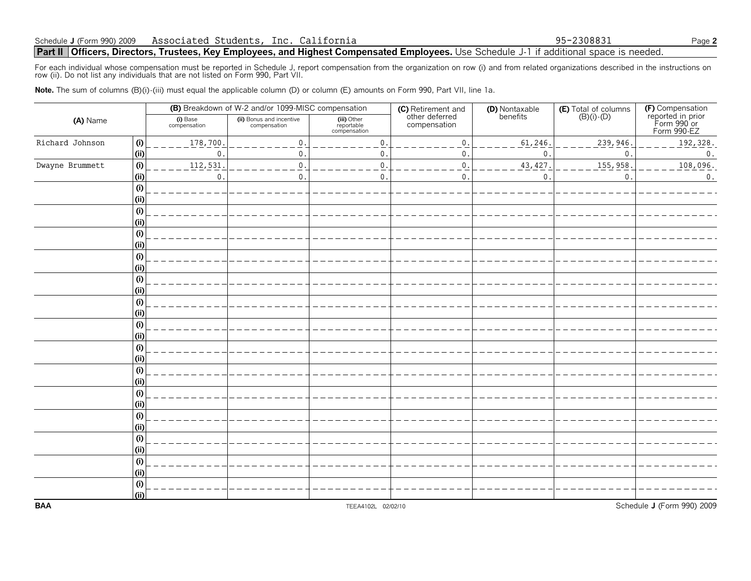### **Part II Officers, Directors, Trustees, Key Employees, and Highest Compensated Employees.** Use Schedule J-1 if additional space is needed.

For each individual whose compensation must be reported in Schedule J, report compensation from the organization on row (i) and from related organizations described in the instructions on<br>row (ii). Do not list any individu

Note. The sum of columns (B)(i)-(iii) must equal the applicable column (D) or column (E) amounts on Form 990, Part VII, line 1a.

|                 |      |                          | (B) Breakdown of W-2 and/or 1099-MISC compensation |                                           | (C) Retirement and<br>other deferred | (D) Nontaxable<br>benefits | <b>(E)</b> Total of columns $(B)(i) \cdot (D)$ |                                                                     |  |
|-----------------|------|--------------------------|----------------------------------------------------|-------------------------------------------|--------------------------------------|----------------------------|------------------------------------------------|---------------------------------------------------------------------|--|
| (A) Name        |      | (i) Base<br>compensation | (ii) Bonus and incentive<br>compensation           | (iii) Other<br>reportable<br>compensation | compensation                         |                            |                                                | (F) Compensation<br>reported in prior<br>Form 990 or<br>Form 990-EZ |  |
| Richard Johnson | (i)  | 178,700.                 | 0.                                                 | $\mathbf 0$ .                             | 0.                                   | 61,246                     | 239,946                                        | 192,328.                                                            |  |
|                 | (i)  | $\boldsymbol{0}$ .       | 0.                                                 | 0.                                        | $\mathsf{0}$ .                       | $\mathbf 0$                | $\mathbf 0$                                    | $\boldsymbol{0}$ .                                                  |  |
| Dwayne Brummett | (i)  | 112,531.                 | 0.                                                 | $0$ .                                     | 0.                                   | 43, 427                    | 155,958                                        | 108,096.                                                            |  |
|                 | (i)  | $\boldsymbol{0}$ .       | $\mathbf 0$ .                                      | $\mathbf{0}$ .                            | $\mathbf{0}$ .                       | 0                          | 0                                              | 0.                                                                  |  |
|                 | (i)  |                          |                                                    |                                           |                                      |                            |                                                |                                                                     |  |
|                 | (ii) |                          |                                                    |                                           |                                      |                            |                                                |                                                                     |  |
|                 | (i)  |                          |                                                    |                                           |                                      |                            |                                                |                                                                     |  |
|                 | (i)  |                          |                                                    |                                           |                                      |                            |                                                |                                                                     |  |
|                 | (i)  |                          |                                                    |                                           |                                      |                            |                                                |                                                                     |  |
|                 | (ii) |                          |                                                    |                                           |                                      |                            |                                                |                                                                     |  |
|                 | (i)  |                          |                                                    |                                           |                                      |                            |                                                |                                                                     |  |
|                 | (ii) |                          |                                                    |                                           |                                      |                            |                                                |                                                                     |  |
|                 | (i)  |                          |                                                    |                                           |                                      |                            |                                                |                                                                     |  |
|                 | (i)  |                          |                                                    |                                           |                                      |                            |                                                |                                                                     |  |
|                 | (i)  |                          |                                                    |                                           |                                      |                            |                                                |                                                                     |  |
|                 | (i)  |                          |                                                    |                                           |                                      |                            |                                                |                                                                     |  |
|                 | (i)  |                          |                                                    |                                           |                                      |                            |                                                |                                                                     |  |
|                 | (ii) |                          |                                                    |                                           |                                      |                            |                                                |                                                                     |  |
|                 | (i)  |                          |                                                    |                                           |                                      |                            |                                                |                                                                     |  |
|                 | (i)  |                          |                                                    |                                           |                                      |                            |                                                |                                                                     |  |
|                 | (i)  |                          |                                                    |                                           |                                      |                            |                                                |                                                                     |  |
|                 | (ii) |                          |                                                    |                                           |                                      |                            |                                                |                                                                     |  |
|                 | (i)  |                          |                                                    |                                           |                                      |                            |                                                |                                                                     |  |
|                 | (i)  |                          |                                                    |                                           |                                      |                            |                                                |                                                                     |  |
|                 | (i)  |                          |                                                    |                                           |                                      |                            |                                                |                                                                     |  |
|                 | (i)  |                          |                                                    |                                           |                                      |                            |                                                |                                                                     |  |
|                 | (i)  |                          |                                                    |                                           |                                      |                            |                                                |                                                                     |  |
|                 | (i)  |                          |                                                    |                                           |                                      |                            |                                                |                                                                     |  |
|                 | (i)  |                          |                                                    |                                           |                                      |                            |                                                |                                                                     |  |
|                 | (i)  |                          |                                                    |                                           |                                      |                            |                                                |                                                                     |  |
|                 | (i)  |                          |                                                    |                                           |                                      |                            |                                                |                                                                     |  |
| <b>BAA</b>      | (i)  |                          |                                                    | TEEA4102L 02/02/10                        |                                      |                            |                                                | Schedule J (Form 990) 2009                                          |  |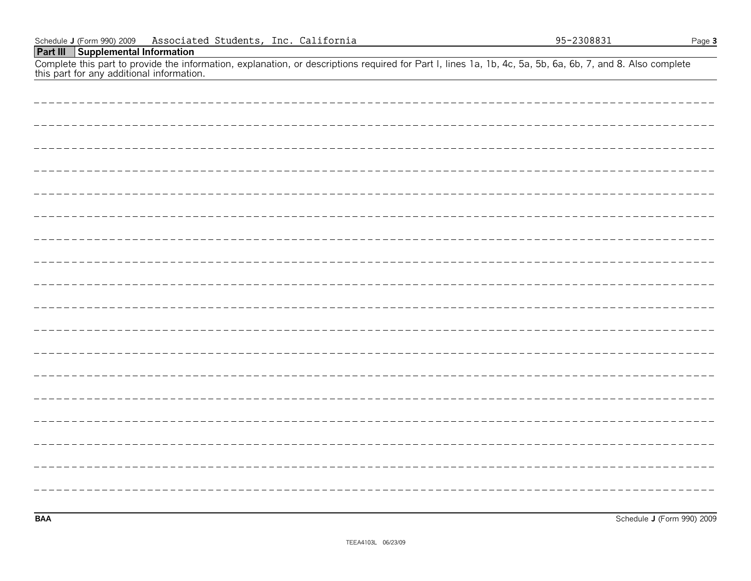| Complete this part to provide the information, explanation, or descriptions required for Part I, lines 1a, 1b, 4c, 5a, 5b, 6a, 6b, 7, and 8. Also complete this part for any additional information. |
|------------------------------------------------------------------------------------------------------------------------------------------------------------------------------------------------------|
|                                                                                                                                                                                                      |
|                                                                                                                                                                                                      |
|                                                                                                                                                                                                      |
|                                                                                                                                                                                                      |
|                                                                                                                                                                                                      |
|                                                                                                                                                                                                      |
|                                                                                                                                                                                                      |
|                                                                                                                                                                                                      |
|                                                                                                                                                                                                      |
|                                                                                                                                                                                                      |
|                                                                                                                                                                                                      |
|                                                                                                                                                                                                      |
|                                                                                                                                                                                                      |
|                                                                                                                                                                                                      |
|                                                                                                                                                                                                      |
|                                                                                                                                                                                                      |
|                                                                                                                                                                                                      |
|                                                                                                                                                                                                      |

**BAA** Schedule **J** (Form 990) 2009

#### **Part III Supplemental Information**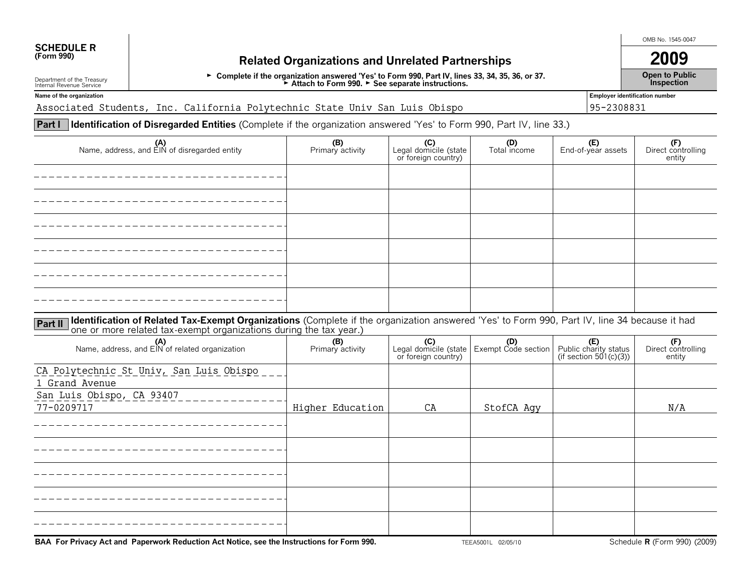## **SCHEDULE R**<br>(Form 990)

### **(Form 990) Related Organizations and Unrelated Partnerships 2009**

G **Complete if the organization answered 'Yes' to Form 990, Part IV, lines 33, 34, 35, 36, or 37.** G **Attach to Form 990.** G **See separate instructions.**

OMB No. 1545-0047

**Open to Public Inspection**

Department of the Treasury Internal Revenue Service **Name of the organization Employer identification number**

Associated Students, Inc. California Polytechnic State Univ San Luis Obispo 95-2308831

**Part I Identification of Disregarded Entities** (Complete if the organization answered 'Yes' to Form 990, Part IV, line 33.)

| (A)<br>Name, address, and EIN of disregarded entity                                                                                                                                                                                         | (B)<br>Primary activity | (C)<br>Legal domicile (state<br>or foreign country) | (D)<br>Total income                                         | (E)<br>End-of-year assets                              | (F)<br>Direct controlling<br>entity |  |  |  |
|---------------------------------------------------------------------------------------------------------------------------------------------------------------------------------------------------------------------------------------------|-------------------------|-----------------------------------------------------|-------------------------------------------------------------|--------------------------------------------------------|-------------------------------------|--|--|--|
|                                                                                                                                                                                                                                             |                         |                                                     |                                                             |                                                        |                                     |  |  |  |
|                                                                                                                                                                                                                                             |                         |                                                     |                                                             |                                                        |                                     |  |  |  |
|                                                                                                                                                                                                                                             |                         |                                                     |                                                             |                                                        |                                     |  |  |  |
|                                                                                                                                                                                                                                             |                         |                                                     |                                                             |                                                        |                                     |  |  |  |
|                                                                                                                                                                                                                                             |                         |                                                     |                                                             |                                                        |                                     |  |  |  |
|                                                                                                                                                                                                                                             |                         |                                                     |                                                             |                                                        |                                     |  |  |  |
| <b>Part II</b> Identification of Related Tax-Exempt Organizations (Complete if the organization answered 'Yes' to Form 990, Part IV, line 34 because it had<br><b>Part II</b> one or more related tax-exempt organizations during the tax y |                         |                                                     |                                                             |                                                        |                                     |  |  |  |
| (A)<br>Name, address, and EIN of related organization                                                                                                                                                                                       | (B)<br>Primary activity | or foreign country)                                 | <b>(C)</b> (C)<br>Legal domicile (state Exempt Code section | (E)<br>Public charity status<br>(if section 501(c)(3)) | (F)<br>Direct controlling<br>entity |  |  |  |
| CA Polytechnic St Univ, San Luis Obispo                                                                                                                                                                                                     |                         |                                                     |                                                             |                                                        |                                     |  |  |  |

| Ch rorycountered wire, but mare obrope<br>1 Grand Avenue |                  |    |            |     |
|----------------------------------------------------------|------------------|----|------------|-----|
| San Luis Obispo, CA 93407                                |                  |    |            |     |
| 77-0209717                                               | Higher Education | CA | StofCA Agy | N/A |
|                                                          |                  |    |            |     |
|                                                          |                  |    |            |     |
|                                                          |                  |    |            |     |
|                                                          |                  |    |            |     |
|                                                          |                  |    |            |     |
|                                                          |                  |    |            |     |
|                                                          |                  |    |            |     |

**BAA For Privacy Act and Paperwork Reduction Act Notice, see the Instructions for Form 990.** TEEA5001L 02/05/10 Schedule **R** (Form 990) (2009)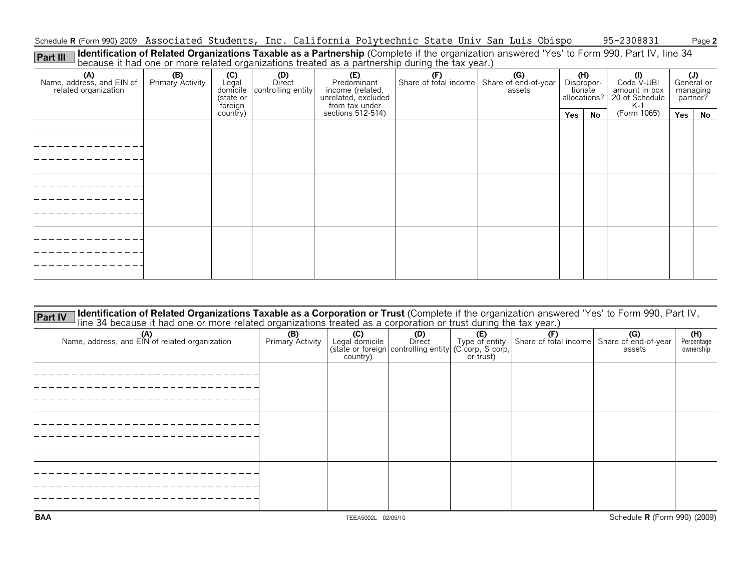Schedule **R** (Form 990) 2009 Associated Students, Inc. California Polytechnic State Univ San Luis Obispo 95-2308831 Page **2** 

Part III | Identification of Related Organizations Taxable as a Partnership (Complete if the organization answered 'Yes' to Form 990, Part IV, line 34<br>because it had one or more related organizations treated as a partnersh

|                                                          |                         |                                                    |                                     |                                                                                 | we consider the state of the constant of spanned the theories are a particle in a sample of the term from the |        |                   |                         |                                                                              |                                          |    |
|----------------------------------------------------------|-------------------------|----------------------------------------------------|-------------------------------------|---------------------------------------------------------------------------------|---------------------------------------------------------------------------------------------------------------|--------|-------------------|-------------------------|------------------------------------------------------------------------------|------------------------------------------|----|
| (A)<br>Name, address, and EIN of<br>related organization | (B)<br>Primary Activity | $(C)$<br>Legal<br>domicile<br>(state or<br>foreign | (D)<br>Direct<br>controlling entity | (E)<br>Predominant<br>income (related,<br>unrelated, excluded<br>from tax under | Share of total income Share of end-of-year                                                                    | assets | (H)<br>Dispropor- | tionate<br>allocations? | $\bigcirc$ (I)<br>Code $\vee$ -UBI<br>amount in box<br>20 of Schedule<br>K-1 | $(J)$ General or<br>managing<br>partner? |    |
|                                                          |                         | country)                                           |                                     | sections 512-514)                                                               |                                                                                                               |        | Yes               | No                      | (Form 1065)                                                                  | Yes                                      | No |
|                                                          |                         |                                                    |                                     |                                                                                 |                                                                                                               |        |                   |                         |                                                                              |                                          |    |
|                                                          |                         |                                                    |                                     |                                                                                 |                                                                                                               |        |                   |                         |                                                                              |                                          |    |
|                                                          |                         |                                                    |                                     |                                                                                 |                                                                                                               |        |                   |                         |                                                                              |                                          |    |

| <b>Identification of Related Organizations Taxable as a Corporation or Trust</b> (Complete if the organization answered 'Yes' to Form 990, Part IV,<br><b>Part IV</b><br>line 34 because it had one or more related organizations treated as a corporation or trust during the tax year.) |                         |                                   |                                                                        |                                           |                                            |               |                                |
|-------------------------------------------------------------------------------------------------------------------------------------------------------------------------------------------------------------------------------------------------------------------------------------------|-------------------------|-----------------------------------|------------------------------------------------------------------------|-------------------------------------------|--------------------------------------------|---------------|--------------------------------|
| $(A)$<br>Name, address, and EIN of related organization                                                                                                                                                                                                                                   | (B)<br>Primary Activity | (C)<br>Legal domicile<br>country) | (D)<br>Direct<br>(state or foreign controlling entity (C corp, S corp, | <b>(E)</b><br>Type of entity<br>or trust) | Share of total income Share of end-of-year | (G)<br>assets | (H)<br>Percentage<br>ownership |
|                                                                                                                                                                                                                                                                                           |                         |                                   |                                                                        |                                           |                                            |               |                                |
|                                                                                                                                                                                                                                                                                           |                         |                                   |                                                                        |                                           |                                            |               |                                |
|                                                                                                                                                                                                                                                                                           |                         |                                   |                                                                        |                                           |                                            |               |                                |
|                                                                                                                                                                                                                                                                                           |                         |                                   |                                                                        |                                           |                                            |               |                                |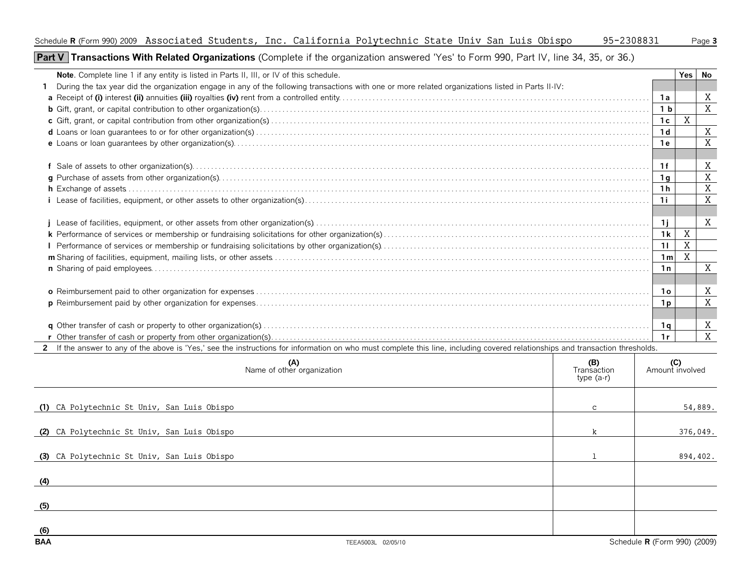**Part V** Transactions With Related Organizations (Complete if the organization answered 'Yes' to Form 990, Part IV, line 34, 35, or 36.)

| Note. Complete line 1 if any entity is listed in Parts II, III, or IV of this schedule.                                                                                        |     |                                   | <b>Yes</b>     | No |
|--------------------------------------------------------------------------------------------------------------------------------------------------------------------------------|-----|-----------------------------------|----------------|----|
| During the tax year did the organization engage in any of the following transactions with one or more related organizations listed in Parts II-IV:                             |     |                                   |                |    |
|                                                                                                                                                                                |     | 1a                                |                | X  |
|                                                                                                                                                                                |     | 1 <sub>b</sub>                    |                | X  |
|                                                                                                                                                                                |     | 1c                                | X              |    |
|                                                                                                                                                                                |     | 1 <sub>d</sub>                    |                | X  |
|                                                                                                                                                                                |     | 1e                                |                | X  |
|                                                                                                                                                                                |     |                                   |                |    |
|                                                                                                                                                                                |     | 1f                                |                | X  |
|                                                                                                                                                                                |     | 1 a                               |                | X  |
|                                                                                                                                                                                |     | ' 1 h                             |                | X  |
|                                                                                                                                                                                |     | 1i                                |                | X  |
|                                                                                                                                                                                |     |                                   |                |    |
|                                                                                                                                                                                |     | 11                                |                | X  |
|                                                                                                                                                                                |     | 1k                                | $\mathbf X$    |    |
|                                                                                                                                                                                |     | 11                                | $\overline{X}$ |    |
|                                                                                                                                                                                |     | 1 <sub>m</sub>                    | $\overline{X}$ |    |
|                                                                                                                                                                                |     | 1n                                |                | X  |
|                                                                                                                                                                                |     |                                   |                |    |
|                                                                                                                                                                                |     | <b>10</b>                         |                | X  |
|                                                                                                                                                                                |     | 1 <sub>p</sub>                    |                | X  |
|                                                                                                                                                                                |     |                                   |                |    |
|                                                                                                                                                                                |     | 1 q                               |                | X  |
|                                                                                                                                                                                |     | 1r                                |                | X  |
| 2 If the answer to any of the above is 'Yes,' see the instructions for information on who must complete this line, including covered relationships and transaction thresholds. |     |                                   |                |    |
| (A)                                                                                                                                                                            | (B) | $\begin{pmatrix} C \end{pmatrix}$ |                |    |

|                                             | (A)<br>Name of other organization | (B)<br>Transaction<br>type (a-r) | (C)<br>Amount involved       |
|---------------------------------------------|-----------------------------------|----------------------------------|------------------------------|
| (1) CA Polytechnic St Univ, San Luis Obispo |                                   | $\mathbf{C}$                     | 54,889.                      |
| (2) CA Polytechnic St Univ, San Luis Obispo |                                   | k                                | 376,049.                     |
| (3) CA Polytechnic St Univ, San Luis Obispo |                                   |                                  | 894,402.                     |
| (4)                                         |                                   |                                  |                              |
| (5)                                         |                                   |                                  |                              |
| (6)<br><b>BAA</b>                           | TEEA5003L 02/05/10                |                                  | Schedule R (Form 990) (2009) |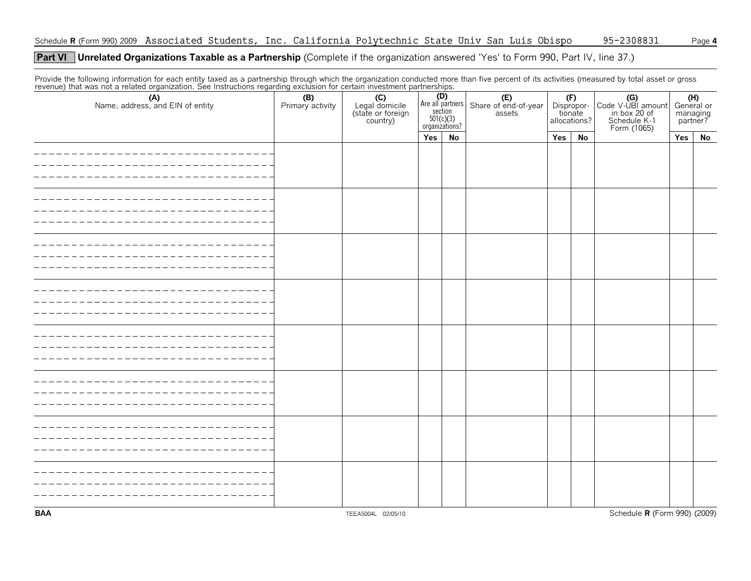### **Part VI** Unrelated Organizations Taxable as a Partnership (Complete if the organization answered 'Yes' to Form 990, Part IV, line 37.)

Provide the following information for each entity taxed as a partnership through which the organization conducted more than five percent of its activities (measured by total asset or gross<br>revenue) that was not a related o

| (A)<br>Name, address, and EIN of entity | (B)<br>Primary activity | (C)<br>Legal domicile<br>(state or foreign<br>country) |     |    | <b>(D)</b><br>Are all partners Share of end-of-year<br>section assets<br>$\frac{501(c)(3)}{organizations?}$ |     | (F)<br>Dispropor-<br>tionate<br>allocations? | Code V-UBI amount<br>in box 20 of<br>Schedule K-1<br>Form (1065) | $(H)$ General or<br>managing<br>partner? |           |
|-----------------------------------------|-------------------------|--------------------------------------------------------|-----|----|-------------------------------------------------------------------------------------------------------------|-----|----------------------------------------------|------------------------------------------------------------------|------------------------------------------|-----------|
|                                         |                         |                                                        | Yes | No |                                                                                                             | Yes | No                                           |                                                                  | Yes                                      | <b>No</b> |
|                                         |                         |                                                        |     |    |                                                                                                             |     |                                              |                                                                  |                                          |           |
|                                         |                         |                                                        |     |    |                                                                                                             |     |                                              |                                                                  |                                          |           |
|                                         |                         |                                                        |     |    |                                                                                                             |     |                                              |                                                                  |                                          |           |
|                                         |                         |                                                        |     |    |                                                                                                             |     |                                              |                                                                  |                                          |           |
|                                         |                         |                                                        |     |    |                                                                                                             |     |                                              |                                                                  |                                          |           |
|                                         |                         |                                                        |     |    |                                                                                                             |     |                                              |                                                                  |                                          |           |
|                                         |                         |                                                        |     |    |                                                                                                             |     |                                              |                                                                  |                                          |           |
|                                         |                         |                                                        |     |    |                                                                                                             |     |                                              |                                                                  |                                          |           |
| <b>BAA</b>                              |                         | TEEA5004L 02/05/10                                     |     |    |                                                                                                             |     |                                              | Schedule R (Form 990) (2009)                                     |                                          |           |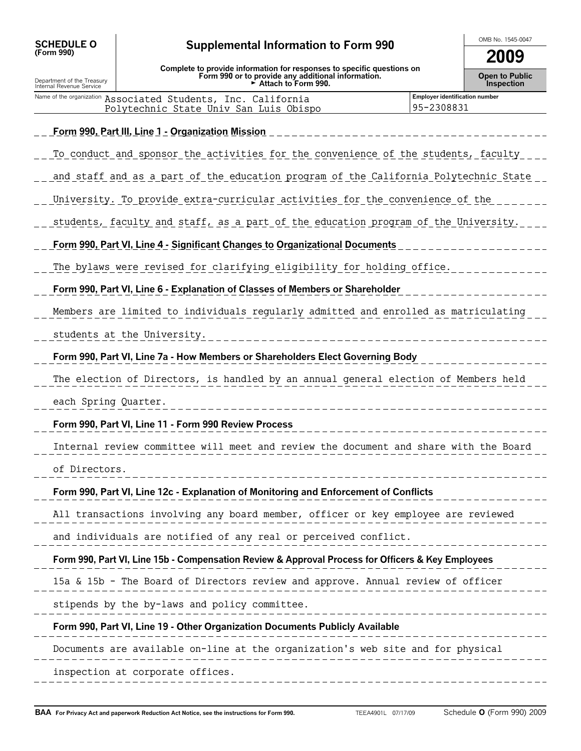| <b>SCHEDULE O</b> |  |
|-------------------|--|
| (Form 990)        |  |

Department of the Treasury Internal Revenue Service

### OMB No. 1545-0047 **SCHEDULE O (Form 990) Supplemental Information to Form 990**

**2009**

| Complete to provide information for responses to specific questions on |
|------------------------------------------------------------------------|
| Form 990 or to provide any additional information.                     |
| $\triangleright$ Attach to Form 990.                                   |

**Open to Public Inspection**

| Name of the organization Associated Students, Inc. California | <b>Employer identification number</b> |
|---------------------------------------------------------------|---------------------------------------|
| Polytechnic State Univ San Luis Obispo                        | 95-2308831                            |
|                                                               |                                       |

**Form 990, Part III, Line 1 - Organization Mission**

## To conduct and sponsor the activities for the convenience of the students, faculty \_\_\_ <u>and staff and as a part of the education program of the California Polytechnic State – </u> University. To provide extra-curricular activities for the convenience of the <u>students, faculty and staff, as a part of the education program of the University.  $\overline{\phantom{a}}$  ,  $\overline{\phantom{a}}$ </u> **Form 990, Part VI, Line 4 - Significant Changes to Organizational Documents** The bylaws were revised for clarifying eligibility for holding office. **Form 990, Part VI, Line 6 - Explanation of Classes of Members or Shareholder** Members are limited to individuals regularly admitted and enrolled as matriculating students at the University. **Form 990, Part VI, Line 7a - How Members or Shareholders Elect Governing Body** The election of Directors, is handled by an annual general election of Members held each Spring Quarter. **Form 990, Part VI, Line 11 - Form 990 Review Process** Internal review committee will meet and review the document and share with the Board of Directors. **Form 990, Part VI, Line 12c - Explanation of Monitoring and Enforcement of Conflicts** All transactions involving any board member, officer or key employee are reviewed and individuals are notified of any real or perceived conflict. **Form 990, Part VI, Line 15b - Compensation Review & Approval Process for Officers & Key Employees** 15a & 15b - The Board of Directors review and approve. Annual review of officer stipends by the by-laws and policy committee. **Form 990, Part VI, Line 19 - Other Organization Documents Publicly Available** Documents are available on-line at the organization's web site and for physical ---------------------inspection at corporate offices.